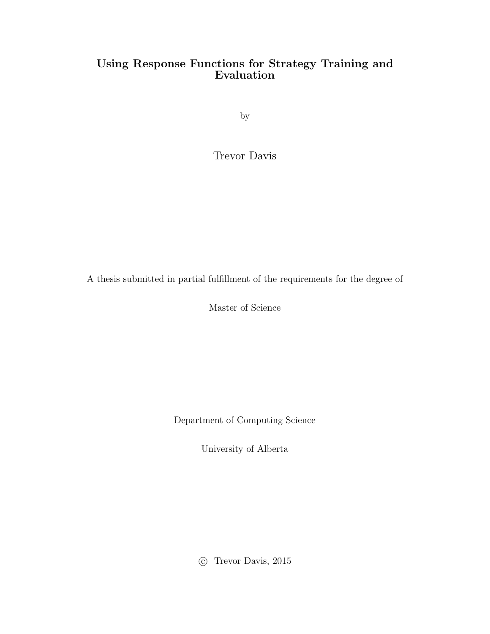### Using Response Functions for Strategy Training and Evaluation

by

Trevor Davis

A thesis submitted in partial fulfillment of the requirements for the degree of

Master of Science

Department of Computing Science

University of Alberta

⃝c Trevor Davis, 2015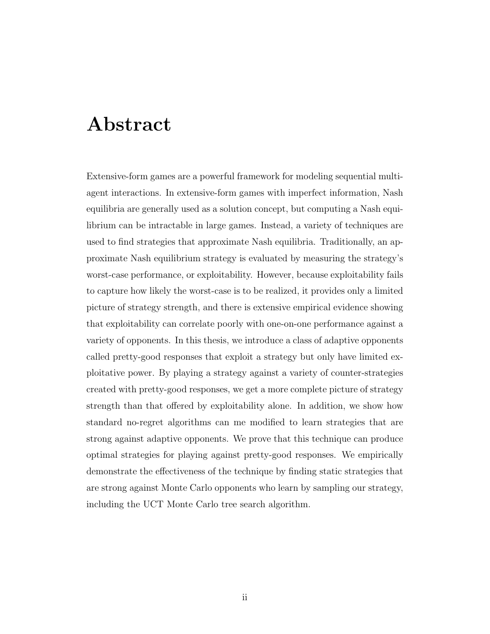# Abstract

Extensive-form games are a powerful framework for modeling sequential multiagent interactions. In extensive-form games with imperfect information, Nash equilibria are generally used as a solution concept, but computing a Nash equilibrium can be intractable in large games. Instead, a variety of techniques are used to find strategies that approximate Nash equilibria. Traditionally, an approximate Nash equilibrium strategy is evaluated by measuring the strategy's worst-case performance, or exploitability. However, because exploitability fails to capture how likely the worst-case is to be realized, it provides only a limited picture of strategy strength, and there is extensive empirical evidence showing that exploitability can correlate poorly with one-on-one performance against a variety of opponents. In this thesis, we introduce a class of adaptive opponents called pretty-good responses that exploit a strategy but only have limited exploitative power. By playing a strategy against a variety of counter-strategies created with pretty-good responses, we get a more complete picture of strategy strength than that offered by exploitability alone. In addition, we show how standard no-regret algorithms can me modified to learn strategies that are strong against adaptive opponents. We prove that this technique can produce optimal strategies for playing against pretty-good responses. We empirically demonstrate the effectiveness of the technique by finding static strategies that are strong against Monte Carlo opponents who learn by sampling our strategy, including the UCT Monte Carlo tree search algorithm.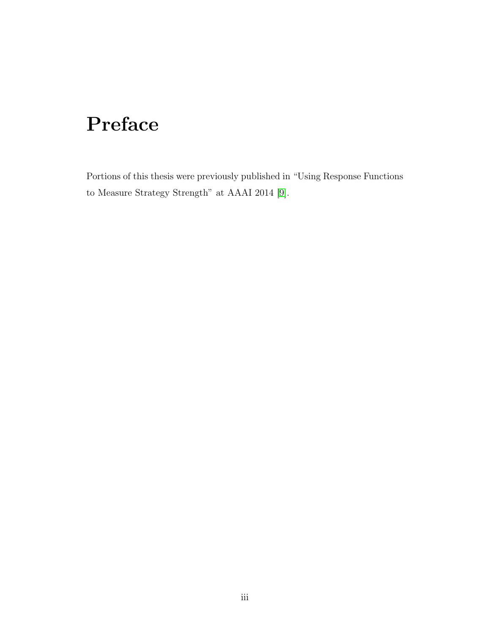# Preface

Portions of this thesis were previously published in "Using Response Functions to Measure Strategy Strength" at AAAI 2014 [\[9\]](#page-73-0).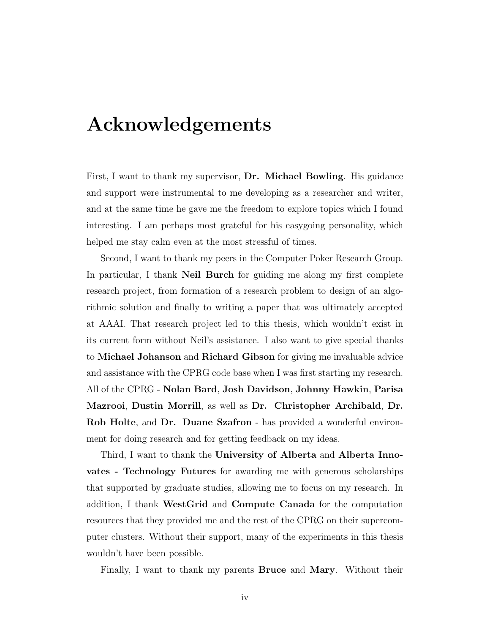# Acknowledgements

First, I want to thank my supervisor, Dr. Michael Bowling. His guidance and support were instrumental to me developing as a researcher and writer, and at the same time he gave me the freedom to explore topics which I found interesting. I am perhaps most grateful for his easygoing personality, which helped me stay calm even at the most stressful of times.

Second, I want to thank my peers in the Computer Poker Research Group. In particular, I thank **Neil Burch** for guiding me along my first complete research project, from formation of a research problem to design of an algorithmic solution and finally to writing a paper that was ultimately accepted at AAAI. That research project led to this thesis, which wouldn't exist in its current form without Neil's assistance. I also want to give special thanks to Michael Johanson and Richard Gibson for giving me invaluable advice and assistance with the CPRG code base when I was first starting my research. All of the CPRG - Nolan Bard, Josh Davidson, Johnny Hawkin, Parisa Mazrooi, Dustin Morrill, as well as Dr. Christopher Archibald, Dr. Rob Holte, and Dr. Duane Szafron - has provided a wonderful environment for doing research and for getting feedback on my ideas.

Third, I want to thank the University of Alberta and Alberta Innovates - Technology Futures for awarding me with generous scholarships that supported by graduate studies, allowing me to focus on my research. In addition, I thank WestGrid and Compute Canada for the computation resources that they provided me and the rest of the CPRG on their supercomputer clusters. Without their support, many of the experiments in this thesis wouldn't have been possible.

Finally, I want to thank my parents Bruce and Mary. Without their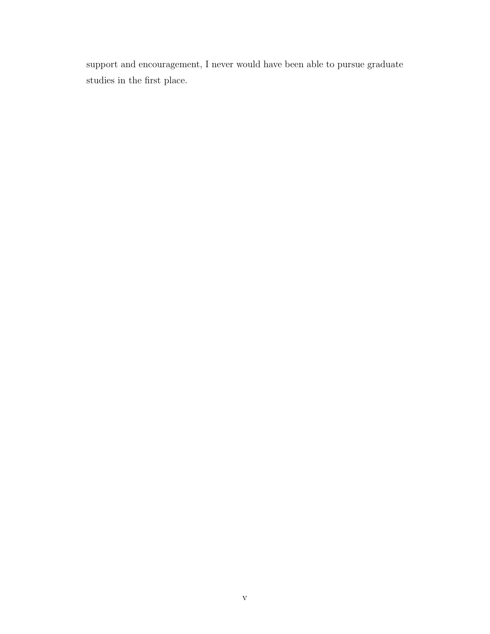support and encouragement, I never would have been able to pursue graduate studies in the first place.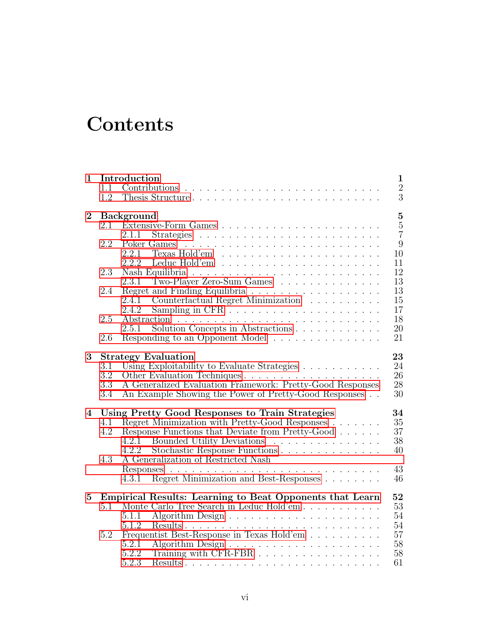# **Contents**

| $\mathbf{1}$     | 1.1                      | Introduction                                                                                                                                                                                                                        | $\mathbf{1}$<br>$\sqrt{2}$          |
|------------------|--------------------------|-------------------------------------------------------------------------------------------------------------------------------------------------------------------------------------------------------------------------------------|-------------------------------------|
|                  | 1.2                      | Thesis Structure                                                                                                                                                                                                                    | $\overline{3}$                      |
| $\boldsymbol{2}$ | 2.1                      | <b>Background</b><br>2.1.1                                                                                                                                                                                                          | $\bf 5$<br>$\bf 5$<br>$\frac{5}{7}$ |
|                  | 2.2                      | 2.2.1<br>2.2.2                                                                                                                                                                                                                      | 9<br>10<br>11                       |
|                  | 2.3                      | $\dot{T}$ wo-Player Zero-Sum Games<br>2.3.1                                                                                                                                                                                         | 12<br>13                            |
|                  | 2.4                      | 2.4.2                                                                                                                                                                                                                               | 13<br>15<br>17                      |
|                  | 2.5                      | Solution Concepts in Abstractions<br>2.5.1                                                                                                                                                                                          | 18<br>20                            |
|                  | 2.6                      | Responding to an Opponent Model                                                                                                                                                                                                     | 21                                  |
| 3                | 3.1<br>3.2<br>3.3<br>3.4 | <b>Strategy Evaluation</b><br>Using Exploitability to Evaluate Strategies<br>Other Evaluation Techniques<br>A Generalized Evaluation Framework: Pretty-Good Responses<br>An Example Showing the Power of Pretty-Good Responses      | 23<br>24<br>26<br>28<br>30          |
| 4                | 4.1<br>4.2               | Using Pretty Good Responses to Train Strategies<br>Regret Minimization with Pretty-Good Responses<br>Response Functions that Deviate from Pretty-Good<br>4.2.1 Bounded Utility Deviations<br>Stochastic Response Functions<br>4.2.2 | 34<br>35<br>37<br>38<br>40          |
|                  | 4.3                      | A Generalization of Restricted Nash<br>Regret Minimization and Best-Responses<br>4.3.1                                                                                                                                              | 43<br>46                            |
| $\bf{5}$         | 5.1                      | Empirical Results: Learning to Beat Opponents that Learn<br>Monte Carlo Tree Search in Leduc Hold'em<br>5.1.1<br>5.1.2                                                                                                              | 52<br>53<br>54<br>54                |
|                  | 5.2                      | Frequentist Best-Response in Texas Hold'em<br>5.2.1<br>Training with CFR-FBR<br>5.2.2<br>5.2.3                                                                                                                                      | 57<br>$58\,$<br>58<br>61            |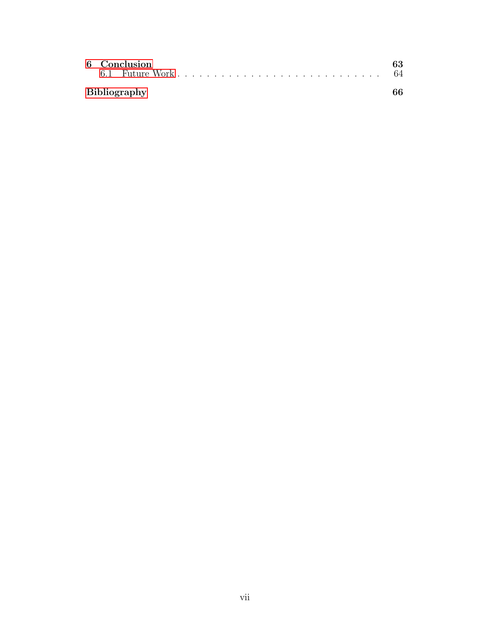|                     |  | 6 Conclusion | 63 |  |  |
|---------------------|--|--------------|----|--|--|
| <b>Bibliography</b> |  |              |    |  |  |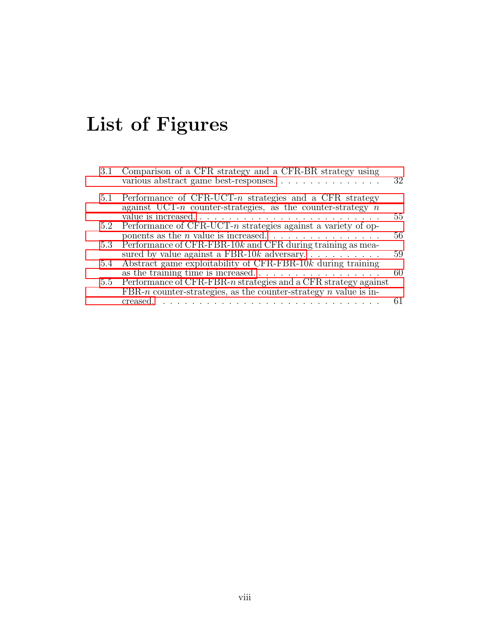# List of Figures

| 3.1 | Comparison of a CFR strategy and a CFR-BR strategy using<br>various abstract game best-responses                               | 32 |
|-----|--------------------------------------------------------------------------------------------------------------------------------|----|
|     | 5.1 Performance of CFR-UCT- $n$ strategies and a CFR strategy<br>against UCT-n counter-strategies, as the counter-strategy $n$ |    |
|     | value is increased                                                                                                             | 55 |
|     | 5.2 Performance of CFR-UCT- $n$ strategies against a variety of op-                                                            |    |
|     |                                                                                                                                | 56 |
| 5.3 | Performance of CFR-FBR-10 $k$ and CFR during training as mea-                                                                  |    |
|     | sured by value against a FBR-10 $k$ adversary                                                                                  | 59 |
| 5.4 | Abstract game exploitability of CFR-FBR-10 $k$ during training                                                                 |    |
|     |                                                                                                                                | 60 |
| 5.5 | Performance of CFR-FBR- $n$ strategies and a CFR strategy against                                                              |    |
|     | FBR- <i>n</i> counter-strategies, as the counter-strategy <i>n</i> value is in-                                                |    |
|     |                                                                                                                                |    |
|     |                                                                                                                                |    |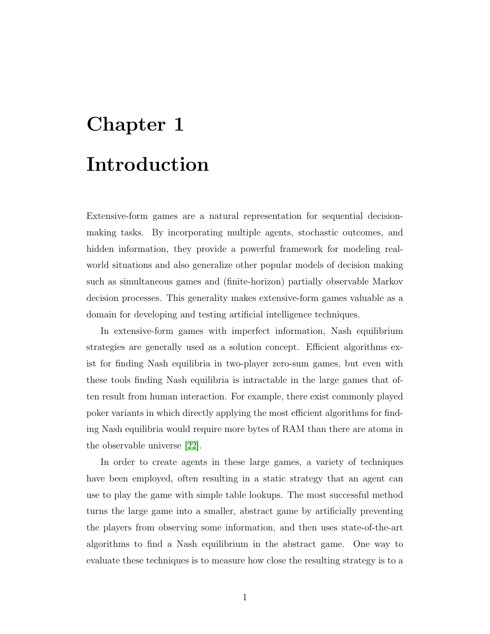# <span id="page-8-0"></span>Chapter 1 Introduction

Extensive-form games are a natural representation for sequential decisionmaking tasks. By incorporating multiple agents, stochastic outcomes, and hidden information, they provide a powerful framework for modeling realworld situations and also generalize other popular models of decision making such as simultaneous games and (finite-horizon) partially observable Markov decision processes. This generality makes extensive-form games valuable as a domain for developing and testing artificial intelligence techniques.

In extensive-form games with imperfect information, Nash equilibrium strategies are generally used as a solution concept. Efficient algorithms exist for finding Nash equilibria in two-player zero-sum games, but even with these tools finding Nash equilibria is intractable in the large games that often result from human interaction. For example, there exist commonly played poker variants in which directly applying the most efficient algorithms for finding Nash equilibria would require more bytes of RAM than there are atoms in the observable universe [\[22\]](#page-74-0).

In order to create agents in these large games, a variety of techniques have been employed, often resulting in a static strategy that an agent can use to play the game with simple table lookups. The most successful method turns the large game into a smaller, abstract game by artificially preventing the players from observing some information, and then uses state-of-the-art algorithms to find a Nash equilibrium in the abstract game. One way to evaluate these techniques is to measure how close the resulting strategy is to a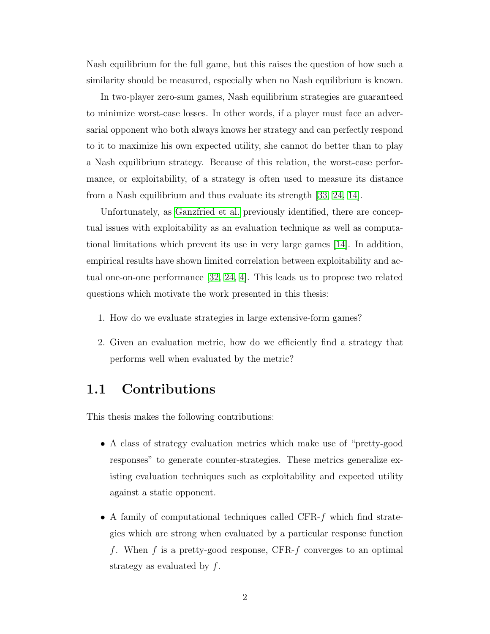Nash equilibrium for the full game, but this raises the question of how such a similarity should be measured, especially when no Nash equilibrium is known.

In two-player zero-sum games, Nash equilibrium strategies are guaranteed to minimize worst-case losses. In other words, if a player must face an adversarial opponent who both always knows her strategy and can perfectly respond to it to maximize his own expected utility, she cannot do better than to play a Nash equilibrium strategy. Because of this relation, the worst-case performance, or exploitability, of a strategy is often used to measure its distance from a Nash equilibrium and thus evaluate its strength [\[33,](#page-75-0) [24,](#page-74-1) [14\]](#page-74-2).

Unfortunately, as [Ganzfried et al.](#page-74-2) previously identified, there are conceptual issues with exploitability as an evaluation technique as well as computational limitations which prevent its use in very large games [\[14\]](#page-74-2). In addition, empirical results have shown limited correlation between exploitability and actual one-on-one performance [\[32,](#page-75-1) [24,](#page-74-1) [4\]](#page-73-1). This leads us to propose two related questions which motivate the work presented in this thesis:

- 1. How do we evaluate strategies in large extensive-form games?
- 2. Given an evaluation metric, how do we efficiently find a strategy that performs well when evaluated by the metric?

# <span id="page-9-0"></span>1.1 Contributions

This thesis makes the following contributions:

- A class of strategy evaluation metrics which make use of "pretty-good responses" to generate counter-strategies. These metrics generalize existing evaluation techniques such as exploitability and expected utility against a static opponent.
- A family of computational techniques called CFR-f which find strategies which are strong when evaluated by a particular response function f. When f is a pretty-good response, CFR-f converges to an optimal strategy as evaluated by f.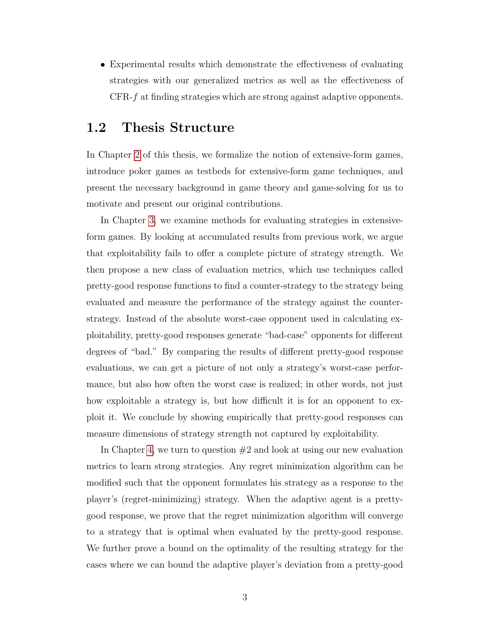• Experimental results which demonstrate the effectiveness of evaluating strategies with our generalized metrics as well as the effectiveness of CFR-f at finding strategies which are strong against adaptive opponents.

### <span id="page-10-0"></span>1.2 Thesis Structure

In Chapter [2](#page-12-0) of this thesis, we formalize the notion of extensive-form games, introduce poker games as testbeds for extensive-form game techniques, and present the necessary background in game theory and game-solving for us to motivate and present our original contributions.

In Chapter [3,](#page-30-0) we examine methods for evaluating strategies in extensiveform games. By looking at accumulated results from previous work, we argue that exploitability fails to offer a complete picture of strategy strength. We then propose a new class of evaluation metrics, which use techniques called pretty-good response functions to find a counter-strategy to the strategy being evaluated and measure the performance of the strategy against the counterstrategy. Instead of the absolute worst-case opponent used in calculating exploitability, pretty-good responses generate "bad-case" opponents for different degrees of "bad." By comparing the results of different pretty-good response evaluations, we can get a picture of not only a strategy's worst-case performance, but also how often the worst case is realized; in other words, not just how exploitable a strategy is, but how difficult it is for an opponent to exploit it. We conclude by showing empirically that pretty-good responses can measure dimensions of strategy strength not captured by exploitability.

In Chapter [4,](#page-41-0) we turn to question  $#2$  and look at using our new evaluation metrics to learn strong strategies. Any regret minimization algorithm can be modified such that the opponent formulates his strategy as a response to the player's (regret-minimizing) strategy. When the adaptive agent is a prettygood response, we prove that the regret minimization algorithm will converge to a strategy that is optimal when evaluated by the pretty-good response. We further prove a bound on the optimality of the resulting strategy for the cases where we can bound the adaptive player's deviation from a pretty-good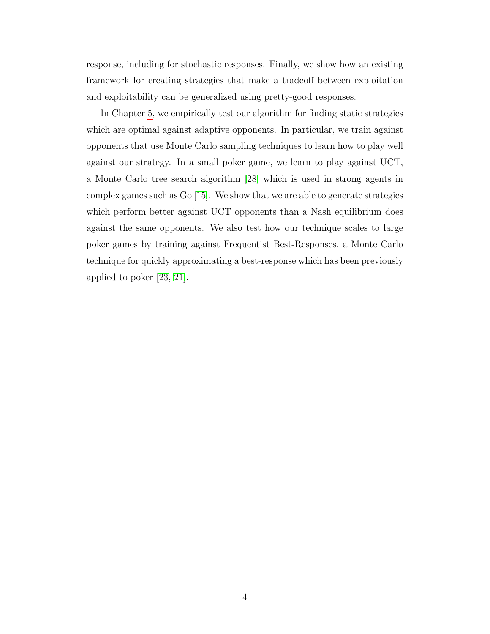response, including for stochastic responses. Finally, we show how an existing framework for creating strategies that make a tradeoff between exploitation and exploitability can be generalized using pretty-good responses.

In Chapter [5,](#page-59-0) we empirically test our algorithm for finding static strategies which are optimal against adaptive opponents. In particular, we train against opponents that use Monte Carlo sampling techniques to learn how to play well against our strategy. In a small poker game, we learn to play against UCT, a Monte Carlo tree search algorithm [\[28\]](#page-75-2) which is used in strong agents in complex games such as Go [\[15\]](#page-74-3). We show that we are able to generate strategies which perform better against UCT opponents than a Nash equilibrium does against the same opponents. We also test how our technique scales to large poker games by training against Frequentist Best-Responses, a Monte Carlo technique for quickly approximating a best-response which has been previously applied to poker [\[23,](#page-74-4) [21\]](#page-74-5).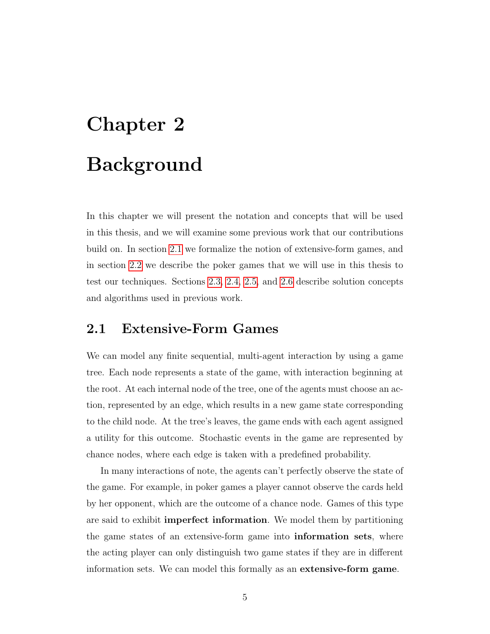# <span id="page-12-0"></span>Chapter 2 Background

In this chapter we will present the notation and concepts that will be used in this thesis, and we will examine some previous work that our contributions build on. In section [2.1](#page-12-1) we formalize the notion of extensive-form games, and in section [2.2](#page-16-0) we describe the poker games that we will use in this thesis to test our techniques. Sections [2.3,](#page-19-0) [2.4,](#page-20-1) [2.5,](#page-25-0) and [2.6](#page-28-0) describe solution concepts and algorithms used in previous work.

# <span id="page-12-1"></span>2.1 Extensive-Form Games

We can model any finite sequential, multi-agent interaction by using a game tree. Each node represents a state of the game, with interaction beginning at the root. At each internal node of the tree, one of the agents must choose an action, represented by an edge, which results in a new game state corresponding to the child node. At the tree's leaves, the game ends with each agent assigned a utility for this outcome. Stochastic events in the game are represented by chance nodes, where each edge is taken with a predefined probability.

In many interactions of note, the agents can't perfectly observe the state of the game. For example, in poker games a player cannot observe the cards held by her opponent, which are the outcome of a chance node. Games of this type are said to exhibit imperfect information. We model them by partitioning the game states of an extensive-form game into information sets, where the acting player can only distinguish two game states if they are in different information sets. We can model this formally as an extensive-form game.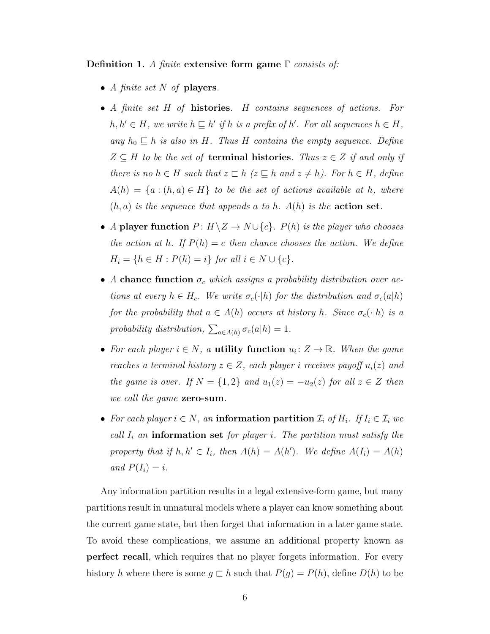Definition 1. A finite extensive form game  $\Gamma$  consists of:

- A finite set  $N$  of players.
- A finite set H of **histories**. H contains sequences of actions. For  $h, h' \in H$ , we write  $h \sqsubseteq h'$  if h is a prefix of h'. For all sequences  $h \in H$ , any  $h_0 \subseteq h$  is also in H. Thus H contains the empty sequence. Define  $Z \subseteq H$  to be the set of **terminal histories**. Thus  $z \in Z$  if and only if there is no  $h \in H$  such that  $z \subset h$  ( $z \subseteq h$  and  $z \neq h$ ). For  $h \in H$ , define  $A(h) = \{a : (h, a) \in H\}$  to be the set of actions available at h, where  $(h, a)$  is the sequence that appends a to h.  $A(h)$  is the **action set**.
- A player function  $P: H \backslash Z \to N \cup \{c\}$ .  $P(h)$  is the player who chooses the action at h. If  $P(h) = c$  then chance chooses the action. We define  $H_i = \{ h \in H : P(h) = i \}$  for all  $i \in N \cup \{ c \}.$
- A chance function  $\sigma_c$  which assigns a probability distribution over actions at every  $h \in H_c$ . We write  $\sigma_c(\cdot|h)$  for the distribution and  $\sigma_c(a|h)$ for the probability that  $a \in A(h)$  occurs at history h. Since  $\sigma_c(\cdot|h)$  is a probability distribution,  $\sum_{a \in A(h)} \sigma_c(a|h) = 1$ .
- For each player  $i \in N$ , a **utility function**  $u_i: Z \to \mathbb{R}$ . When the game reaches a terminal history  $z \in Z$ , each player i receives payoff  $u_i(z)$  and the game is over. If  $N = \{1,2\}$  and  $u_1(z) = -u_2(z)$  for all  $z \in Z$  then we call the game **zero-sum**.
- For each player  $i \in N$ , an information partition  $\mathcal{I}_i$  of  $H_i$ . If  $I_i \in \mathcal{I}_i$  we call  $I_i$  an information set for player i. The partition must satisfy the property that if  $h, h' \in I_i$ , then  $A(h) = A(h')$ . We define  $A(I_i) = A(h)$ and  $P(I_i) = i$ .

Any information partition results in a legal extensive-form game, but many partitions result in unnatural models where a player can know something about the current game state, but then forget that information in a later game state. To avoid these complications, we assume an additional property known as perfect recall, which requires that no player forgets information. For every history h where there is some  $g \subset h$  such that  $P(g) = P(h)$ , define  $D(h)$  to be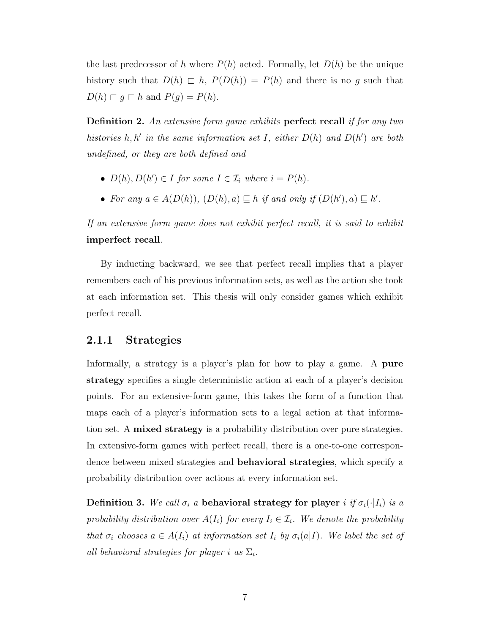the last predecessor of h where  $P(h)$  acted. Formally, let  $D(h)$  be the unique history such that  $D(h) \subset h$ ,  $P(D(h)) = P(h)$  and there is no g such that  $D(h) \sqsubset g \sqsubset h$  and  $P(g) = P(h)$ .

Definition 2. An extensive form game exhibits perfect recall if for any two histories h, h' in the same information set I, either  $D(h)$  and  $D(h')$  are both undefined, or they are both defined and

- $D(h), D(h') \in I$  for some  $I \in \mathcal{I}_i$  where  $i = P(h)$ .
- For any  $a \in A(D(h)), (D(h), a) \sqsubseteq h$  if and only if  $(D(h'), a) \sqsubseteq h'$ .

If an extensive form game does not exhibit perfect recall, it is said to exhibit imperfect recall.

By inducting backward, we see that perfect recall implies that a player remembers each of his previous information sets, as well as the action she took at each information set. This thesis will only consider games which exhibit perfect recall.

#### <span id="page-14-0"></span>2.1.1 Strategies

Informally, a strategy is a player's plan for how to play a game. A **pure** strategy specifies a single deterministic action at each of a player's decision points. For an extensive-form game, this takes the form of a function that maps each of a player's information sets to a legal action at that information set. A mixed strategy is a probability distribution over pure strategies. In extensive-form games with perfect recall, there is a one-to-one correspondence between mixed strategies and **behavioral strategies**, which specify a probability distribution over actions at every information set.

Definition 3. We call  $\sigma_i$  a behavioral strategy for player i if  $\sigma_i(\cdot|I_i)$  is a probability distribution over  $A(I_i)$  for every  $I_i \in \mathcal{I}_i$ . We denote the probability that  $\sigma_i$  chooses  $a \in A(I_i)$  at information set  $I_i$  by  $\sigma_i(a|I)$ . We label the set of all behavioral strategies for player i as  $\Sigma_i$ .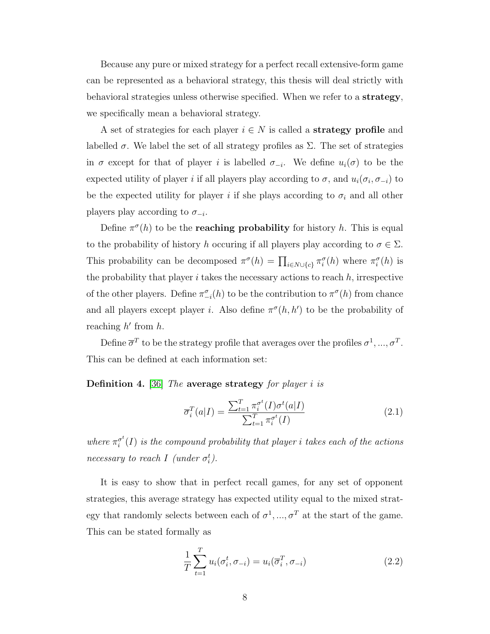Because any pure or mixed strategy for a perfect recall extensive-form game can be represented as a behavioral strategy, this thesis will deal strictly with behavioral strategies unless otherwise specified. When we refer to a strategy, we specifically mean a behavioral strategy.

A set of strategies for each player  $i \in N$  is called a **strategy profile** and labelled  $\sigma$ . We label the set of all strategy profiles as  $\Sigma$ . The set of strategies in  $\sigma$  except for that of player i is labelled  $\sigma_{-i}$ . We define  $u_i(\sigma)$  to be the expected utility of player i if all players play according to  $\sigma$ , and  $u_i(\sigma_i, \sigma_{-i})$  to be the expected utility for player i if she plays according to  $\sigma_i$  and all other players play according to  $\sigma_{-i}$ .

Define  $\pi^{\sigma}(h)$  to be the **reaching probability** for history h. This is equal to the probability of history h occuring if all players play according to  $\sigma \in \Sigma$ . This probability can be decomposed  $\pi^{\sigma}(h) = \prod_{i \in N \cup \{c\}} \pi_i^{\sigma}(h)$  where  $\pi_i^{\sigma}(h)$  is the probability that player  $i$  takes the necessary actions to reach  $h$ , irrespective of the other players. Define  $\pi_{-i}^{\sigma}(h)$  to be the contribution to  $\pi^{\sigma}(h)$  from chance and all players except player *i*. Also define  $\pi^{\sigma}(h, h')$  to be the probability of reaching  $h'$  from  $h$ .

Define  $\overline{\sigma}^T$  to be the strategy profile that averages over the profiles  $\sigma^1, ..., \sigma^T$ . This can be defined at each information set:

Definition 4. [\[36\]](#page-75-3) The average strategy for player i is

$$
\overline{\sigma}_i^T(a|I) = \frac{\sum_{t=1}^T \pi_i^{\sigma^t}(I)\sigma^t(a|I)}{\sum_{t=1}^T \pi_i^{\sigma^t}(I)}
$$
\n(2.1)

where  $\pi_i^{\sigma^t}$  $\tilde{g}^{\sigma^t}_i(I)$  is the compound probability that player i takes each of the actions necessary to reach I (under  $\sigma_i^t$ ).

It is easy to show that in perfect recall games, for any set of opponent strategies, this average strategy has expected utility equal to the mixed strategy that randomly selects between each of  $\sigma^1, ..., \sigma^T$  at the start of the game. This can be stated formally as

$$
\frac{1}{T} \sum_{t=1}^{T} u_i(\sigma_i^t, \sigma_{-i}) = u_i(\overline{\sigma}_i^T, \sigma_{-i})
$$
\n(2.2)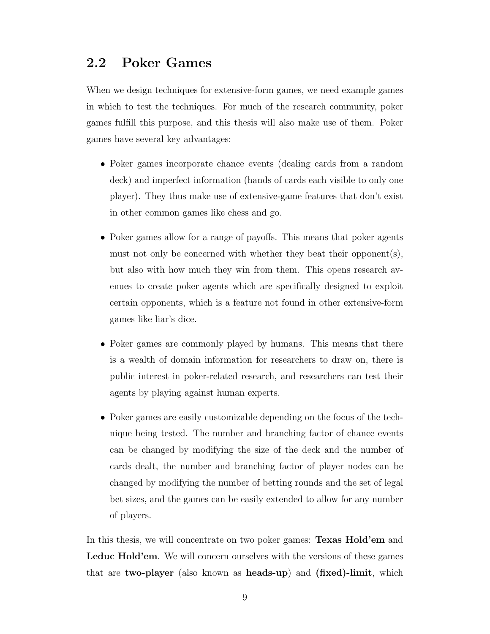## <span id="page-16-0"></span>2.2 Poker Games

When we design techniques for extensive-form games, we need example games in which to test the techniques. For much of the research community, poker games fulfill this purpose, and this thesis will also make use of them. Poker games have several key advantages:

- Poker games incorporate chance events (dealing cards from a random deck) and imperfect information (hands of cards each visible to only one player). They thus make use of extensive-game features that don't exist in other common games like chess and go.
- Poker games allow for a range of payoffs. This means that poker agents must not only be concerned with whether they beat their opponents), but also with how much they win from them. This opens research avenues to create poker agents which are specifically designed to exploit certain opponents, which is a feature not found in other extensive-form games like liar's dice.
- Poker games are commonly played by humans. This means that there is a wealth of domain information for researchers to draw on, there is public interest in poker-related research, and researchers can test their agents by playing against human experts.
- Poker games are easily customizable depending on the focus of the technique being tested. The number and branching factor of chance events can be changed by modifying the size of the deck and the number of cards dealt, the number and branching factor of player nodes can be changed by modifying the number of betting rounds and the set of legal bet sizes, and the games can be easily extended to allow for any number of players.

In this thesis, we will concentrate on two poker games: **Texas Hold'em** and Leduc Hold'em. We will concern ourselves with the versions of these games that are two-player (also known as heads-up) and (fixed)-limit, which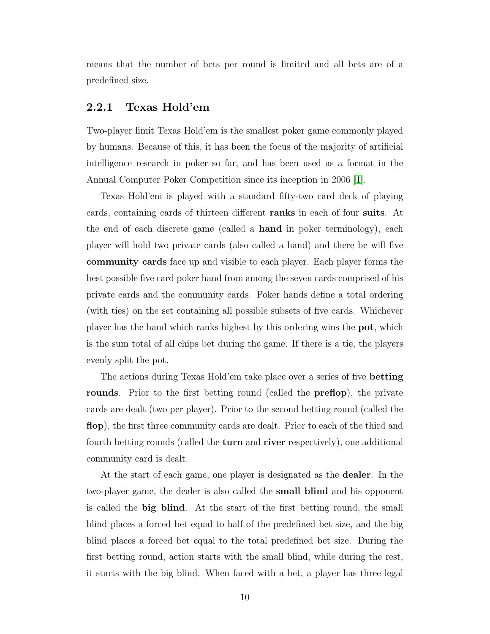means that the number of bets per round is limited and all bets are of a predefined size.

#### <span id="page-17-0"></span>2.2.1 Texas Hold'em

Two-player limit Texas Hold'em is the smallest poker game commonly played by humans. Because of this, it has been the focus of the majority of artificial intelligence research in poker so far, and has been used as a format in the Annual Computer Poker Competition since its inception in 2006 [\[1\]](#page-73-2).

Texas Hold'em is played with a standard fifty-two card deck of playing cards, containing cards of thirteen different ranks in each of four suits. At the end of each discrete game (called a hand in poker terminology), each player will hold two private cards (also called a hand) and there be will five community cards face up and visible to each player. Each player forms the best possible five card poker hand from among the seven cards comprised of his private cards and the community cards. Poker hands define a total ordering (with ties) on the set containing all possible subsets of five cards. Whichever player has the hand which ranks highest by this ordering wins the pot, which is the sum total of all chips bet during the game. If there is a tie, the players evenly split the pot.

The actions during Texas Hold'em take place over a series of five betting rounds. Prior to the first betting round (called the **preflop**), the private cards are dealt (two per player). Prior to the second betting round (called the flop), the first three community cards are dealt. Prior to each of the third and fourth betting rounds (called the **turn** and **river** respectively), one additional community card is dealt.

At the start of each game, one player is designated as the dealer. In the two-player game, the dealer is also called the small blind and his opponent is called the big blind. At the start of the first betting round, the small blind places a forced bet equal to half of the predefined bet size, and the big blind places a forced bet equal to the total predefined bet size. During the first betting round, action starts with the small blind, while during the rest, it starts with the big blind. When faced with a bet, a player has three legal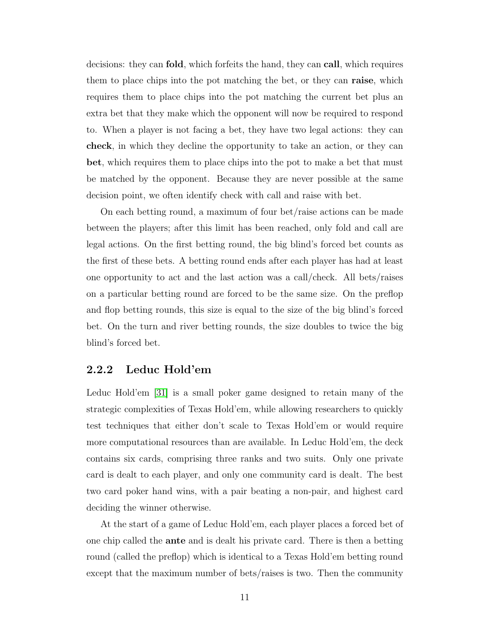decisions: they can fold, which forfeits the hand, they can call, which requires them to place chips into the pot matching the bet, or they can **raise**, which requires them to place chips into the pot matching the current bet plus an extra bet that they make which the opponent will now be required to respond to. When a player is not facing a bet, they have two legal actions: they can check, in which they decline the opportunity to take an action, or they can bet, which requires them to place chips into the pot to make a bet that must be matched by the opponent. Because they are never possible at the same decision point, we often identify check with call and raise with bet.

On each betting round, a maximum of four bet/raise actions can be made between the players; after this limit has been reached, only fold and call are legal actions. On the first betting round, the big blind's forced bet counts as the first of these bets. A betting round ends after each player has had at least one opportunity to act and the last action was a call/check. All bets/raises on a particular betting round are forced to be the same size. On the preflop and flop betting rounds, this size is equal to the size of the big blind's forced bet. On the turn and river betting rounds, the size doubles to twice the big blind's forced bet.

#### <span id="page-18-0"></span>2.2.2 Leduc Hold'em

Leduc Hold'em [\[31\]](#page-75-4) is a small poker game designed to retain many of the strategic complexities of Texas Hold'em, while allowing researchers to quickly test techniques that either don't scale to Texas Hold'em or would require more computational resources than are available. In Leduc Hold'em, the deck contains six cards, comprising three ranks and two suits. Only one private card is dealt to each player, and only one community card is dealt. The best two card poker hand wins, with a pair beating a non-pair, and highest card deciding the winner otherwise.

At the start of a game of Leduc Hold'em, each player places a forced bet of one chip called the ante and is dealt his private card. There is then a betting round (called the preflop) which is identical to a Texas Hold'em betting round except that the maximum number of bets/raises is two. Then the community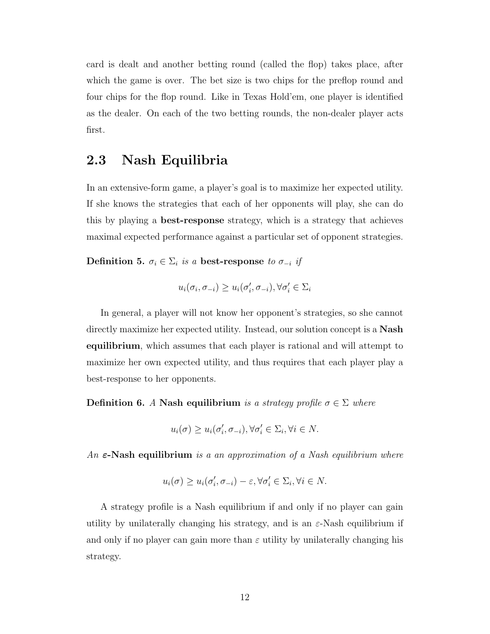card is dealt and another betting round (called the flop) takes place, after which the game is over. The bet size is two chips for the preflop round and four chips for the flop round. Like in Texas Hold'em, one player is identified as the dealer. On each of the two betting rounds, the non-dealer player acts first.

# <span id="page-19-0"></span>2.3 Nash Equilibria

In an extensive-form game, a player's goal is to maximize her expected utility. If she knows the strategies that each of her opponents will play, she can do this by playing a best-response strategy, which is a strategy that achieves maximal expected performance against a particular set of opponent strategies.

Definition 5.  $\sigma_i \in \Sigma_i$  is a best-response to  $\sigma_{-i}$  if

$$
u_i(\sigma_i, \sigma_{-i}) \ge u_i(\sigma'_i, \sigma_{-i}), \forall \sigma'_i \in \Sigma_i
$$

In general, a player will not know her opponent's strategies, so she cannot directly maximize her expected utility. Instead, our solution concept is a Nash equilibrium, which assumes that each player is rational and will attempt to maximize her own expected utility, and thus requires that each player play a best-response to her opponents.

<span id="page-19-1"></span>Definition 6. A Nash equilibrium is a strategy profile  $\sigma \in \Sigma$  where

$$
u_i(\sigma) \ge u_i(\sigma'_i, \sigma_{-i}), \forall \sigma'_i \in \Sigma_i, \forall i \in N.
$$

An  $\varepsilon$ -Nash equilibrium is a an approximation of a Nash equilibrium where

$$
u_i(\sigma) \ge u_i(\sigma'_i, \sigma_{-i}) - \varepsilon, \forall \sigma'_i \in \Sigma_i, \forall i \in N.
$$

A strategy profile is a Nash equilibrium if and only if no player can gain utility by unilaterally changing his strategy, and is an  $\varepsilon$ -Nash equilibrium if and only if no player can gain more than  $\varepsilon$  utility by unilaterally changing his strategy.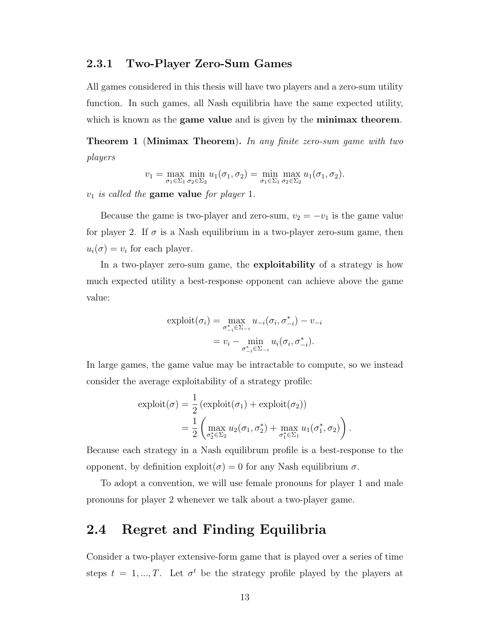#### <span id="page-20-0"></span>2.3.1 Two-Player Zero-Sum Games

All games considered in this thesis will have two players and a zero-sum utility function. In such games, all Nash equilibria have the same expected utility, which is known as the **game value** and is given by the **minimax theorem**.

Theorem 1 (Minimax Theorem). In any finite zero-sum game with two players

$$
v_1 = \max_{\sigma_1 \in \Sigma_1} \min_{\sigma_2 \in \Sigma_2} u_1(\sigma_1, \sigma_2) = \min_{\sigma_1 \in \Sigma_1} \max_{\sigma_2 \in \Sigma_2} u_1(\sigma_1, \sigma_2).
$$

 $v_1$  is called the game value for player 1.

Because the game is two-player and zero-sum,  $v_2 = -v_1$  is the game value for player 2. If  $\sigma$  is a Nash equilibrium in a two-player zero-sum game, then  $u_i(\sigma) = v_i$  for each player.

In a two-player zero-sum game, the exploitability of a strategy is how much expected utility a best-response opponent can achieve above the game value:

$$
\text{exploit}(\sigma_i) = \max_{\sigma_{-i}^* \in \Sigma_{-i}} u_{-i}(\sigma_i, \sigma_{-i}^*) - v_{-i}
$$

$$
= v_i - \min_{\sigma_{-i}^* \in \Sigma_{-i}} u_i(\sigma_i, \sigma_{-i}^*).
$$

In large games, the game value may be intractable to compute, so we instead consider the average exploitability of a strategy profile:

$$
\text{exploit}(\sigma) = \frac{1}{2} \left( \text{exploit}(\sigma_1) + \text{exploit}(\sigma_2) \right)
$$

$$
= \frac{1}{2} \left( \max_{\sigma_2^* \in \Sigma_2} u_2(\sigma_1, \sigma_2^*) + \max_{\sigma_1^* \in \Sigma_1} u_1(\sigma_1^*, \sigma_2) \right).
$$

Because each strategy in a Nash equilibrum profile is a best-response to the opponent, by definition  $\exp\{i\sigma} = 0$  for any Nash equilibrium  $\sigma$ .

To adopt a convention, we will use female pronouns for player 1 and male pronouns for player 2 whenever we talk about a two-player game.

## <span id="page-20-1"></span>2.4 Regret and Finding Equilibria

Consider a two-player extensive-form game that is played over a series of time steps  $t = 1, ..., T$ . Let  $\sigma^t$  be the strategy profile played by the players at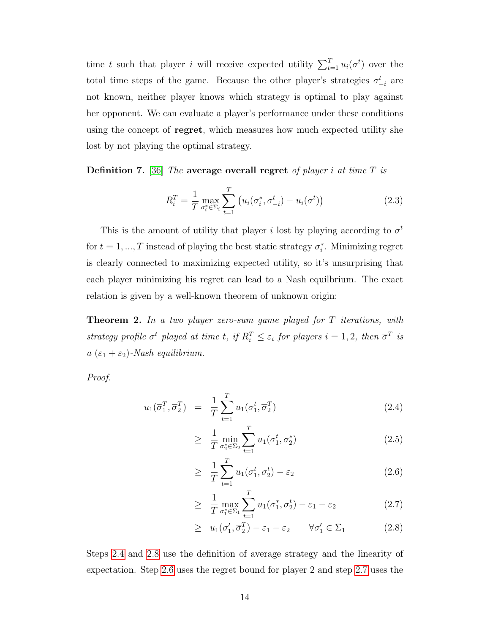time t such that player i will receive expected utility  $\sum_{t=1}^{T} u_i(\sigma^t)$  over the total time steps of the game. Because the other player's strategies  $\sigma_{-i}^{t}$  are not known, neither player knows which strategy is optimal to play against her opponent. We can evaluate a player's performance under these conditions using the concept of **regret**, which measures how much expected utility she lost by not playing the optimal strategy.

**Definition 7.** [\[36\]](#page-75-3) The average overall regret of player i at time T is

$$
R_i^T = \frac{1}{T} \max_{\sigma_i^* \in \Sigma_i} \sum_{t=1}^T \left( u_i(\sigma_i^*, \sigma_{-i}^t) - u_i(\sigma^t) \right)
$$
 (2.3)

This is the amount of utility that player i lost by playing according to  $\sigma^t$ for  $t = 1, ..., T$  instead of playing the best static strategy  $\sigma_i^*$ . Minimizing regret is clearly connected to maximizing expected utility, so it's unsurprising that each player minimizing his regret can lead to a Nash equilbrium. The exact relation is given by a well-known theorem of unknown origin:

<span id="page-21-1"></span>**Theorem 2.** In a two player zero-sum game played for T iterations, with strategy profile  $\sigma^t$  played at time t, if  $R_i^T \leq \varepsilon_i$  for players  $i = 1, 2$ , then  $\overline{\sigma}^T$  is  $a(\varepsilon_1+\varepsilon_2)$ -Nash equilibrium.

Proof.

<span id="page-21-0"></span>
$$
u_1(\overline{\sigma}_1^T, \overline{\sigma}_2^T) = \frac{1}{T} \sum_{t=1}^T u_1(\sigma_1^t, \overline{\sigma}_2^T)
$$
 (2.4)

$$
\geq \frac{1}{T} \min_{\sigma_2^* \in \Sigma_2} \sum_{t=1}^T u_1(\sigma_1^t, \sigma_2^*)
$$
\n(2.5)

$$
\geq \frac{1}{T} \sum_{t=1}^{T} u_1(\sigma_1^t, \sigma_2^t) - \varepsilon_2 \tag{2.6}
$$

$$
\geq \frac{1}{T} \max_{\sigma_1^* \in \Sigma_1} \sum_{t=1}^T u_1(\sigma_1^*, \sigma_2^t) - \varepsilon_1 - \varepsilon_2 \tag{2.7}
$$

$$
\geq u_1(\sigma'_1, \overline{\sigma}_2^T) - \varepsilon_1 - \varepsilon_2 \qquad \forall \sigma'_1 \in \Sigma_1 \tag{2.8}
$$

Steps [2.4](#page-21-0) and [2.8](#page-21-0) use the definition of average strategy and the linearity of expectation. Step [2.6](#page-21-0) uses the regret bound for player 2 and step [2.7](#page-21-0) uses the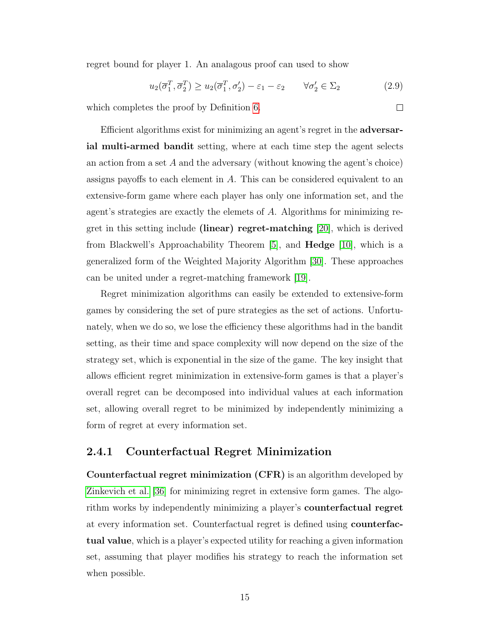regret bound for player 1. An analagous proof can used to show

$$
u_2(\overline{\sigma}_1^T, \overline{\sigma}_2^T) \ge u_2(\overline{\sigma}_1^T, \sigma_2') - \varepsilon_1 - \varepsilon_2 \qquad \forall \sigma_2' \in \Sigma_2
$$
 (2.9)

which completes the proof by Definition [6.](#page-19-1)

Efficient algorithms exist for minimizing an agent's regret in the adversarial multi-armed bandit setting, where at each time step the agent selects an action from a set  $A$  and the adversary (without knowing the agent's choice) assigns payoffs to each element in A. This can be considered equivalent to an extensive-form game where each player has only one information set, and the agent's strategies are exactly the elemets of A. Algorithms for minimizing regret in this setting include (linear) regret-matching [\[20\]](#page-74-6), which is derived from Blackwell's Approachability Theorem [\[5\]](#page-73-3), and Hedge [\[10\]](#page-73-4), which is a generalized form of the Weighted Majority Algorithm [\[30\]](#page-75-5). These approaches can be united under a regret-matching framework [\[19\]](#page-74-7).

Regret minimization algorithms can easily be extended to extensive-form games by considering the set of pure strategies as the set of actions. Unfortunately, when we do so, we lose the efficiency these algorithms had in the bandit setting, as their time and space complexity will now depend on the size of the strategy set, which is exponential in the size of the game. The key insight that allows efficient regret minimization in extensive-form games is that a player's overall regret can be decomposed into individual values at each information set, allowing overall regret to be minimized by independently minimizing a form of regret at every information set.

#### <span id="page-22-0"></span>2.4.1 Counterfactual Regret Minimization

Counterfactual regret minimization (CFR) is an algorithm developed by [Zinkevich et al. \[36\]](#page-75-3) for minimizing regret in extensive form games. The algorithm works by independently minimizing a player's counterfactual regret at every information set. Counterfactual regret is defined using counterfactual value, which is a player's expected utility for reaching a given information set, assuming that player modifies his strategy to reach the information set when possible.

 $\Box$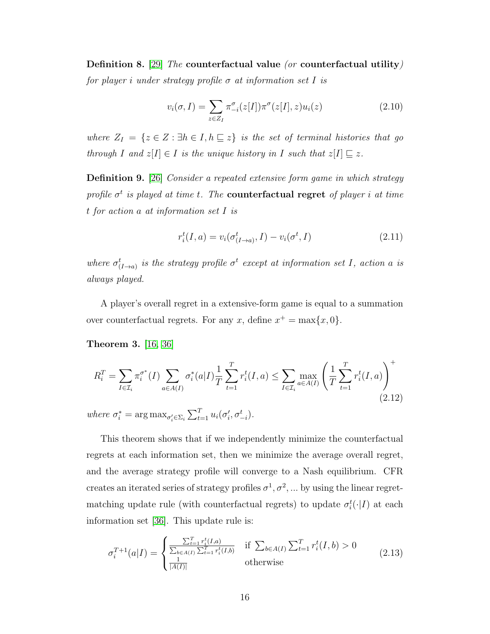Definition 8. [\[29\]](#page-75-6) The counterfactual value (or counterfactual utility) for player i under strategy profile  $\sigma$  at information set I is

$$
v_i(\sigma, I) = \sum_{z \in Z_I} \pi_{-i}^{\sigma}(z[I]) \pi^{\sigma}(z[I], z) u_i(z)
$$
\n(2.10)

where  $Z_I = \{z \in Z : \exists h \in I, h \sqsubseteq z\}$  is the set of terminal histories that go through I and  $z[I] \in I$  is the unique history in I such that  $z[I] \sqsubseteq z$ .

Definition 9. [\[26\]](#page-75-7) Consider a repeated extensive form game in which strategy profile  $\sigma^t$  is played at time t. The **counterfactual regret** of player i at time t for action a at information set I is

$$
r_i^t(I, a) = v_i(\sigma_{(I \to a)}^t, I) - v_i(\sigma^t, I)
$$
\n(2.11)

where  $\sigma^t_{(I\rightarrow a)}$  is the strategy profile  $\sigma^t$  except at information set I, action a is always played.

A player's overall regret in a extensive-form game is equal to a summation over counterfactual regrets. For any x, define  $x^+ = \max\{x, 0\}.$ 

<span id="page-23-0"></span>Theorem 3. [\[16,](#page-74-8) [36\]](#page-75-3)

$$
R_i^T = \sum_{I \in \mathcal{I}_i} \pi_i^{\sigma^*}(I) \sum_{a \in A(I)} \sigma_i^*(a|I) \frac{1}{T} \sum_{t=1}^T r_i^t(I, a) \le \sum_{I \in \mathcal{I}_i} \max_{a \in A(I)} \left(\frac{1}{T} \sum_{t=1}^T r_i^t(I, a)\right)^+
$$
  
where  $\sigma_i^* = \arg \max_{\sigma_i' \in \Sigma_i} \sum_{t=1}^T u_i(\sigma_i', \sigma_{-i}^t)$ . (2.12)

This theorem shows that if we independently minimize the counterfactual regrets at each information set, then we minimize the average overall regret, and the average strategy profile will converge to a Nash equilibrium. CFR creates an iterated series of strategy profiles  $\sigma^1, \sigma^2, \dots$  by using the linear regretmatching update rule (with counterfactual regrets) to update  $\sigma_i^t(\cdot | I)$  at each information set [\[36\]](#page-75-3). This update rule is:

$$
\sigma_i^{T+1}(a|I) = \begin{cases} \frac{\sum_{t=1}^T r_i^t(I,a)}{\sum_{b \in A(I)} \sum_{t=1}^T r_i^t(I,b)} & \text{if } \sum_{b \in A(I)} \sum_{t=1}^T r_i^t(I,b) > 0\\ \frac{1}{|A(I)|} & \text{otherwise} \end{cases}
$$
(2.13)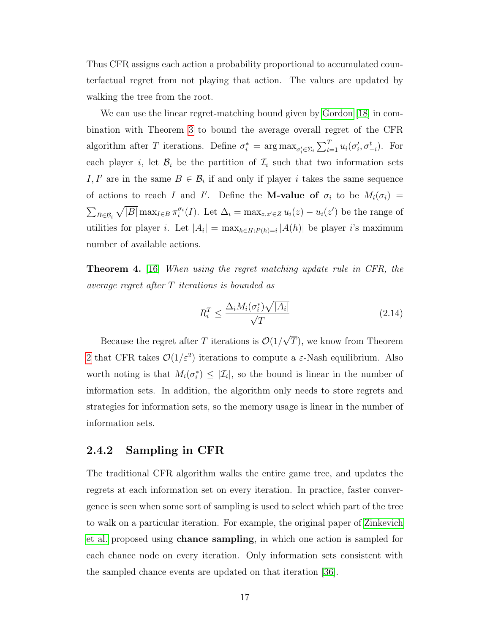Thus CFR assigns each action a probability proportional to accumulated counterfactual regret from not playing that action. The values are updated by walking the tree from the root.

We can use the linear regret-matching bound given by [Gordon \[18\]](#page-74-9) in combination with Theorem [3](#page-23-0) to bound the average overall regret of the CFR algorithm after T iterations. Define  $\sigma_i^* = \arg \max_{\sigma_i' \in \Sigma_i} \sum_{t=1}^T u_i(\sigma_i', \sigma_{-i}^t)$ . For each player i, let  $\mathcal{B}_i$  be the partition of  $\mathcal{I}_i$  such that two information sets I, I' are in the same  $B \in \mathcal{B}_i$  if and only if player i takes the same sequence of actions to reach I and I'. Define the **M-value of**  $\sigma_i$  to be  $M_i(\sigma_i)$  =  $\sum_{B \in \mathcal{B}_i} \sqrt{|B|} \max_{I \in B} \pi_i^{\sigma_i}(I)$ . Let  $\Delta_i = \max_{z, z' \in Z} u_i(z) - u_i(z')$  be the range of utilities for player *i*. Let  $|A_i| = \max_{h \in H: P(h) = i} |A(h)|$  be player *i*'s maximum number of available actions.

Theorem 4. [\[16\]](#page-74-8) When using the regret matching update rule in CFR, the average regret after T iterations is bounded as

$$
R_i^T \le \frac{\Delta_i M_i(\sigma_i^*) \sqrt{|A_i|}}{\sqrt{T}} \tag{2.14}
$$

Because the regret after T iterations is  $\mathcal{O}(1)$ √ T), we know from Theorem [2](#page-21-1) that CFR takes  $\mathcal{O}(1/\varepsilon^2)$  iterations to compute a  $\varepsilon$ -Nash equilibrium. Also worth noting is that  $M_i(\sigma_i^*) \leq |\mathcal{I}_i|$ , so the bound is linear in the number of information sets. In addition, the algorithm only needs to store regrets and strategies for information sets, so the memory usage is linear in the number of information sets.

#### <span id="page-24-0"></span>2.4.2 Sampling in CFR

The traditional CFR algorithm walks the entire game tree, and updates the regrets at each information set on every iteration. In practice, faster convergence is seen when some sort of sampling is used to select which part of the tree to walk on a particular iteration. For example, the original paper of [Zinkevich](#page-75-3) [et al.](#page-75-3) proposed using chance sampling, in which one action is sampled for each chance node on every iteration. Only information sets consistent with the sampled chance events are updated on that iteration [\[36\]](#page-75-3).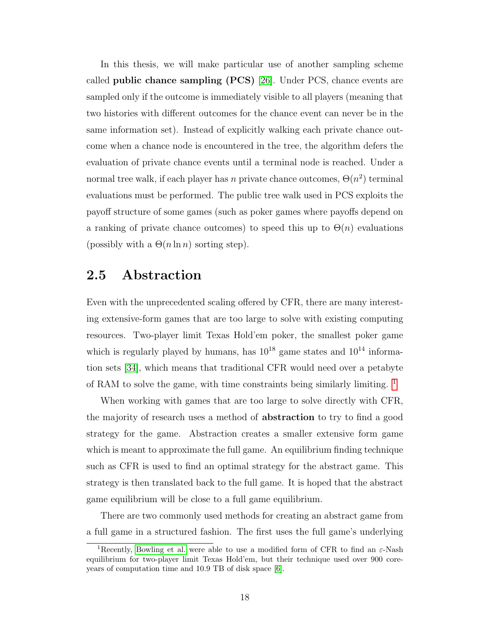In this thesis, we will make particular use of another sampling scheme called **public chance sampling (PCS)** [\[26\]](#page-75-7). Under PCS, chance events are sampled only if the outcome is immediately visible to all players (meaning that two histories with different outcomes for the chance event can never be in the same information set). Instead of explicitly walking each private chance outcome when a chance node is encountered in the tree, the algorithm defers the evaluation of private chance events until a terminal node is reached. Under a normal tree walk, if each player has n private chance outcomes,  $\Theta(n^2)$  terminal evaluations must be performed. The public tree walk used in PCS exploits the payoff structure of some games (such as poker games where payoffs depend on a ranking of private chance outcomes) to speed this up to  $\Theta(n)$  evaluations (possibly with a  $\Theta(n \ln n)$  sorting step).

## <span id="page-25-0"></span>2.5 Abstraction

Even with the unprecedented scaling offered by CFR, there are many interesting extensive-form games that are too large to solve with existing computing resources. Two-player limit Texas Hold'em poker, the smallest poker game which is regularly played by humans, has  $10^{18}$  game states and  $10^{14}$  information sets [\[34\]](#page-75-8), which means that traditional CFR would need over a petabyte of RAM to solve the game, with time constraints being similarly limiting.  $\frac{1}{1}$  $\frac{1}{1}$  $\frac{1}{1}$ 

When working with games that are too large to solve directly with CFR, the majority of research uses a method of abstraction to try to find a good strategy for the game. Abstraction creates a smaller extensive form game which is meant to approximate the full game. An equilibrium finding technique such as CFR is used to find an optimal strategy for the abstract game. This strategy is then translated back to the full game. It is hoped that the abstract game equilibrium will be close to a full game equilibrium.

There are two commonly used methods for creating an abstract game from a full game in a structured fashion. The first uses the full game's underlying

<span id="page-25-1"></span><sup>&</sup>lt;sup>1</sup>Recently, [Bowling et al.](#page-73-5) were able to use a modified form of CFR to find an  $\varepsilon$ -Nash equilibrium for two-player limit Texas Hold'em, but their technique used over 900 coreyears of computation time and 10.9 TB of disk space [\[6\]](#page-73-5).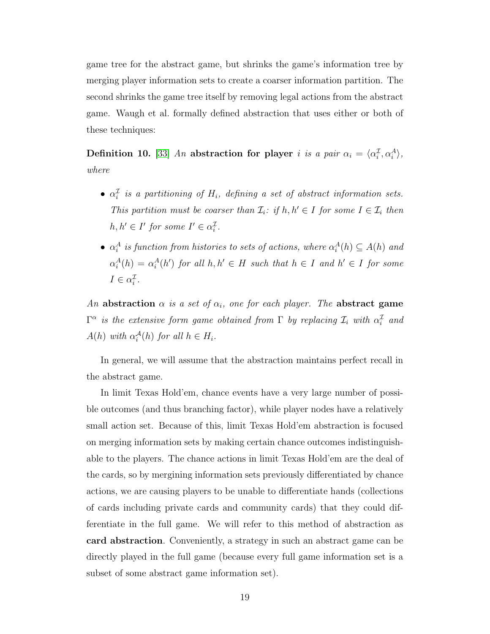game tree for the abstract game, but shrinks the game's information tree by merging player information sets to create a coarser information partition. The second shrinks the game tree itself by removing legal actions from the abstract game. Waugh et al. formally defined abstraction that uses either or both of these techniques:

Definition 10. [\[33\]](#page-75-0) An abstraction for player i is a pair  $\alpha_i = \langle \alpha_i^{\mathcal{I}}, \alpha_i^{\mathcal{A}} \rangle$ , where

- $\alpha_i^{\mathcal{I}}$  is a partitioning of  $H_i$ , defining a set of abstract information sets. This partition must be coarser than  $\mathcal{I}_i$ : if  $h, h' \in I$  for some  $I \in \mathcal{I}_i$  then  $h, h' \in I'$  for some  $I' \in \alpha_i^{\mathcal{I}}$ .
- $\alpha_i^A$  is function from histories to sets of actions, where  $\alpha_i^A(h) \subseteq A(h)$  and  $\alpha_i^A(h) = \alpha_i^A(h')$  for all  $h, h' \in H$  such that  $h \in I$  and  $h' \in I$  for some  $I \in \alpha_i^{\mathcal{I}}$ .

An abstraction  $\alpha$  is a set of  $\alpha_i$ , one for each player. The abstract game  $\Gamma^{\alpha}$  is the extensive form game obtained from  $\Gamma$  by replacing  $\mathcal{I}_i$  with  $\alpha_i^{\mathcal{I}}$  and  $A(h)$  with  $\alpha_i^{\mathcal{A}}(h)$  for all  $h \in H_i$ .

In general, we will assume that the abstraction maintains perfect recall in the abstract game.

In limit Texas Hold'em, chance events have a very large number of possible outcomes (and thus branching factor), while player nodes have a relatively small action set. Because of this, limit Texas Hold'em abstraction is focused on merging information sets by making certain chance outcomes indistinguishable to the players. The chance actions in limit Texas Hold'em are the deal of the cards, so by mergining information sets previously differentiated by chance actions, we are causing players to be unable to differentiate hands (collections of cards including private cards and community cards) that they could differentiate in the full game. We will refer to this method of abstraction as card abstraction. Conveniently, a strategy in such an abstract game can be directly played in the full game (because every full game information set is a subset of some abstract game information set).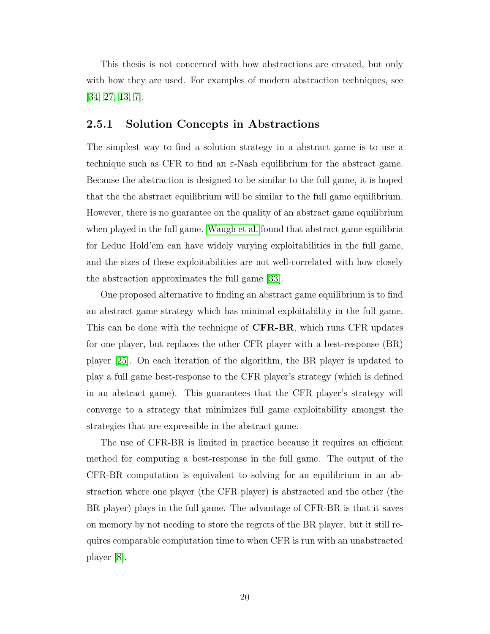This thesis is not concerned with how abstractions are created, but only with how they are used. For examples of modern abstraction techniques, see [\[34,](#page-75-8) [27,](#page-75-9) [13,](#page-74-10) [7\]](#page-73-6).

#### <span id="page-27-0"></span>2.5.1 Solution Concepts in Abstractions

The simplest way to find a solution strategy in a abstract game is to use a technique such as CFR to find an  $\varepsilon$ -Nash equilibrium for the abstract game. Because the abstraction is designed to be similar to the full game, it is hoped that the the abstract equilibrium will be similar to the full game equilibrium. However, there is no guarantee on the quality of an abstract game equilibrium when played in the full game. [Waugh et al.](#page-75-0) found that abstract game equilibria for Leduc Hold'em can have widely varying exploitabilities in the full game, and the sizes of these exploitabilities are not well-correlated with how closely the abstraction approximates the full game [\[33\]](#page-75-0).

One proposed alternative to finding an abstract game equilibrium is to find an abstract game strategy which has minimal exploitability in the full game. This can be done with the technique of **CFR-BR**, which runs CFR updates for one player, but replaces the other CFR player with a best-response (BR) player [\[25\]](#page-75-10). On each iteration of the algorithm, the BR player is updated to play a full game best-response to the CFR player's strategy (which is defined in an abstract game). This guarantees that the CFR player's strategy will converge to a strategy that minimizes full game exploitability amongst the strategies that are expressible in the abstract game.

The use of CFR-BR is limited in practice because it requires an efficient method for computing a best-response in the full game. The output of the CFR-BR computation is equivalent to solving for an equilibrium in an abstraction where one player (the CFR player) is abstracted and the other (the BR player) plays in the full game. The advantage of CFR-BR is that it saves on memory by not needing to store the regrets of the BR player, but it still requires comparable computation time to when CFR is run with an unabstracted player [\[8\]](#page-73-7).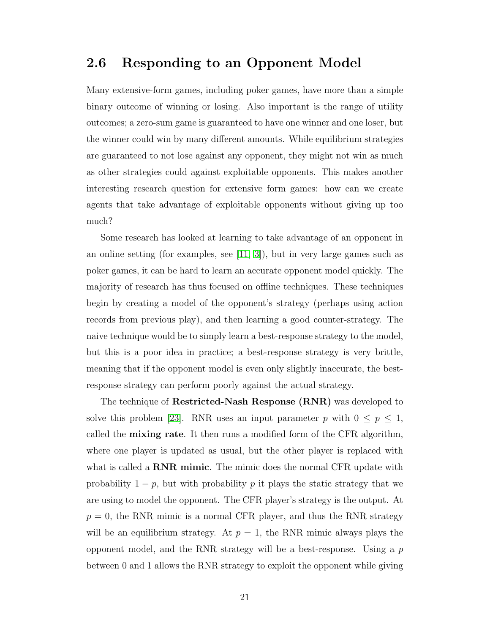## <span id="page-28-0"></span>2.6 Responding to an Opponent Model

Many extensive-form games, including poker games, have more than a simple binary outcome of winning or losing. Also important is the range of utility outcomes; a zero-sum game is guaranteed to have one winner and one loser, but the winner could win by many different amounts. While equilibrium strategies are guaranteed to not lose against any opponent, they might not win as much as other strategies could against exploitable opponents. This makes another interesting research question for extensive form games: how can we create agents that take advantage of exploitable opponents without giving up too much?

Some research has looked at learning to take advantage of an opponent in an online setting (for examples, see  $(11, 3)$ ), but in very large games such as poker games, it can be hard to learn an accurate opponent model quickly. The majority of research has thus focused on offline techniques. These techniques begin by creating a model of the opponent's strategy (perhaps using action records from previous play), and then learning a good counter-strategy. The naive technique would be to simply learn a best-response strategy to the model, but this is a poor idea in practice; a best-response strategy is very brittle, meaning that if the opponent model is even only slightly inaccurate, the bestresponse strategy can perform poorly against the actual strategy.

The technique of **Restricted-Nash Response** (RNR) was developed to solve this problem [\[23\]](#page-74-4). RNR uses an input parameter p with  $0 \le p \le 1$ , called the **mixing rate**. It then runs a modified form of the CFR algorithm, where one player is updated as usual, but the other player is replaced with what is called a **RNR mimic**. The mimic does the normal CFR update with probability  $1 - p$ , but with probability p it plays the static strategy that we are using to model the opponent. The CFR player's strategy is the output. At  $p = 0$ , the RNR mimic is a normal CFR player, and thus the RNR strategy will be an equilibrium strategy. At  $p = 1$ , the RNR mimic always plays the opponent model, and the RNR strategy will be a best-response. Using a  $p$ between 0 and 1 allows the RNR strategy to exploit the opponent while giving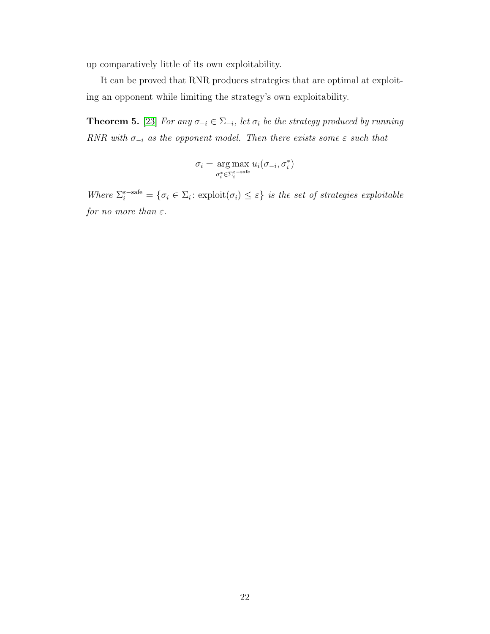up comparatively little of its own exploitability.

It can be proved that RNR produces strategies that are optimal at exploiting an opponent while limiting the strategy's own exploitability.

**Theorem 5.** [\[23\]](#page-74-4) For any  $\sigma_{-i} \in \Sigma_{-i}$ , let  $\sigma_i$  be the strategy produced by running RNR with  $\sigma_{-i}$  as the opponent model. Then there exists some  $\varepsilon$  such that

$$
\sigma_i = \underset{\sigma_i^* \in \Sigma_i^{\varepsilon-{\rm safe}}}{\arg\max} u_i(\sigma_{-i}, \sigma_i^*)
$$

Where  $\Sigma_i^{\varepsilon-\text{safe}} = \{\sigma_i \in \Sigma_i : \text{exploit}(\sigma_i) \leq \varepsilon\}$  is the set of strategies exploitable for no more than  $\varepsilon$ .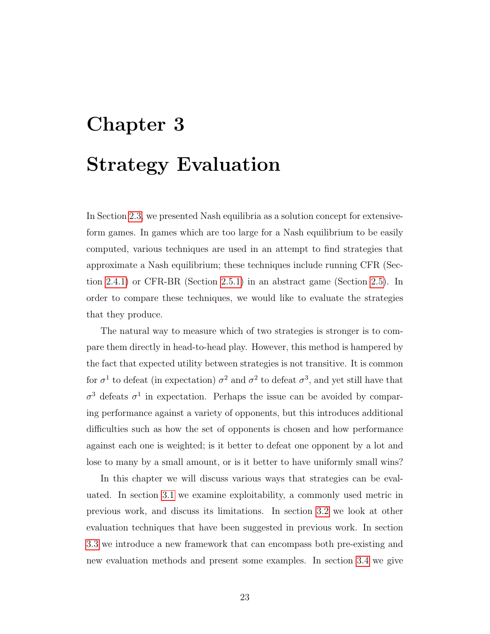# <span id="page-30-0"></span>Chapter 3 Strategy Evaluation

In Section [2.3,](#page-19-0) we presented Nash equilibria as a solution concept for extensiveform games. In games which are too large for a Nash equilibrium to be easily computed, various techniques are used in an attempt to find strategies that approximate a Nash equilibrium; these techniques include running CFR (Section [2.4.1\)](#page-22-0) or CFR-BR (Section [2.5.1\)](#page-27-0) in an abstract game (Section [2.5\)](#page-25-0). In order to compare these techniques, we would like to evaluate the strategies that they produce.

The natural way to measure which of two strategies is stronger is to compare them directly in head-to-head play. However, this method is hampered by the fact that expected utility between strategies is not transitive. It is common for  $\sigma^1$  to defeat (in expectation)  $\sigma^2$  and  $\sigma^2$  to defeat  $\sigma^3$ , and yet still have that  $\sigma^3$  defeats  $\sigma^1$  in expectation. Perhaps the issue can be avoided by comparing performance against a variety of opponents, but this introduces additional difficulties such as how the set of opponents is chosen and how performance against each one is weighted; is it better to defeat one opponent by a lot and lose to many by a small amount, or is it better to have uniformly small wins?

In this chapter we will discuss various ways that strategies can be evaluated. In section [3.1](#page-31-0) we examine exploitability, a commonly used metric in previous work, and discuss its limitations. In section [3.2](#page-33-0) we look at other evaluation techniques that have been suggested in previous work. In section [3.3](#page-35-0) we introduce a new framework that can encompass both pre-existing and new evaluation methods and present some examples. In section [3.4](#page-37-0) we give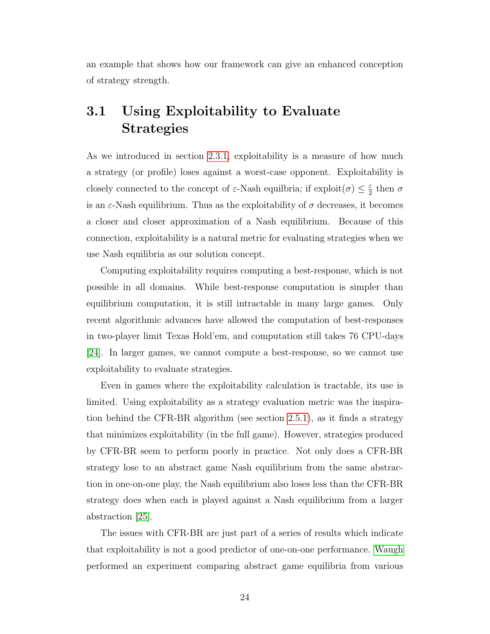an example that shows how our framework can give an enhanced conception of strategy strength.

# <span id="page-31-0"></span>3.1 Using Exploitability to Evaluate Strategies

As we introduced in section [2.3.1,](#page-20-0) exploitability is a measure of how much a strategy (or profile) loses against a worst-case opponent. Exploitability is closely connected to the concept of  $\varepsilon$ -Nash equilibria; if  $\exp\{i\omega(\sigma)\} \leq \frac{\varepsilon}{2}$  $rac{\varepsilon}{2}$  then  $\sigma$ is an  $\varepsilon$ -Nash equilibrium. Thus as the exploitability of  $\sigma$  decreases, it becomes a closer and closer approximation of a Nash equilibrium. Because of this connection, exploitability is a natural metric for evaluating strategies when we use Nash equilibria as our solution concept.

Computing exploitability requires computing a best-response, which is not possible in all domains. While best-response computation is simpler than equilibrium computation, it is still intractable in many large games. Only recent algorithmic advances have allowed the computation of best-responses in two-player limit Texas Hold'em, and computation still takes 76 CPU-days [\[24\]](#page-74-1). In larger games, we cannot compute a best-response, so we cannot use exploitability to evaluate strategies.

Even in games where the exploitability calculation is tractable, its use is limited. Using exploitability as a strategy evaluation metric was the inspiration behind the CFR-BR algorithm (see section [2.5.1\)](#page-27-0), as it finds a strategy that minimizes exploitability (in the full game). However, strategies produced by CFR-BR seem to perform poorly in practice. Not only does a CFR-BR strategy lose to an abstract game Nash equilibrium from the same abstraction in one-on-one play, the Nash equilibrium also loses less than the CFR-BR strategy does when each is played against a Nash equilibrium from a larger abstraction [\[25\]](#page-75-10).

The issues with CFR-BR are just part of a series of results which indicate that exploitability is not a good predictor of one-on-one performance. [Waugh](#page-75-1) performed an experiment comparing abstract game equilibria from various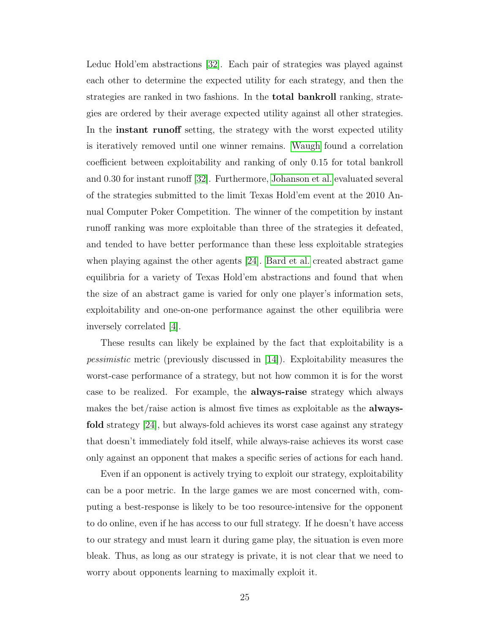Leduc Hold'em abstractions [\[32\]](#page-75-1). Each pair of strategies was played against each other to determine the expected utility for each strategy, and then the strategies are ranked in two fashions. In the total bankroll ranking, strategies are ordered by their average expected utility against all other strategies. In the **instant runoff** setting, the strategy with the worst expected utility is iteratively removed until one winner remains. [Waugh](#page-75-1) found a correlation coefficient between exploitability and ranking of only 0.15 for total bankroll and 0.30 for instant runoff [\[32\]](#page-75-1). Furthermore, [Johanson et al.](#page-74-1) evaluated several of the strategies submitted to the limit Texas Hold'em event at the 2010 Annual Computer Poker Competition. The winner of the competition by instant runoff ranking was more exploitable than three of the strategies it defeated, and tended to have better performance than these less exploitable strategies when playing against the other agents [\[24\]](#page-74-1). [Bard et al.](#page-73-1) created abstract game equilibria for a variety of Texas Hold'em abstractions and found that when the size of an abstract game is varied for only one player's information sets, exploitability and one-on-one performance against the other equilibria were inversely correlated [\[4\]](#page-73-1).

These results can likely be explained by the fact that exploitability is a pessimistic metric (previously discussed in [\[14\]](#page-74-2)). Exploitability measures the worst-case performance of a strategy, but not how common it is for the worst case to be realized. For example, the always-raise strategy which always makes the bet/raise action is almost five times as exploitable as the **always**fold strategy [\[24\]](#page-74-1), but always-fold achieves its worst case against any strategy that doesn't immediately fold itself, while always-raise achieves its worst case only against an opponent that makes a specific series of actions for each hand.

Even if an opponent is actively trying to exploit our strategy, exploitability can be a poor metric. In the large games we are most concerned with, computing a best-response is likely to be too resource-intensive for the opponent to do online, even if he has access to our full strategy. If he doesn't have access to our strategy and must learn it during game play, the situation is even more bleak. Thus, as long as our strategy is private, it is not clear that we need to worry about opponents learning to maximally exploit it.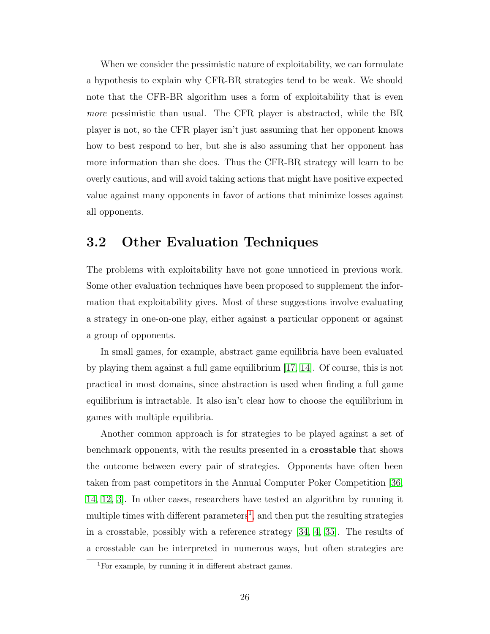When we consider the pessimistic nature of exploitability, we can formulate a hypothesis to explain why CFR-BR strategies tend to be weak. We should note that the CFR-BR algorithm uses a form of exploitability that is even more pessimistic than usual. The CFR player is abstracted, while the BR player is not, so the CFR player isn't just assuming that her opponent knows how to best respond to her, but she is also assuming that her opponent has more information than she does. Thus the CFR-BR strategy will learn to be overly cautious, and will avoid taking actions that might have positive expected value against many opponents in favor of actions that minimize losses against all opponents.

# <span id="page-33-0"></span>3.2 Other Evaluation Techniques

The problems with exploitability have not gone unnoticed in previous work. Some other evaluation techniques have been proposed to supplement the information that exploitability gives. Most of these suggestions involve evaluating a strategy in one-on-one play, either against a particular opponent or against a group of opponents.

In small games, for example, abstract game equilibria have been evaluated by playing them against a full game equilibrium [\[17,](#page-74-11) [14\]](#page-74-2). Of course, this is not practical in most domains, since abstraction is used when finding a full game equilibrium is intractable. It also isn't clear how to choose the equilibrium in games with multiple equilibria.

Another common approach is for strategies to be played against a set of benchmark opponents, with the results presented in a crosstable that shows the outcome between every pair of strategies. Opponents have often been taken from past competitors in the Annual Computer Poker Competition [\[36,](#page-75-3) [14,](#page-74-2) [12,](#page-74-12) [3\]](#page-73-9). In other cases, researchers have tested an algorithm by running it multiple times with different parameters<sup>[1](#page-33-1)</sup>, and then put the resulting strategies in a crosstable, possibly with a reference strategy [\[34,](#page-75-8) [4,](#page-73-1) [35\]](#page-75-11). The results of a crosstable can be interpreted in numerous ways, but often strategies are

<span id="page-33-1"></span><sup>1</sup>For example, by running it in different abstract games.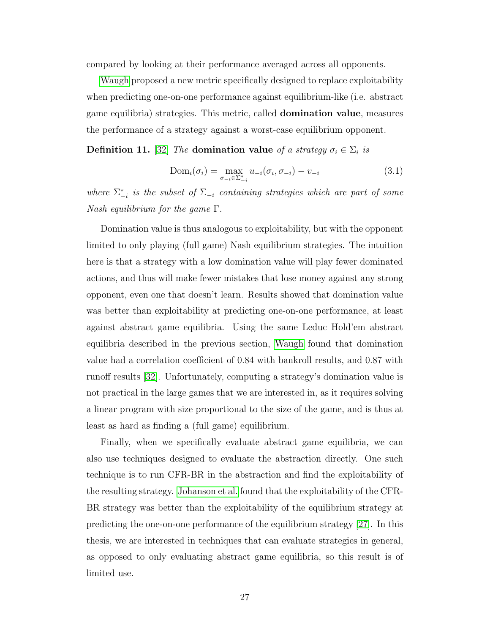compared by looking at their performance averaged across all opponents.

[Waugh](#page-75-1) proposed a new metric specifically designed to replace exploitability when predicting one-on-one performance against equilibrium-like (i.e. abstract game equilibria) strategies. This metric, called domination value, measures the performance of a strategy against a worst-case equilibrium opponent.

**Definition 11.** [\[32\]](#page-75-1) The domination value of a strategy  $\sigma_i \in \Sigma_i$  is

$$
Dom_i(\sigma_i) = \max_{\sigma_{-i} \in \Sigma_{-i}^*} u_{-i}(\sigma_i, \sigma_{-i}) - v_{-i}
$$
\n(3.1)

where  $\Sigma_{-i}^*$  is the subset of  $\Sigma_{-i}$  containing strategies which are part of some Nash equilibrium for the game  $\Gamma$ .

Domination value is thus analogous to exploitability, but with the opponent limited to only playing (full game) Nash equilibrium strategies. The intuition here is that a strategy with a low domination value will play fewer dominated actions, and thus will make fewer mistakes that lose money against any strong opponent, even one that doesn't learn. Results showed that domination value was better than exploitability at predicting one-on-one performance, at least against abstract game equilibria. Using the same Leduc Hold'em abstract equilibria described in the previous section, [Waugh](#page-75-1) found that domination value had a correlation coefficient of 0.84 with bankroll results, and 0.87 with runoff results [\[32\]](#page-75-1). Unfortunately, computing a strategy's domination value is not practical in the large games that we are interested in, as it requires solving a linear program with size proportional to the size of the game, and is thus at least as hard as finding a (full game) equilibrium.

Finally, when we specifically evaluate abstract game equilibria, we can also use techniques designed to evaluate the abstraction directly. One such technique is to run CFR-BR in the abstraction and find the exploitability of the resulting strategy. [Johanson et al.](#page-75-9) found that the exploitability of the CFR-BR strategy was better than the exploitability of the equilibrium strategy at predicting the one-on-one performance of the equilibrium strategy [\[27\]](#page-75-9). In this thesis, we are interested in techniques that can evaluate strategies in general, as opposed to only evaluating abstract game equilibria, so this result is of limited use.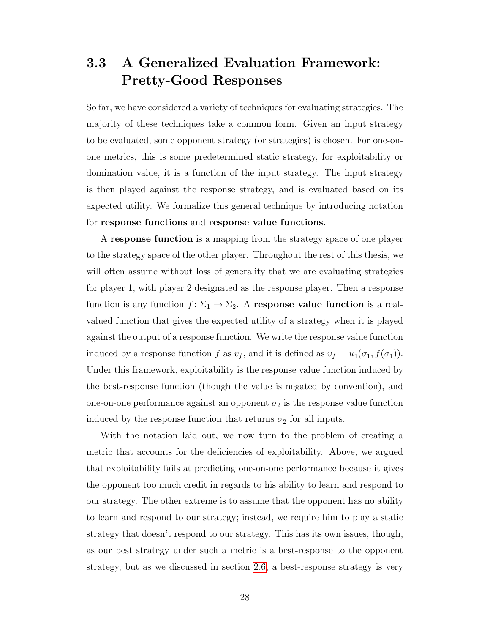# <span id="page-35-0"></span>3.3 A Generalized Evaluation Framework: Pretty-Good Responses

So far, we have considered a variety of techniques for evaluating strategies. The majority of these techniques take a common form. Given an input strategy to be evaluated, some opponent strategy (or strategies) is chosen. For one-onone metrics, this is some predetermined static strategy, for exploitability or domination value, it is a function of the input strategy. The input strategy is then played against the response strategy, and is evaluated based on its expected utility. We formalize this general technique by introducing notation for response functions and response value functions.

A response function is a mapping from the strategy space of one player to the strategy space of the other player. Throughout the rest of this thesis, we will often assume without loss of generality that we are evaluating strategies for player 1, with player 2 designated as the response player. Then a response function is any function  $f: \Sigma_1 \to \Sigma_2$ . A response value function is a realvalued function that gives the expected utility of a strategy when it is played against the output of a response function. We write the response value function induced by a response function f as  $v_f$ , and it is defined as  $v_f = u_1(\sigma_1, f(\sigma_1))$ . Under this framework, exploitability is the response value function induced by the best-response function (though the value is negated by convention), and one-on-one performance against an opponent  $\sigma_2$  is the response value function induced by the response function that returns  $\sigma_2$  for all inputs.

With the notation laid out, we now turn to the problem of creating a metric that accounts for the deficiencies of exploitability. Above, we argued that exploitability fails at predicting one-on-one performance because it gives the opponent too much credit in regards to his ability to learn and respond to our strategy. The other extreme is to assume that the opponent has no ability to learn and respond to our strategy; instead, we require him to play a static strategy that doesn't respond to our strategy. This has its own issues, though, as our best strategy under such a metric is a best-response to the opponent strategy, but as we discussed in section [2.6,](#page-28-0) a best-response strategy is very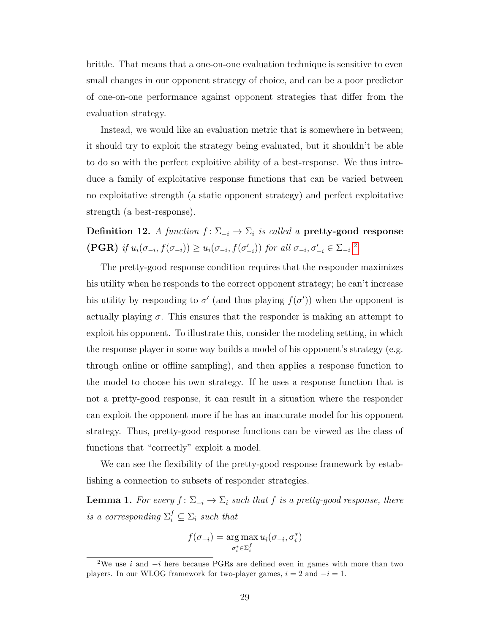brittle. That means that a one-on-one evaluation technique is sensitive to even small changes in our opponent strategy of choice, and can be a poor predictor of one-on-one performance against opponent strategies that differ from the evaluation strategy.

Instead, we would like an evaluation metric that is somewhere in between; it should try to exploit the strategy being evaluated, but it shouldn't be able to do so with the perfect exploitive ability of a best-response. We thus introduce a family of exploitative response functions that can be varied between no exploitative strength (a static opponent strategy) and perfect exploitative strength (a best-response).

Definition 12. A function  $f: \Sigma_{-i} \to \Sigma_i$  is called a pretty-good response (PGR) if  $u_i(\sigma_{-i}, f(\sigma_{-i})) \geq u_i(\sigma_{-i}, f(\sigma'_{-i}))$  for all  $\sigma_{-i}, \sigma'_{-i} \in \Sigma_{-i}$ .<sup>[2](#page-36-0)</sup>

The pretty-good response condition requires that the responder maximizes his utility when he responds to the correct opponent strategy; he can't increase his utility by responding to  $\sigma'$  (and thus playing  $f(\sigma')$ ) when the opponent is actually playing  $\sigma$ . This ensures that the responder is making an attempt to exploit his opponent. To illustrate this, consider the modeling setting, in which the response player in some way builds a model of his opponent's strategy (e.g. through online or offline sampling), and then applies a response function to the model to choose his own strategy. If he uses a response function that is not a pretty-good response, it can result in a situation where the responder can exploit the opponent more if he has an inaccurate model for his opponent strategy. Thus, pretty-good response functions can be viewed as the class of functions that "correctly" exploit a model.

We can see the flexibility of the pretty-good response framework by establishing a connection to subsets of responder strategies.

**Lemma 1.** For every  $f: \Sigma_{-i} \to \Sigma_i$  such that f is a pretty-good response, there is a corresponding  $\Sigma_i^f \subseteq \Sigma_i$  such that

$$
f(\sigma_{-i}) = \underset{\sigma_i^* \in \Sigma_i^f}{\arg \max} u_i(\sigma_{-i}, \sigma_i^*)
$$

<span id="page-36-0"></span><sup>&</sup>lt;sup>2</sup>We use i and  $-i$  here because PGRs are defined even in games with more than two players. In our WLOG framework for two-player games,  $i = 2$  and  $-i = 1$ .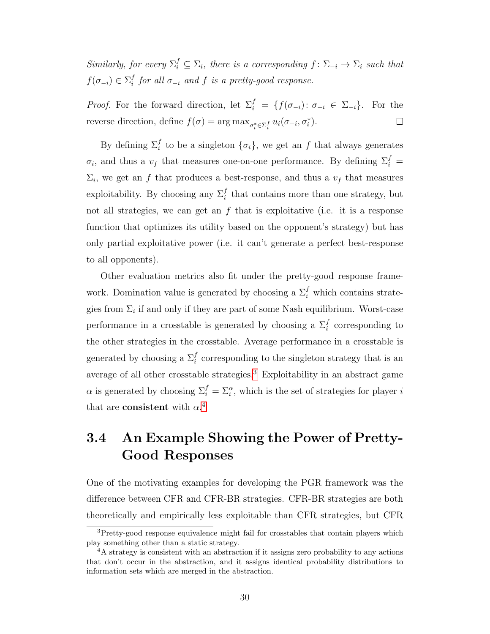Similarly, for every  $\Sigma_i^f \subseteq \Sigma_i$ , there is a corresponding  $f: \Sigma_{-i} \to \Sigma_i$  such that  $f(\sigma_{-i}) \in \Sigma_i^f$  $\int_i^J$  for all  $\sigma_{-i}$  and  $f$  is a pretty-good response.

*Proof.* For the forward direction, let  $\Sigma_i^f = \{f(\sigma_{-i}) : \sigma_{-i} \in \Sigma_{-i}\}.$  For the reverse direction, define  $f(\sigma) = \arg \max_{\sigma_i^* \in \Sigma_i^f} u_i(\sigma_{-i}, \sigma_i^*).$  $\Box$ 

By defining  $\Sigma_i^f$  to be a singleton  $\{\sigma_i\}$ , we get an f that always generates  $\sigma_i$ , and thus a  $v_f$  that measures one-on-one performance. By defining  $\Sigma_i^f$  =  $\Sigma_i$ , we get an f that produces a best-response, and thus a  $v_f$  that measures exploitability. By choosing any  $\Sigma_i^f$  that contains more than one strategy, but not all strategies, we can get an  $f$  that is exploitative (i.e. it is a response function that optimizes its utility based on the opponent's strategy) but has only partial exploitative power (i.e. it can't generate a perfect best-response to all opponents).

Other evaluation metrics also fit under the pretty-good response framework. Domination value is generated by choosing a  $\Sigma_i^f$  which contains strategies from  $\Sigma_i$  if and only if they are part of some Nash equilibrium. Worst-case performance in a crosstable is generated by choosing a  $\Sigma_i^f$  corresponding to the other strategies in the crosstable. Average performance in a crosstable is generated by choosing a  $\Sigma_i^f$  corresponding to the singleton strategy that is an average of all other crosstable strategies.<sup>[3](#page-37-0)</sup> Exploitability in an abstract game  $\alpha$  is generated by choosing  $\Sigma_i^f = \Sigma_i^{\alpha}$ , which is the set of strategies for player i that are **consistent** with  $\alpha$ <sup>[4](#page-37-1)</sup>

## <span id="page-37-2"></span>3.4 An Example Showing the Power of Pretty-Good Responses

One of the motivating examples for developing the PGR framework was the difference between CFR and CFR-BR strategies. CFR-BR strategies are both theoretically and empirically less exploitable than CFR strategies, but CFR

<span id="page-37-0"></span><sup>&</sup>lt;sup>3</sup>Pretty-good response equivalence might fail for crosstables that contain players which play something other than a static strategy.

<span id="page-37-1"></span><sup>4</sup>A strategy is consistent with an abstraction if it assigns zero probability to any actions that don't occur in the abstraction, and it assigns identical probability distributions to information sets which are merged in the abstraction.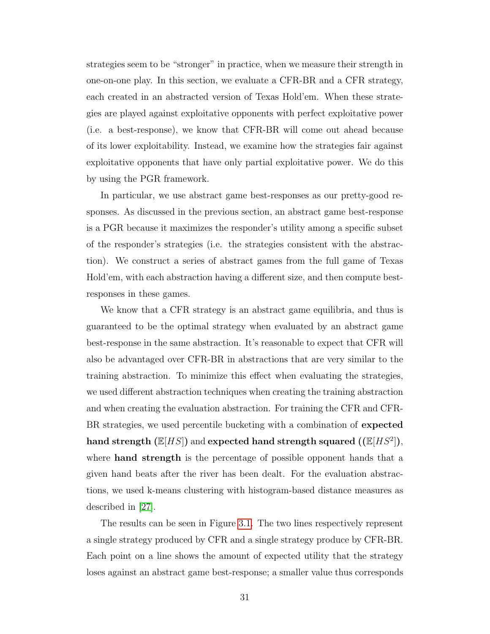strategies seem to be "stronger" in practice, when we measure their strength in one-on-one play. In this section, we evaluate a CFR-BR and a CFR strategy, each created in an abstracted version of Texas Hold'em. When these strategies are played against exploitative opponents with perfect exploitative power (i.e. a best-response), we know that CFR-BR will come out ahead because of its lower exploitability. Instead, we examine how the strategies fair against exploitative opponents that have only partial exploitative power. We do this by using the PGR framework.

In particular, we use abstract game best-responses as our pretty-good responses. As discussed in the previous section, an abstract game best-response is a PGR because it maximizes the responder's utility among a specific subset of the responder's strategies (i.e. the strategies consistent with the abstraction). We construct a series of abstract games from the full game of Texas Hold'em, with each abstraction having a different size, and then compute bestresponses in these games.

We know that a CFR strategy is an abstract game equilibria, and thus is guaranteed to be the optimal strategy when evaluated by an abstract game best-response in the same abstraction. It's reasonable to expect that CFR will also be advantaged over CFR-BR in abstractions that are very similar to the training abstraction. To minimize this effect when evaluating the strategies, we used different abstraction techniques when creating the training abstraction and when creating the evaluation abstraction. For training the CFR and CFR-BR strategies, we used percentile bucketing with a combination of expected hand strength  $(\mathbb{E}[HS])$  and expected hand strength squared  $((\mathbb{E}[HS^2]),$ where **hand strength** is the percentage of possible opponent hands that a given hand beats after the river has been dealt. For the evaluation abstractions, we used k-means clustering with histogram-based distance measures as described in [\[27\]](#page-75-0).

The results can be seen in Figure [3.1.](#page-39-0) The two lines respectively represent a single strategy produced by CFR and a single strategy produce by CFR-BR. Each point on a line shows the amount of expected utility that the strategy loses against an abstract game best-response; a smaller value thus corresponds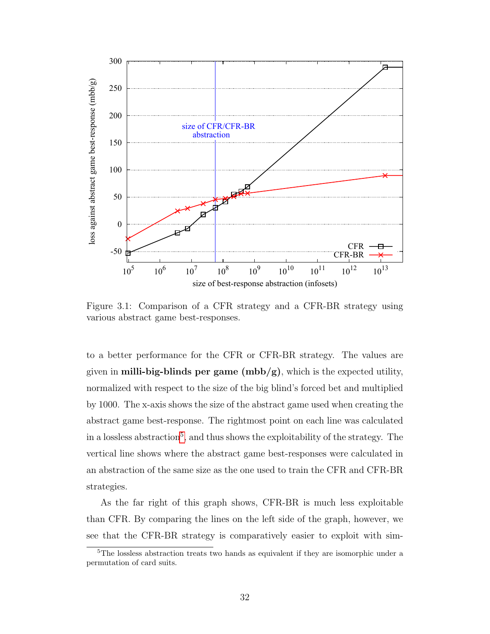

<span id="page-39-0"></span>Figure 3.1: Comparison of a CFR strategy and a CFR-BR strategy using various abstract game best-responses.

to a better performance for the CFR or CFR-BR strategy. The values are given in **milli-big-blinds per game** ( $mbb/g$ ), which is the expected utility, normalized with respect to the size of the big blind's forced bet and multiplied by 1000. The x-axis shows the size of the abstract game used when creating the abstract game best-response. The rightmost point on each line was calculated in a lossless abstraction<sup>[5](#page-39-1)</sup>, and thus shows the exploitability of the strategy. The vertical line shows where the abstract game best-responses were calculated in an abstraction of the same size as the one used to train the CFR and CFR-BR strategies.

As the far right of this graph shows, CFR-BR is much less exploitable than CFR. By comparing the lines on the left side of the graph, however, we see that the CFR-BR strategy is comparatively easier to exploit with sim-

<span id="page-39-1"></span><sup>&</sup>lt;sup>5</sup>The lossless abstraction treats two hands as equivalent if they are isomorphic under a permutation of card suits.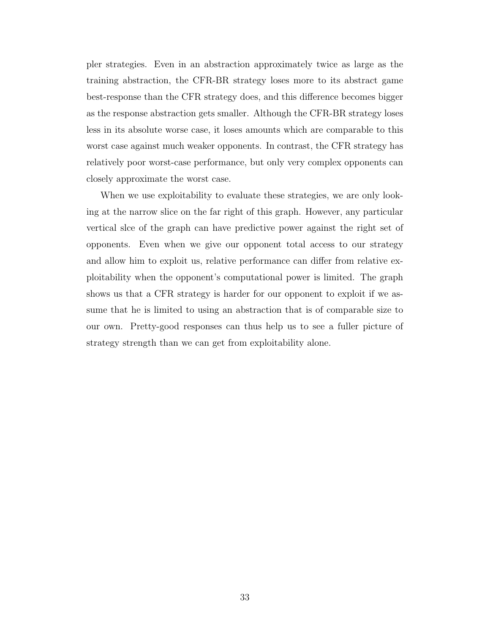pler strategies. Even in an abstraction approximately twice as large as the training abstraction, the CFR-BR strategy loses more to its abstract game best-response than the CFR strategy does, and this difference becomes bigger as the response abstraction gets smaller. Although the CFR-BR strategy loses less in its absolute worse case, it loses amounts which are comparable to this worst case against much weaker opponents. In contrast, the CFR strategy has relatively poor worst-case performance, but only very complex opponents can closely approximate the worst case.

When we use exploitability to evaluate these strategies, we are only looking at the narrow slice on the far right of this graph. However, any particular vertical slce of the graph can have predictive power against the right set of opponents. Even when we give our opponent total access to our strategy and allow him to exploit us, relative performance can differ from relative exploitability when the opponent's computational power is limited. The graph shows us that a CFR strategy is harder for our opponent to exploit if we assume that he is limited to using an abstraction that is of comparable size to our own. Pretty-good responses can thus help us to see a fuller picture of strategy strength than we can get from exploitability alone.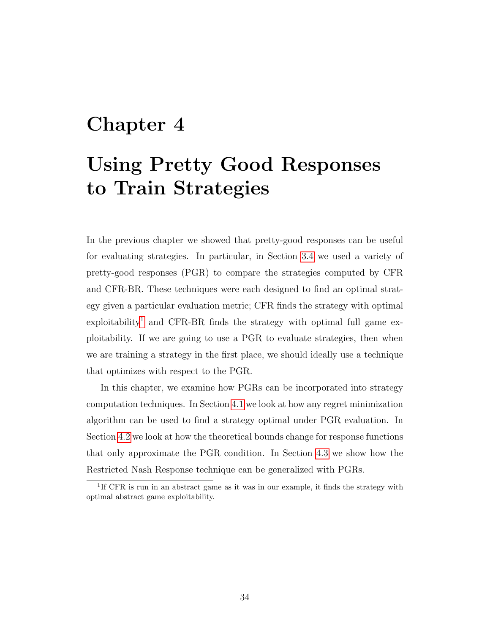## <span id="page-41-1"></span>Chapter 4

## Using Pretty Good Responses to Train Strategies

In the previous chapter we showed that pretty-good responses can be useful for evaluating strategies. In particular, in Section [3.4](#page-37-2) we used a variety of pretty-good responses (PGR) to compare the strategies computed by CFR and CFR-BR. These techniques were each designed to find an optimal strategy given a particular evaluation metric; CFR finds the strategy with optimal  $\alpha$  exploitability<sup>[1](#page-41-0)</sup> and CFR-BR finds the strategy with optimal full game exploitability. If we are going to use a PGR to evaluate strategies, then when we are training a strategy in the first place, we should ideally use a technique that optimizes with respect to the PGR.

In this chapter, we examine how PGRs can be incorporated into strategy computation techniques. In Section [4.1](#page-42-0) we look at how any regret minimization algorithm can be used to find a strategy optimal under PGR evaluation. In Section [4.2](#page-44-0) we look at how the theoretical bounds change for response functions that only approximate the PGR condition. In Section [4.3](#page-50-0) we show how the Restricted Nash Response technique can be generalized with PGRs.

<span id="page-41-0"></span><sup>&</sup>lt;sup>1</sup>If CFR is run in an abstract game as it was in our example, it finds the strategy with optimal abstract game exploitability.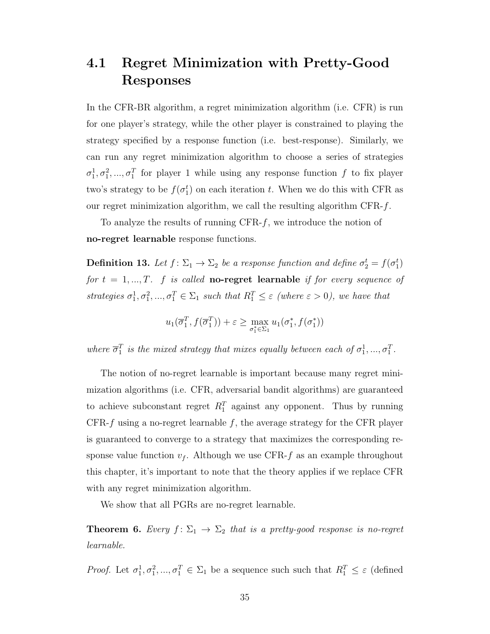### <span id="page-42-0"></span>4.1 Regret Minimization with Pretty-Good Responses

In the CFR-BR algorithm, a regret minimization algorithm (i.e. CFR) is run for one player's strategy, while the other player is constrained to playing the strategy specified by a response function (i.e. best-response). Similarly, we can run any regret minimization algorithm to choose a series of strategies  $\sigma_1^1, \sigma_1^2, ..., \sigma_1^T$  for player 1 while using any response function f to fix player two's strategy to be  $f(\sigma_1^t)$  on each iteration t. When we do this with CFR as our regret minimization algorithm, we call the resulting algorithm  $CFR-f$ .

To analyze the results of running  $CFR-f$ , we introduce the notion of no-regret learnable response functions.

**Definition 13.** Let  $f: \Sigma_1 \to \Sigma_2$  be a response function and define  $\sigma_2^t = f(\sigma_1^t)$ for  $t = 1, ..., T$ . f is called **no-regret learnable** if for every sequence of strategies  $\sigma_1^1, \sigma_1^2, ..., \sigma_1^T \in \Sigma_1$  such that  $R_1^T \leq \varepsilon$  (where  $\varepsilon > 0$ ), we have that

$$
u_1(\overline{\sigma}_1^T, f(\overline{\sigma}_1^T)) + \varepsilon \ge \max_{\sigma_1^* \in \Sigma_1} u_1(\sigma_1^*, f(\sigma_1^*))
$$

where  $\overline{\sigma}_1^T$  is the mixed strategy that mixes equally between each of  $\sigma_1^1, ..., \sigma_1^T$ .

The notion of no-regret learnable is important because many regret minimization algorithms (i.e. CFR, adversarial bandit algorithms) are guaranteed to achieve subconstant regret  $R_1^T$  against any opponent. Thus by running CFR- $f$  using a no-regret learnable  $f$ , the average strategy for the CFR player is guaranteed to converge to a strategy that maximizes the corresponding response value function  $v_f$ . Although we use CFR-f as an example throughout this chapter, it's important to note that the theory applies if we replace CFR with any regret minimization algorithm.

We show that all PGRs are no-regret learnable.

<span id="page-42-1"></span>**Theorem 6.** Every  $f: \Sigma_1 \to \Sigma_2$  that is a pretty-good response is no-regret learnable.

*Proof.* Let  $\sigma_1^1, \sigma_1^2, ..., \sigma_1^T \in \Sigma_1$  be a sequence such such that  $R_1^T \leq \varepsilon$  (defined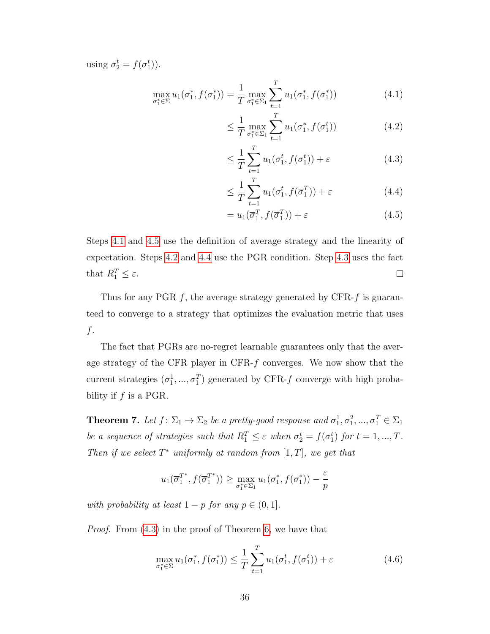using  $\sigma_2^t = f(\sigma_1^t)$ .

$$
\max_{\sigma_1^* \in \Sigma} u_1(\sigma_1^*, f(\sigma_1^*)) = \frac{1}{T} \max_{\sigma_1^* \in \Sigma_1} \sum_{t=1}^T u_1(\sigma_1^*, f(\sigma_1^*))
$$
\n(4.1)

<span id="page-43-2"></span><span id="page-43-0"></span>
$$
\leq \frac{1}{T} \max_{\sigma_1^* \in \Sigma_1} \sum_{t=1}^T u_1(\sigma_1^*, f(\sigma_1^t)) \tag{4.2}
$$

<span id="page-43-4"></span>
$$
\leq \frac{1}{T} \sum_{t=1}^{T} u_1(\sigma_1^t, f(\sigma_1^t)) + \varepsilon
$$
\n(4.3)

<span id="page-43-3"></span>
$$
\leq \frac{1}{T} \sum_{t=1}^{T} u_1(\sigma_1^t, f(\overline{\sigma}_1^T)) + \varepsilon
$$
\n(4.4)

<span id="page-43-1"></span>
$$
= u_1(\overline{\sigma}_1^T, f(\overline{\sigma}_1^T)) + \varepsilon \tag{4.5}
$$

Steps [4.1](#page-43-0) and [4.5](#page-43-1) use the definition of average strategy and the linearity of expectation. Steps [4.2](#page-43-2) and [4.4](#page-43-3) use the PGR condition. Step [4.3](#page-43-4) uses the fact that  $R_1^T \leq \varepsilon$ .  $\Box$ 

Thus for any PGR  $f$ , the average strategy generated by CFR- $f$  is guaranteed to converge to a strategy that optimizes the evaluation metric that uses f.

The fact that PGRs are no-regret learnable guarantees only that the average strategy of the CFR player in CFR-f converges. We now show that the current strategies  $(\sigma_1^1, ..., \sigma_1^T)$  generated by CFR-f converge with high probability if  $f$  is a PGR.

<span id="page-43-6"></span>**Theorem 7.** Let  $f: \Sigma_1 \to \Sigma_2$  be a pretty-good response and  $\sigma_1^1, \sigma_1^2, ..., \sigma_1^T \in \Sigma_1$ be a sequence of strategies such that  $R_1^T \leq \varepsilon$  when  $\sigma_2^t = f(\sigma_1^t)$  for  $t = 1, ..., T$ . Then if we select  $T^*$  uniformly at random from  $[1, T]$ , we get that

$$
u_1(\overline{\sigma}_1^{T^*}, f(\overline{\sigma}_1^{T^*})) \ge \max_{\sigma_1^* \in \Sigma_1} u_1(\sigma_1^*, f(\sigma_1^*)) - \frac{\varepsilon}{p}
$$

with probability at least  $1 - p$  for any  $p \in (0, 1]$ .

Proof. From [\(4.3\)](#page-43-4) in the proof of Theorem [6,](#page-42-1) we have that

<span id="page-43-5"></span>
$$
\max_{\sigma_1^* \in \Sigma} u_1(\sigma_1^*, f(\sigma_1^*)) \le \frac{1}{T} \sum_{t=1}^T u_1(\sigma_1^t, f(\sigma_1^t)) + \varepsilon
$$
\n(4.6)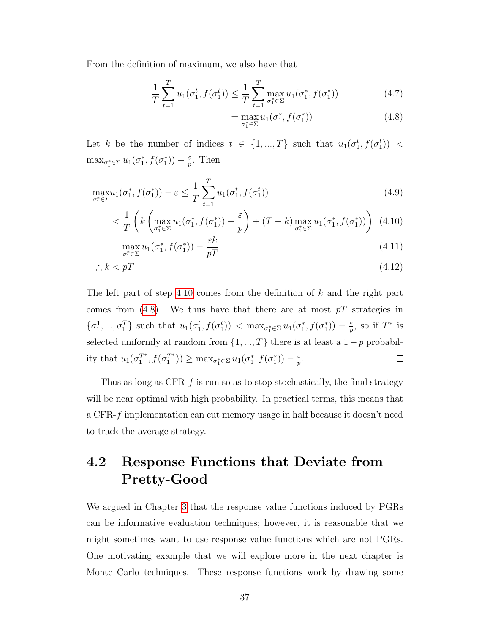From the definition of maximum, we also have that

$$
\frac{1}{T} \sum_{t=1}^{T} u_1(\sigma_1^t, f(\sigma_1^t)) \le \frac{1}{T} \sum_{t=1}^{T} \max_{\sigma_1^* \in \Sigma} u_1(\sigma_1^*, f(\sigma_1^*))
$$
\n(4.7)

<span id="page-44-2"></span><span id="page-44-1"></span>
$$
= \max_{\sigma_1^* \in \Sigma} u_1(\sigma_1^*, f(\sigma_1^*))
$$
\n(4.8)

Let k be the number of indices  $t \in \{1, ..., T\}$  such that  $u_1(\sigma_1^t, f(\sigma_1^t))$  <  $\max_{\sigma_1^* \in \Sigma} u_1(\sigma_1^*, f(\sigma_1^*)) - \frac{\varepsilon}{p}$  $\frac{\varepsilon}{p}$ . Then

$$
\max_{\sigma_1^* \in \Sigma} u_1(\sigma_1^*, f(\sigma_1^*)) - \varepsilon \le \frac{1}{T} \sum_{t=1}^T u_1(\sigma_1^t, f(\sigma_1^t))
$$
\n(4.9)

$$
\langle \frac{1}{T} \left( k \left( \max_{\sigma_1^* \in \Sigma} u_1(\sigma_1^*, f(\sigma_1^*)) - \frac{\varepsilon}{p} \right) + (T - k) \max_{\sigma_1^* \in \Sigma} u_1(\sigma_1^*, f(\sigma_1^*)) \right) (4.10)
$$

$$
= \max_{\sigma_1^* \in \Sigma} u_1(\sigma_1^*, f(\sigma_1^*)) - \frac{\varepsilon k}{pT}
$$
\n(4.11)

$$
\therefore k < p \tag{4.12}
$$

The left part of step [4.10](#page-44-1) comes from the definition of  $k$  and the right part comes from [\(4.8\)](#page-44-2). We thus have that there are at most  $pT$  strategies in  $\{\sigma_1^1,\ldots,\sigma_1^T\}$  such that  $u_1(\sigma_1^t, f(\sigma_1^t)) < \max_{\sigma_1^* \in \Sigma} u_1(\sigma_1^*, f(\sigma_1^*)) - \frac{\varepsilon}{p}$  $\frac{\varepsilon}{p}$ , so if  $T^*$  is selected uniformly at random from  $\{1, ..., T\}$  there is at least a  $1 - p$  probability that  $u_1(\sigma_1^{T^*})$  $T^*, f(\sigma_1^{T*})$  $\binom{T^*}{1}$   $\geq$  max<sub> $\sigma_1^* \in \Sigma$ </sub>  $u_1(\sigma_1^*, f(\sigma_1^*)) - \frac{\varepsilon}{p}$  $\frac{\varepsilon}{p}$ .  $\Box$ 

Thus as long as  $CFR-f$  is run so as to stop stochastically, the final strategy will be near optimal with high probability. In practical terms, this means that a CFR-f implementation can cut memory usage in half because it doesn't need to track the average strategy.

### <span id="page-44-0"></span>4.2 Response Functions that Deviate from Pretty-Good

We argued in Chapter [3](#page-30-0) that the response value functions induced by PGRs can be informative evaluation techniques; however, it is reasonable that we might sometimes want to use response value functions which are not PGRs. One motivating example that we will explore more in the next chapter is Monte Carlo techniques. These response functions work by drawing some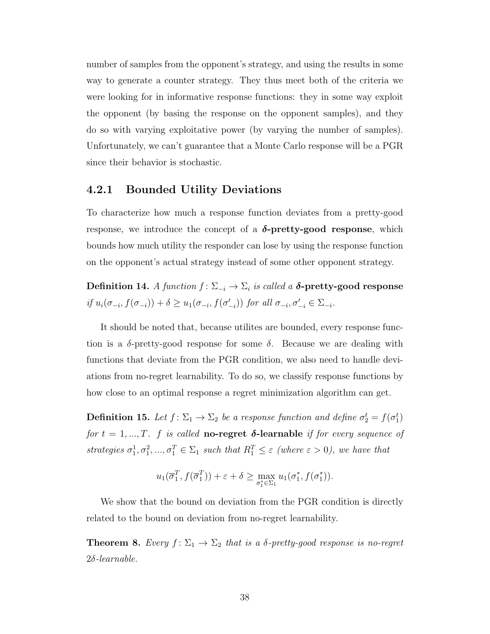number of samples from the opponent's strategy, and using the results in some way to generate a counter strategy. They thus meet both of the criteria we were looking for in informative response functions: they in some way exploit the opponent (by basing the response on the opponent samples), and they do so with varying exploitative power (by varying the number of samples). Unfortunately, we can't guarantee that a Monte Carlo response will be a PGR since their behavior is stochastic.

### 4.2.1 Bounded Utility Deviations

To characterize how much a response function deviates from a pretty-good response, we introduce the concept of a  $\delta$ -pretty-good response, which bounds how much utility the responder can lose by using the response function on the opponent's actual strategy instead of some other opponent strategy.

Definition 14. A function  $f: \Sigma_{-i} \to \Sigma_i$  is called a **δ-pretty-good response** if  $u_i(\sigma_{-i}, f(\sigma_{-i})) + \delta \ge u_1(\sigma_{-i}, f(\sigma'_{-i}))$  for all  $\sigma_{-i}, \sigma'_{-i} \in \Sigma_{-i}$ .

It should be noted that, because utilites are bounded, every response function is a  $\delta$ -pretty-good response for some  $\delta$ . Because we are dealing with functions that deviate from the PGR condition, we also need to handle deviations from no-regret learnability. To do so, we classify response functions by how close to an optimal response a regret minimization algorithm can get.

**Definition 15.** Let  $f: \Sigma_1 \to \Sigma_2$  be a response function and define  $\sigma_2^t = f(\sigma_1^t)$ for  $t = 1, ..., T$ . f is called **no-regret**  $\delta$ **-learnable** if for every sequence of strategies  $\sigma_1^1, \sigma_1^2, ..., \sigma_1^T \in \Sigma_1$  such that  $R_1^T \leq \varepsilon$  (where  $\varepsilon > 0$ ), we have that

$$
u_1(\overline{\sigma}_1^T, f(\overline{\sigma}_1^T)) + \varepsilon + \delta \ge \max_{\sigma_1^* \in \Sigma_1} u_1(\sigma_1^*, f(\sigma_1^*)).
$$

We show that the bound on deviation from the PGR condition is directly related to the bound on deviation from no-regret learnability.

<span id="page-45-0"></span>**Theorem 8.** Every  $f: \Sigma_1 \to \Sigma_2$  that is a  $\delta$ -pretty-good response is no-regret 2δ-learnable.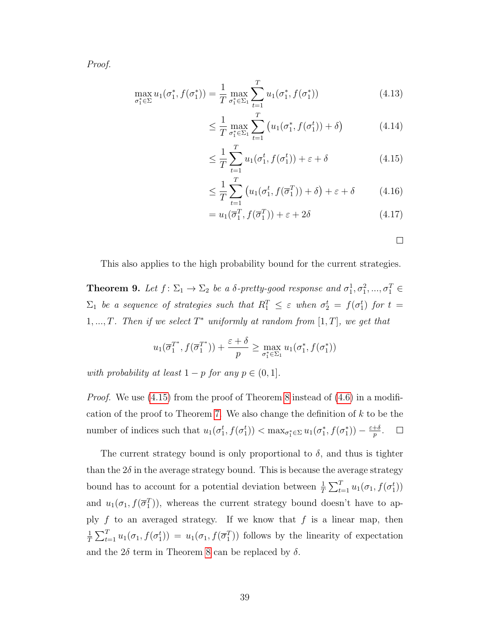Proof.

$$
\max_{\sigma_1^* \in \Sigma} u_1(\sigma_1^*, f(\sigma_1^*)) = \frac{1}{T} \max_{\sigma_1^* \in \Sigma_1} \sum_{t=1}^T u_1(\sigma_1^*, f(\sigma_1^*))
$$
\n(4.13)

$$
\leq \frac{1}{T} \max_{\sigma_1^* \in \Sigma_1} \sum_{t=1}^T \left( u_1(\sigma_1^*, f(\sigma_1^t)) + \delta \right) \tag{4.14}
$$

$$
\leq \frac{1}{T} \sum_{t=1}^{T} u_1(\sigma_1^t, f(\sigma_1^t)) + \varepsilon + \delta
$$
\n(4.15)

$$
\leq \frac{1}{T} \sum_{t=1}^{T} \left( u_1(\sigma_1^t, f(\overline{\sigma}_1^T)) + \delta \right) + \varepsilon + \delta \tag{4.16}
$$

$$
= u_1(\overline{\sigma}_1^T, f(\overline{\sigma}_1^T)) + \varepsilon + 2\delta \tag{4.17}
$$

<span id="page-46-0"></span>

This also applies to the high probability bound for the current strategies.

**Theorem 9.** Let  $f: \Sigma_1 \to \Sigma_2$  be a  $\delta$ -pretty-good response and  $\sigma_1^1, \sigma_1^2, ..., \sigma_1^T \in$  $\Sigma_1$  be a sequence of strategies such that  $R_1^T \leq \varepsilon$  when  $\sigma_2^t = f(\sigma_1^t)$  for  $t =$ 1,..., T. Then if we select  $T^*$  uniformly at random from [1, T], we get that

$$
u_1(\overline{\sigma}_1^{T^*}, f(\overline{\sigma}_1^{T^*})) + \frac{\varepsilon + \delta}{p} \ge \max_{\sigma_1^* \in \Sigma_1} u_1(\sigma_1^*, f(\sigma_1^*))
$$

with probability at least  $1 - p$  for any  $p \in (0, 1]$ .

*Proof.* We use  $(4.15)$  from the proof of Theorem [8](#page-45-0) instead of  $(4.6)$  in a modifi-cation of the proof to Theorem [7.](#page-43-6) We also change the definition of  $k$  to be the number of indices such that  $u_1(\sigma_1^t, f(\sigma_1^t)) < \max_{\sigma_1^* \in \Sigma} u_1(\sigma_1^*, f(\sigma_1^*)) - \frac{\varepsilon + \delta}{p}$  $\frac{+\delta}{p}$  .

The current strategy bound is only proportional to  $\delta$ , and thus is tighter than the  $2\delta$  in the average strategy bound. This is because the average strategy bound has to account for a potential deviation between  $\frac{1}{T} \sum_{t=1}^{T} u_1(\sigma_1, f(\sigma_1^t))$ and  $u_1(\sigma_1, f(\overline{\sigma}_1^T))$ , whereas the current strategy bound doesn't have to apply  $f$  to an averaged strategy. If we know that  $f$  is a linear map, then 1  $\frac{1}{T}\sum_{t=1}^T u_1(\sigma_1, f(\sigma_1^t)) = u_1(\sigma_1, f(\overline{\sigma}_1^T))$  follows by the linearity of expectation and the  $2\delta$  term in Theorem [8](#page-45-0) can be replaced by  $\delta$ .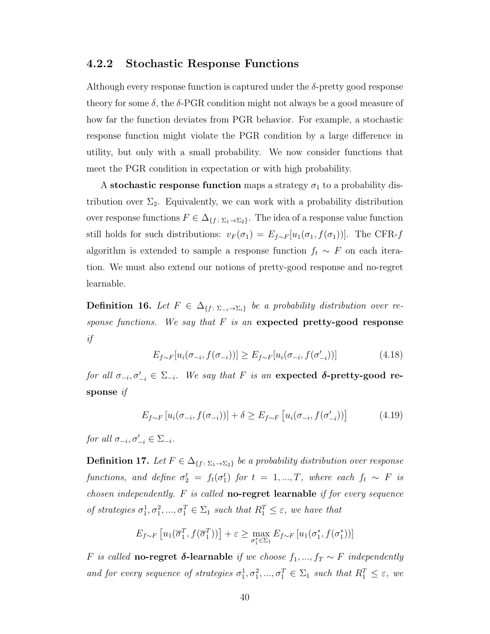### 4.2.2 Stochastic Response Functions

Although every response function is captured under the  $\delta$ -pretty good response theory for some  $\delta$ , the  $\delta$ -PGR condition might not always be a good measure of how far the function deviates from PGR behavior. For example, a stochastic response function might violate the PGR condition by a large difference in utility, but only with a small probability. We now consider functions that meet the PGR condition in expectation or with high probability.

A stochastic response function maps a strategy  $\sigma_1$  to a probability distribution over  $\Sigma_2$ . Equivalently, we can work with a probability distribution over response functions  $F \in \Delta_{\{f : \Sigma_1 \to \Sigma_2\}}$ . The idea of a response value function still holds for such distributions:  $v_F(\sigma_1) = E_{f \sim F}[u_1(\sigma_1, f(\sigma_1))]$ . The CFR-f algorithm is extended to sample a response function  $f_t \sim F$  on each iteration. We must also extend our notions of pretty-good response and no-regret learnable.

**Definition 16.** Let  $F \in \Delta_{\{f : \Sigma_{-i} \to \Sigma_i\}}$  be a probability distribution over response functions. We say that  $F$  is an expected pretty-good response if

$$
E_{f \sim F}[u_i(\sigma_{-i}, f(\sigma_{-i}))] \ge E_{f \sim F}[u_i(\sigma_{-i}, f(\sigma'_{-i}))]
$$
\n(4.18)

for all  $\sigma_{-i}, \sigma'_{-i} \in \Sigma_{-i}$ . We say that F is an expected  $\delta$ -pretty-good response if

$$
E_{f \sim F} \left[ u_i(\sigma_{-i}, f(\sigma_{-i})) \right] + \delta \ge E_{f \sim F} \left[ u_i(\sigma_{-i}, f(\sigma'_{-i})) \right] \tag{4.19}
$$

for all  $\sigma_{-i}, \sigma'_{-i} \in \Sigma_{-i}$ .

**Definition 17.** Let  $F \in \Delta_{\{f : \Sigma_1 \to \Sigma_2\}}$  be a probability distribution over response functions, and define  $\sigma_2^t = f_t(\sigma_1^t)$  for  $t = 1, ..., T$ , where each  $f_t \sim F$  is chosen independently.  $F$  is called **no-regret learnable** if for every sequence of strategies  $\sigma_1^1, \sigma_1^2, ..., \sigma_1^T \in \Sigma_1$  such that  $R_1^T \leq \varepsilon$ , we have that

$$
E_{f \sim F} \left[ u_1(\overline{\sigma}_1^T, f(\overline{\sigma}_1^T)) \right] + \varepsilon \ge \max_{\sigma_1^* \in \Sigma_1} E_{f \sim F} \left[ u_1(\sigma_1^*, f(\sigma_1^*)) \right]
$$

F is called no-regret δ-learnable if we choose  $f_1, ..., f_T$  ∼ F independently and for every sequence of strategies  $\sigma_1^1, \sigma_1^2, ..., \sigma_1^T \in \Sigma_1$  such that  $R_1^T \leq \varepsilon$ , we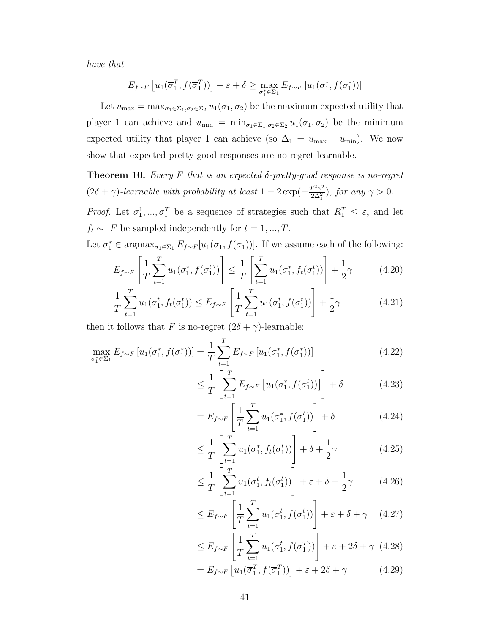have that

$$
E_{f \sim F} \left[ u_1(\overline{\sigma}_1^T, f(\overline{\sigma}_1^T)) \right] + \varepsilon + \delta \ge \max_{\sigma_1^* \in \Sigma_1} E_{f \sim F} \left[ u_1(\sigma_1^*, f(\sigma_1^*)) \right]
$$

Let  $u_{\text{max}} = \max_{\sigma_1 \in \Sigma_1, \sigma_2 \in \Sigma_2} u_1(\sigma_1, \sigma_2)$  be the maximum expected utility that player 1 can achieve and  $u_{\min} = \min_{\sigma_1 \in \Sigma_1, \sigma_2 \in \Sigma_2} u_1(\sigma_1, \sigma_2)$  be the minimum expected utility that player 1 can achieve (so  $\Delta_1 = u_{\text{max}} - u_{\text{min}}$ ). We now show that expected pretty-good responses are no-regret learnable.

<span id="page-48-2"></span>**Theorem 10.** Every F that is an expected  $\delta$ -pretty-good response is no-regret  $(2\delta + \gamma)$ -learnable with probability at least  $1 - 2\exp(-\frac{T^2\gamma^2}{2\Delta^2})$  $\frac{T^2\gamma^2}{2\Delta_1^2}$ ), for any  $\gamma > 0$ .

*Proof.* Let  $\sigma_1^1, \ldots, \sigma_1^T$  be a sequence of strategies such that  $R_1^T \leq \varepsilon$ , and let  $f_t \sim F$  be sampled independently for  $t = 1, ..., T$ .

Let  $\sigma_1^* \in \text{argmax}_{\sigma_1 \in \Sigma_1} E_{f \sim F}[u_1(\sigma_1, f(\sigma_1))]$ . If we assume each of the following:

$$
E_{f \sim F} \left[ \frac{1}{T} \sum_{t=1}^{T} u_1(\sigma_1^*, f(\sigma_1^t)) \right] \leq \frac{1}{T} \left[ \sum_{t=1}^{T} u_1(\sigma_1^*, f_t(\sigma_1^t)) \right] + \frac{1}{2} \gamma \tag{4.20}
$$

$$
\frac{1}{T} \sum_{t=1}^{T} u_1(\sigma_1^t, f_t(\sigma_1^t)) \le E_{f \sim F} \left[ \frac{1}{T} \sum_{t=1}^{T} u_1(\sigma_1^t, f(\sigma_1^t)) \right] + \frac{1}{2} \gamma \tag{4.21}
$$

then it follows that F is no-regret  $(2\delta + \gamma)$ -learnable:

$$
\max_{\sigma_1^* \in \Sigma_1} E_{f \sim F} \left[ u_1(\sigma_1^*, f(\sigma_1^*)) \right] = \frac{1}{T} \sum_{t=1}^T E_{f \sim F} \left[ u_1(\sigma_1^*, f(\sigma_1^*)) \right]
$$
(4.22)

<span id="page-48-1"></span><span id="page-48-0"></span>
$$
\leq \frac{1}{T} \left[ \sum_{t=1}^{T} E_{f \sim F} \left[ u_1(\sigma_1^*, f(\sigma_1^t)) \right] \right] + \delta \tag{4.23}
$$

$$
= E_{f \sim F} \left[ \frac{1}{T} \sum_{t=1}^{T} u_1(\sigma_1^*, f(\sigma_1^t)) \right] + \delta \tag{4.24}
$$

$$
\leq \frac{1}{T} \left[ \sum_{t=1}^{T} u_1(\sigma_1^*, f_t(\sigma_1^t)) \right] + \delta + \frac{1}{2}\gamma \tag{4.25}
$$

$$
\leq \frac{1}{T} \left[ \sum_{t=1}^{T} u_1(\sigma_1^t, f_t(\sigma_1^t)) \right] + \varepsilon + \delta + \frac{1}{2}\gamma \tag{4.26}
$$

$$
\leq E_{f \sim F} \left[ \frac{1}{T} \sum_{t=1}^{T} u_1(\sigma_1^t, f(\sigma_1^t)) \right] + \varepsilon + \delta + \gamma \quad (4.27)
$$

$$
\leq E_{f \sim F} \left[ \frac{1}{T} \sum_{t=1}^{T} u_1(\sigma_1^t, f(\overline{\sigma}_1^T)) \right] + \varepsilon + 2\delta + \gamma \tag{4.28}
$$

$$
= E_{f \sim F} \left[ u_1(\overline{\sigma}_1^T, f(\overline{\sigma}_1^T)) \right] + \varepsilon + 2\delta + \gamma \tag{4.29}
$$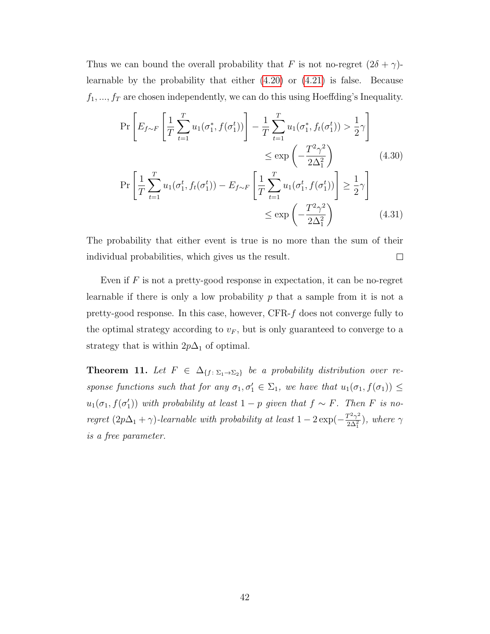Thus we can bound the overall probability that F is not no-regret  $(2\delta + \gamma)$ learnable by the probability that either [\(4.20\)](#page-48-0) or [\(4.21\)](#page-48-1) is false. Because  $f_1, ..., f_T$  are chosen independently, we can do this using Hoeffding's Inequality.

$$
\Pr\left[E_{f\sim F}\left[\frac{1}{T}\sum_{t=1}^{T}u_{1}(\sigma_{1}^{*},f(\sigma_{1}^{t}))\right]-\frac{1}{T}\sum_{t=1}^{T}u_{1}(\sigma_{1}^{*},f_{t}(\sigma_{1}^{t})) > \frac{1}{2}\gamma\right] \leq \exp\left(-\frac{T^{2}\gamma^{2}}{2\Delta_{1}^{2}}\right) \leq \exp\left(-\frac{T^{2}\gamma^{2}}{2\Delta_{1}^{2}}\right) \tag{4.30}
$$
\n
$$
\Pr\left[\frac{1}{T}\sum_{t=1}^{T}u_{1}(\sigma_{1}^{t},f_{t}(\sigma_{1}^{t})) - E_{f\sim F}\left[\frac{1}{T}\sum_{t=1}^{T}u_{1}(\sigma_{1}^{t},f(\sigma_{1}^{t}))\right] \geq \frac{1}{2}\gamma\right] \leq \exp\left(-\frac{T^{2}\gamma^{2}}{2\Delta_{1}^{2}}\right) \tag{4.31}
$$

The probability that either event is true is no more than the sum of their individual probabilities, which gives us the result.  $\Box$ 

Even if  $F$  is not a pretty-good response in expectation, it can be no-regret learnable if there is only a low probability  $p$  that a sample from it is not a pretty-good response. In this case, however, CFR-f does not converge fully to the optimal strategy according to  $v_F$ , but is only guaranteed to converge to a strategy that is within  $2p\Delta_1$  of optimal.

**Theorem 11.** Let  $F \in \Delta_{\{f : \Sigma_1 \to \Sigma_2\}}$  be a probability distribution over response functions such that for any  $\sigma_1, \sigma'_1 \in \Sigma_1$ , we have that  $u_1(\sigma_1, f(\sigma_1)) \leq$  $u_1(\sigma_1, f(\sigma'_1))$  with probability at least  $1-p$  given that  $f \sim F$ . Then F is noregret  $(2p\Delta_1 + \gamma)$ -learnable with probability at least  $1 - 2\exp(-\frac{T^2\gamma^2}{2\Delta^2})$  $\frac{1^2\gamma^2}{2\Delta_1^2}$ ), where  $\gamma$ is a free parameter.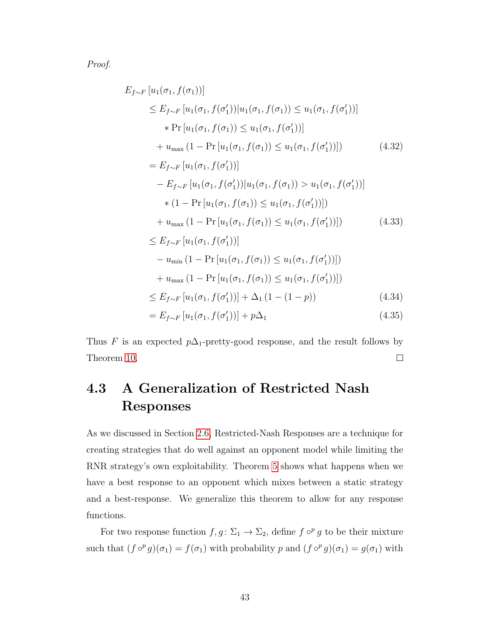Proof.

$$
E_{f \sim F} [u_1(\sigma_1, f(\sigma_1))]
$$
  
\n
$$
\leq E_{f \sim F} [u_1(\sigma_1, f(\sigma'_1)) | u_1(\sigma_1, f(\sigma_1)) \leq u_1(\sigma_1, f(\sigma'_1))]
$$
  
\n
$$
* \Pr [u_1(\sigma_1, f(\sigma_1)) \leq u_1(\sigma_1, f(\sigma'_1))]
$$
  
\n
$$
+ u_{\max} (1 - \Pr [u_1(\sigma_1, f(\sigma_1)) \leq u_1(\sigma_1, f(\sigma'_1))])
$$
(4.32)  
\n
$$
= E_{f \sim F} [u_1(\sigma_1, f(\sigma'_1))]
$$
  
\n
$$
- E_{f \sim F} [u_1(\sigma_1, f(\sigma'_1)) | u_1(\sigma_1, f(\sigma_1)) > u_1(\sigma_1, f(\sigma'_1))]
$$
  
\n
$$
* (1 - \Pr [u_1(\sigma_1, f(\sigma_1)) \leq u_1(\sigma_1, f(\sigma'_1))])
$$
  
\n
$$
+ u_{\max} (1 - \Pr [u_1(\sigma_1, f(\sigma_1)) \leq u_1(\sigma_1, f(\sigma'_1))])
$$
(4.33)  
\n
$$
\leq E_{f \sim F} [u_1(\sigma_1, f(\sigma'_1))]
$$
  
\n
$$
- u_{\min} (1 - \Pr [u_1(\sigma_1, f(\sigma_1)) \leq u_1(\sigma_1, f(\sigma'_1))])
$$
  
\n
$$
+ u_{\max} (1 - \Pr [u_1(\sigma_1, f(\sigma_1)) \leq u_1(\sigma_1, f(\sigma'_1))])
$$
  
\n
$$
\leq E_{f \sim F} [u_1(\sigma_1, f(\sigma'_1))] + \Delta_1 (1 - (1 - p))
$$
(4.34)  
\n
$$
= E_{f \sim F} [u_1(\sigma_1, f(\sigma'_1))] + p\Delta_1
$$
(4.35)

Thus F is an expected  $p\Delta_1$ -pretty-good response, and the result follows by Theorem [10.](#page-48-2)  $\Box$ 

## <span id="page-50-0"></span>4.3 A Generalization of Restricted Nash Responses

As we discussed in Section [2.6,](#page-28-0) Restricted-Nash Responses are a technique for creating strategies that do well against an opponent model while limiting the RNR strategy's own exploitability. Theorem [5](#page-29-0) shows what happens when we have a best response to an opponent which mixes between a static strategy and a best-response. We generalize this theorem to allow for any response functions.

For two response function  $f, g \colon \Sigma_1 \to \Sigma_2$ , define  $f \circ^p g$  to be their mixture such that  $(f \circ^p g)(\sigma_1) = f(\sigma_1)$  with probability p and  $(f \circ^p g)(\sigma_1) = g(\sigma_1)$  with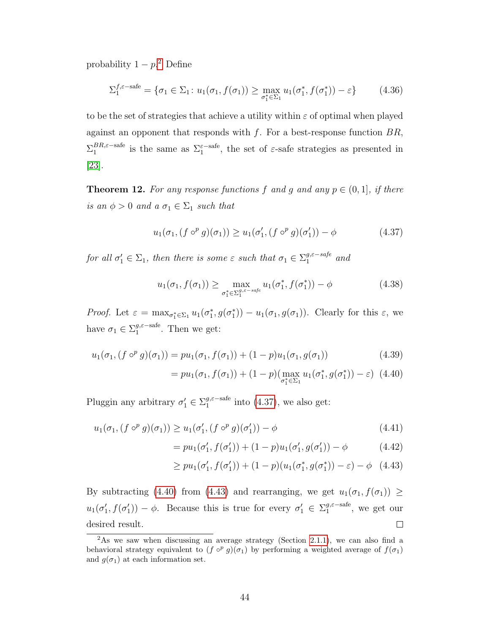probability  $1 - p^2$  $1 - p^2$  Define

$$
\Sigma_1^{f,\varepsilon-\text{safe}} = \{ \sigma_1 \in \Sigma_1 \colon u_1(\sigma_1, f(\sigma_1)) \ge \max_{\sigma_1^* \in \Sigma_1} u_1(\sigma_1^*, f(\sigma_1^*)) - \varepsilon \}
$$
(4.36)

to be the set of strategies that achieve a utility within  $\varepsilon$  of optimal when played against an opponent that responds with  $f$ . For a best-response function  $BR$ ,  $\Sigma_1^{BR,\varepsilon-\text{safe}}$  $B_{1}^{B_{R,\varepsilon-\text{safe}}}$  is the same as  $\Sigma_1^{\varepsilon-\text{safe}}$ , the set of  $\varepsilon$ -safe strategies as presented in [\[23\]](#page-74-0).

<span id="page-51-4"></span>**Theorem 12.** For any response functions f and q and any  $p \in (0, 1]$ , if there is an  $\phi > 0$  and a  $\sigma_1 \in \Sigma_1$  such that

<span id="page-51-1"></span>
$$
u_1(\sigma_1, (f \circ^p g)(\sigma_1)) \ge u_1(\sigma'_1, (f \circ^p g)(\sigma'_1)) - \phi \tag{4.37}
$$

for all  $\sigma'_1 \in \Sigma_1$ , then there is some  $\varepsilon$  such that  $\sigma_1 \in \Sigma_1^{g, \varepsilon - safe}$  and

$$
u_1(\sigma_1, f(\sigma_1)) \ge \max_{\sigma_1^* \in \Sigma_1^{g, \varepsilon - s a f e}} u_1(\sigma_1^*, f(\sigma_1^*)) - \phi
$$
 (4.38)

Proof. Let  $\varepsilon = \max_{\sigma_1^* \in \Sigma_1} u_1(\sigma_1^*, g(\sigma_1^*)) - u_1(\sigma_1, g(\sigma_1)).$  Clearly for this  $\varepsilon$ , we have  $\sigma_1 \in \Sigma_1^{g,\varepsilon-\text{safe}}$  $_{1}^{g,\varepsilon-\text{safe}}$ . Then we get:

$$
u_1(\sigma_1, (f \circ^p g)(\sigma_1)) = pu_1(\sigma_1, f(\sigma_1)) + (1 - p)u_1(\sigma_1, g(\sigma_1))
$$
\n(4.39)

<span id="page-51-2"></span>
$$
= pu_1(\sigma_1, f(\sigma_1)) + (1 - p) (\max_{\sigma_1^* \in \Sigma_1} u_1(\sigma_1^*, g(\sigma_1^*)) - \varepsilon) \tag{4.40}
$$

Pluggin any arbitrary  $\sigma'_1 \in \sum_1^{g,\varepsilon-\text{safe}}$  $_{1}^{g,\varepsilon-\text{safe}}$  into  $(4.37)$ , we also get:

$$
u_1(\sigma_1, (f \circ^p g)(\sigma_1)) \ge u_1(\sigma'_1, (f \circ^p g)(\sigma'_1)) - \phi \tag{4.41}
$$

<span id="page-51-3"></span>
$$
= pu_1(\sigma'_1, f(\sigma'_1)) + (1 - p)u_1(\sigma'_1, g(\sigma'_1)) - \phi \qquad (4.42)
$$

$$
\geq pu_1(\sigma'_1, f(\sigma'_1)) + (1-p)(u_1(\sigma_1^*, g(\sigma_1^*)) - \varepsilon) - \phi \quad (4.43)
$$

By subtracting [\(4.40\)](#page-51-2) from [\(4.43\)](#page-51-3) and rearranging, we get  $u_1(\sigma_1, f(\sigma_1)) \ge$  $u_1(\sigma'_1, f(\sigma'_1)) - \phi$ . Because this is true for every  $\sigma'_1 \in \Sigma_1^{g,\varepsilon-\text{safe}}$  $j_1^{\mathcal{G},\varepsilon-\text{safe}}$ , we get our desired result.  $\Box$ 

<span id="page-51-0"></span><sup>&</sup>lt;sup>2</sup>As we saw when discussing an average strategy (Section [2.1.1\)](#page-14-0), we can also find a behavioral strategy equivalent to  $(f \circ^p g)(\sigma_1)$  by performing a weighted average of  $f(\sigma_1)$ and  $g(\sigma_1)$  at each information set.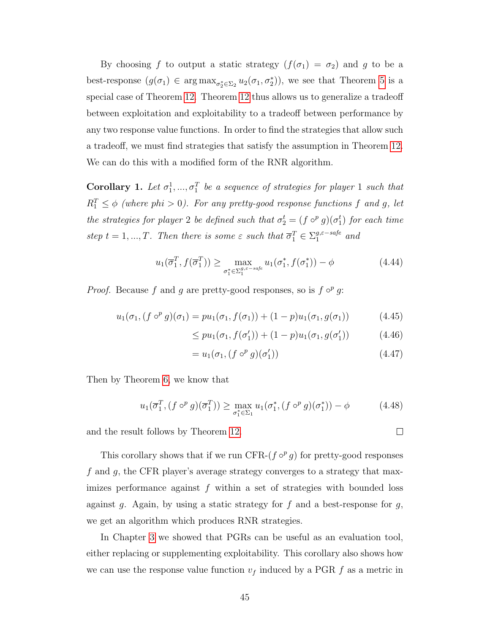By choosing f to output a static strategy  $(f(\sigma_1) = \sigma_2)$  and g to be a best-response  $(g(\sigma_1) \in \arg\max_{\sigma_2^* \in \Sigma_2} u_2(\sigma_1, \sigma_2^*)$ , we see that Theorem [5](#page-29-0) is a special case of Theorem [12.](#page-51-4) Theorem [12](#page-51-4) thus allows us to generalize a tradeoff between exploitation and exploitability to a tradeoff between performance by any two response value functions. In order to find the strategies that allow such a tradeoff, we must find strategies that satisfy the assumption in Theorem [12.](#page-51-4) We can do this with a modified form of the RNR algorithm.

**Corollary 1.** Let  $\sigma_1^1, ..., \sigma_1^T$  be a sequence of strategies for player 1 such that  $R_1^T \leq \phi$  (where phi > 0). For any pretty-good response functions f and g, let the strategies for player 2 be defined such that  $\sigma_2^t = (f \circ^p g)(\sigma_1^t)$  for each time step  $t = 1, ..., T$ . Then there is some  $\varepsilon$  such that  $\overline{\sigma}_1^T \in \Sigma_1^{g, \varepsilon - safe}$  and

$$
u_1(\overline{\sigma}_1^T, f(\overline{\sigma}_1^T)) \ge \max_{\sigma_1^* \in \Sigma_1^{g,\varepsilon - safe}} u_1(\sigma_1^*, f(\sigma_1^*)) - \phi \tag{4.44}
$$

*Proof.* Because f and g are pretty-good responses, so is  $f \circ^p g$ :

$$
u_1(\sigma_1, (f \circ^p g)(\sigma_1) = pu_1(\sigma_1, f(\sigma_1)) + (1 - p)u_1(\sigma_1, g(\sigma_1))
$$
 (4.45)

$$
\leq pu_1(\sigma_1, f(\sigma'_1)) + (1 - p)u_1(\sigma_1, g(\sigma'_1)) \tag{4.46}
$$

$$
= u_1(\sigma_1, (f \circ^p g)(\sigma'_1)) \tag{4.47}
$$

Then by Theorem [6,](#page-42-1) we know that

$$
u_1(\overline{\sigma}_1^T, (f \circ^p g)(\overline{\sigma}_1^T)) \ge \max_{\sigma_1^* \in \Sigma_1} u_1(\sigma_1^*, (f \circ^p g)(\sigma_1^*)) - \phi \tag{4.48}
$$

and the result follows by Theorem [12.](#page-51-4)

This corollary shows that if we run CFR- $(f \circ^p g)$  for pretty-good responses f and g, the CFR player's average strategy converges to a strategy that maximizes performance against  $f$  within a set of strategies with bounded loss against g. Again, by using a static strategy for f and a best-response for  $g$ , we get an algorithm which produces RNR strategies.

In Chapter [3](#page-30-0) we showed that PGRs can be useful as an evaluation tool, either replacing or supplementing exploitability. This corollary also shows how we can use the response value function  $v_f$  induced by a PGR f as a metric in

 $\Box$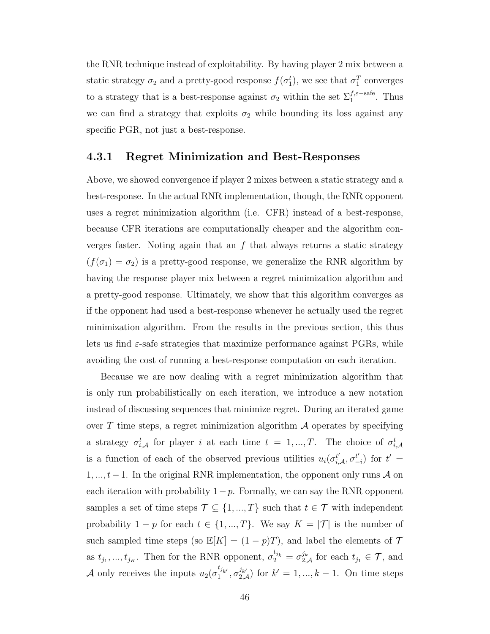the RNR technique instead of exploitability. By having player 2 mix between a static strategy  $\sigma_2$  and a pretty-good response  $f(\sigma_1^t)$ , we see that  $\overline{\sigma}_1^T$  converges to a strategy that is a best-response against  $\sigma_2$  within the set  $\Sigma_1^{f, \varepsilon-\text{safe}}$ . Thus we can find a strategy that exploits  $\sigma_2$  while bounding its loss against any specific PGR, not just a best-response.

#### 4.3.1 Regret Minimization and Best-Responses

Above, we showed convergence if player 2 mixes between a static strategy and a best-response. In the actual RNR implementation, though, the RNR opponent uses a regret minimization algorithm (i.e. CFR) instead of a best-response, because CFR iterations are computationally cheaper and the algorithm converges faster. Noting again that an  $f$  that always returns a static strategy  $(f(\sigma_1) = \sigma_2)$  is a pretty-good response, we generalize the RNR algorithm by having the response player mix between a regret minimization algorithm and a pretty-good response. Ultimately, we show that this algorithm converges as if the opponent had used a best-response whenever he actually used the regret minimization algorithm. From the results in the previous section, this thus lets us find  $\varepsilon$ -safe strategies that maximize performance against PGRs, while avoiding the cost of running a best-response computation on each iteration.

Because we are now dealing with a regret minimization algorithm that is only run probabilistically on each iteration, we introduce a new notation instead of discussing sequences that minimize regret. During an iterated game over T time steps, a regret minimization algorithm  $\mathcal A$  operates by specifying a strategy  $\sigma_{i,\mathcal{A}}^{t}$  for player i at each time  $t = 1, ..., T$ . The choice of  $\sigma_{i,\mathcal{A}}^{t}$ is a function of each of the observed previous utilities  $u_i(\sigma_{i,\mathcal{A}}^{t'}, \sigma_{-}^{t'}$  $t'_{-i}$ ) for  $t' =$ 1, ...,  $t-1$ . In the original RNR implementation, the opponent only runs A on each iteration with probability  $1-p$ . Formally, we can say the RNR opponent samples a set of time steps  $\mathcal{T} \subseteq \{1, ..., T\}$  such that  $t \in \mathcal{T}$  with independent probability  $1 - p$  for each  $t \in \{1, ..., T\}$ . We say  $K = |\mathcal{T}|$  is the number of such sampled time steps (so  $\mathbb{E}[K] = (1-p)T$ ), and label the elements of  $\mathcal T$ as  $t_{j_1},..., t_{j_K}$ . Then for the RNR opponent,  $\sigma_2^{t_{j_k}} = \sigma_{2,\mathcal{A}}^{j_k}$  for each  $t_{j_1} \in \mathcal{T}$ , and A only receives the inputs  $u_2(\sigma_1^{t_{j_{k'}}}, \sigma_{2,\mathcal{A}}^{j_{k'}})$  for  $k' = 1, ..., k-1$ . On time steps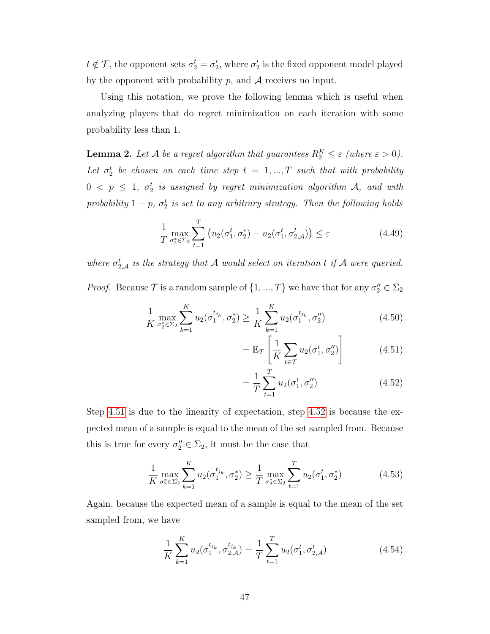$t \notin \mathcal{T}$ , the opponent sets  $\sigma_2^t = \sigma_2^t$ , where  $\sigma_2^t$  is the fixed opponent model played by the opponent with probability p, and  $A$  receives no input.

Using this notation, we prove the following lemma which is useful when analyzing players that do regret minimization on each iteration with some probability less than 1.

<span id="page-54-4"></span>**Lemma 2.** Let A be a regret algorithm that guarantees  $R_2^K \leq \varepsilon$  (where  $\varepsilon > 0$ ). Let  $\sigma_2^t$  be chosen on each time step  $t = 1, ..., T$  such that with probability  $0 < p \leq 1, \sigma_2^t$  is assigned by regret minimization algorithm  ${\cal A},$  and with probability  $1-p$ ,  $\sigma_2^t$  is set to any arbitrary strategy. Then the following holds

$$
\frac{1}{T} \max_{\sigma_2^* \in \Sigma_2} \sum_{t=1}^T \left( u_2(\sigma_1^t, \sigma_2^*) - u_2(\sigma_1^t, \sigma_{2, \mathcal{A}}^t) \right) \le \varepsilon
$$
\n(4.49)

where  $\sigma_{2,\mathcal{A}}^{t}$  is the strategy that  $\mathcal A$  would select on iteration t if  $\mathcal A$  were queried. *Proof.* Because  $\mathcal{T}$  is a random sample of  $\{1, ..., T\}$  we have that for any  $\sigma''_2 \in \Sigma_2$ 

$$
\frac{1}{K} \max_{\sigma_2^* \in \Sigma_2} \sum_{k=1}^K u_2(\sigma_1^{t_{j_k}}, \sigma_2^*) \ge \frac{1}{K} \sum_{k=1}^K u_2(\sigma_1^{t_{j_k}}, \sigma_2'')
$$
\n(4.50)

<span id="page-54-0"></span>
$$
= \mathbb{E}_{\mathcal{T}}\left[\frac{1}{K}\sum_{t \in \mathcal{T}} u_2(\sigma_1^t, \sigma_2'')\right]
$$
 (4.51)

<span id="page-54-2"></span><span id="page-54-1"></span>
$$
= \frac{1}{T} \sum_{t=1}^{T} u_2(\sigma_1^t, \sigma_2'')
$$
 (4.52)

Step [4.51](#page-54-0) is due to the linearity of expectation, step [4.52](#page-54-1) is because the expected mean of a sample is equal to the mean of the set sampled from. Because this is true for every  $\sigma''_2 \in \Sigma_2$ , it must be the case that

$$
\frac{1}{K} \max_{\sigma_2^* \in \Sigma_2} \sum_{k=1}^K u_2(\sigma_1^{t_{j_k}}, \sigma_2^*) \ge \frac{1}{T} \max_{\sigma_2^* \in \Sigma_2} \sum_{t=1}^T u_2(\sigma_1^t, \sigma_2^*)
$$
\n(4.53)

Again, because the expected mean of a sample is equal to the mean of the set sampled from, we have

<span id="page-54-3"></span>
$$
\frac{1}{K} \sum_{k=1}^{K} u_2(\sigma_1^{t_{j_k}}, \sigma_{2,\mathcal{A}}^{t_{j_k}}) = \frac{1}{T} \sum_{t=1}^{T} u_2(\sigma_1^t, \sigma_{2,\mathcal{A}}^t)
$$
(4.54)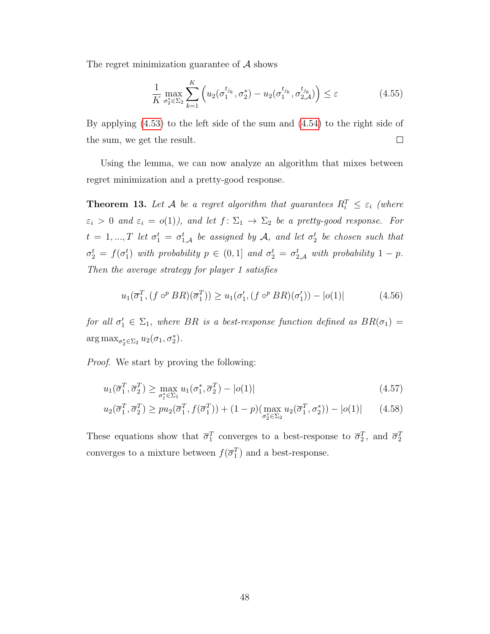The regret minimization guarantee of  $A$  shows

$$
\frac{1}{K} \max_{\sigma_2^* \in \Sigma_2} \sum_{k=1}^K \left( u_2(\sigma_1^{t_{j_k}}, \sigma_2^*) - u_2(\sigma_1^{t_{j_k}}, \sigma_{2, \mathcal{A}}^{t_{j_k}}) \right) \le \varepsilon
$$
\n(4.55)

By applying [\(4.53\)](#page-54-2) to the left side of the sum and [\(4.54\)](#page-54-3) to the right side of the sum, we get the result.  $\Box$ 

Using the lemma, we can now analyze an algorithm that mixes between regret minimization and a pretty-good response.

<span id="page-55-2"></span>**Theorem 13.** Let A be a regret algorithm that guarantees  $R_i^T \leq \varepsilon_i$  (where  $\varepsilon_i > 0$  and  $\varepsilon_i = o(1)$ , and let  $f: \Sigma_1 \to \Sigma_2$  be a pretty-good response. For  $t = 1, ..., T$  let  $\sigma_1^t = \sigma_{1,\mathcal{A}}^t$  be assigned by  $\mathcal{A}$ , and let  $\sigma_2^t$  be chosen such that  $\sigma_2^t = f(\sigma_1^t)$  with probability  $p \in (0,1]$  and  $\sigma_2^t = \sigma_{2,\mathcal{A}}^t$  with probability  $1-p$ . Then the average strategy for player 1 satisfies

<span id="page-55-0"></span>
$$
u_1(\overline{\sigma}_1^T, (f \circ^p BR)(\overline{\sigma}_1^T)) \ge u_1(\sigma'_1, (f \circ^p BR)(\sigma'_1)) - |o(1)| \tag{4.56}
$$

for all  $\sigma'_1 \in \Sigma_1$ , where BR is a best-response function defined as  $BR(\sigma_1)$  =  $\arg \max_{\sigma_2^* \in \Sigma_2} u_2(\sigma_1, \sigma_2^*)$ .

Proof. We start by proving the following:

<span id="page-55-1"></span>
$$
u_1(\overline{\sigma}_1^T, \overline{\sigma}_2^T) \ge \max_{\sigma_1^* \in \Sigma_1} u_1(\sigma_1^*, \overline{\sigma}_2^T) - |o(1)| \tag{4.57}
$$

$$
u_2(\overline{\sigma}_1^T, \overline{\sigma}_2^T) \ge pu_2(\overline{\sigma}_1^T, f(\overline{\sigma}_1^T)) + (1 - p) (\max_{\sigma_2^* \in \Sigma_2} u_2(\overline{\sigma}_1^T, \sigma_2^*)) - |o(1)| \qquad (4.58)
$$

These equations show that  $\bar{\sigma}_1^T$  converges to a best-response to  $\bar{\sigma}_2^T$ , and  $\bar{\sigma}_2^T$ converges to a mixture between  $f(\overline{\sigma}_1^T)$  and a best-response.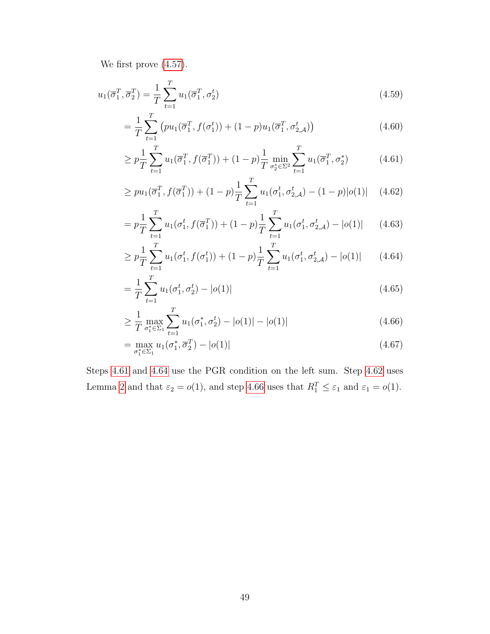We first prove [\(4.57\)](#page-55-0).

$$
u_1(\overline{\sigma}_1^T, \overline{\sigma}_2^T) = \frac{1}{T} \sum_{t=1}^T u_1(\overline{\sigma}_1^T, \sigma_2^t)
$$
\n(4.59)

$$
= \frac{1}{T} \sum_{t=1}^{T} \left( pu_1(\overline{\sigma}_1^T, f(\sigma_1^t)) + (1 - p)u_1(\overline{\sigma}_1^T, \sigma_{2, \mathcal{A}}^t) \right)
$$
(4.60)

<span id="page-56-0"></span>
$$
\geq p \frac{1}{T} \sum_{t=1}^{T} u_1(\overline{\sigma}_1^T, f(\overline{\sigma}_1^T)) + (1-p) \frac{1}{T} \min_{\sigma_2^* \in \Sigma^2} \sum_{t=1}^{T} u_1(\overline{\sigma}_1^T, \sigma_2^*)
$$
(4.61)

<span id="page-56-2"></span>
$$
\geq pu_1(\overline{\sigma}_1^T, f(\overline{\sigma}_1^T)) + (1-p)\frac{1}{T}\sum_{t=1}^T u_1(\sigma_1^t, \sigma_{2,\mathcal{A}}^t) - (1-p)|o(1)| \quad (4.62)
$$

$$
= p \frac{1}{T} \sum_{t=1}^{T} u_1(\sigma_1^t, f(\overline{\sigma}_1^T)) + (1-p) \frac{1}{T} \sum_{t=1}^{T} u_1(\sigma_1^t, \sigma_{2,\mathcal{A}}^t) - |o(1)| \qquad (4.63)
$$

<span id="page-56-1"></span>
$$
\geq p \frac{1}{T} \sum_{t=1}^{T} u_1(\sigma_1^t, f(\sigma_1^t)) + (1-p) \frac{1}{T} \sum_{t=1}^{T} u_1(\sigma_1^t, \sigma_2^t) - |o(1)| \tag{4.64}
$$

$$
=\frac{1}{T}\sum_{t=1}^{T}u_{1}(\sigma_{1}^{t},\sigma_{2}^{t})-|o(1)|
$$
\n(4.65)

<span id="page-56-3"></span>
$$
\geq \frac{1}{T} \max_{\sigma_1^* \in \Sigma_1} \sum_{t=1}^T u_1(\sigma_1^*, \sigma_2^t) - |o(1)| - |o(1)| \tag{4.66}
$$

$$
= \max_{\sigma_1^* \in \Sigma_1} u_1(\sigma_1^*, \overline{\sigma}_2^T) - |o(1)| \tag{4.67}
$$

Steps [4.61](#page-56-0) and [4.64](#page-56-1) use the PGR condition on the left sum. Step [4.62](#page-56-2) uses Lemma [2](#page-54-4) and that  $\varepsilon_2 = o(1)$ , and step [4.66](#page-56-3) uses that  $R_1^T \leq \varepsilon_1$  and  $\varepsilon_1 = o(1)$ .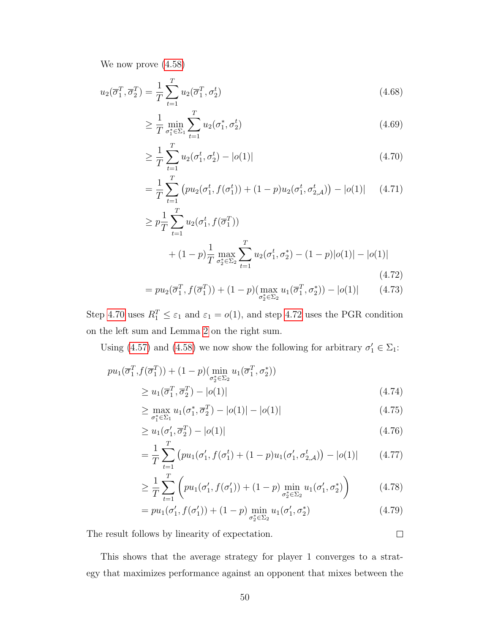We now prove [\(4.58\)](#page-55-1)

$$
u_2(\overline{\sigma}_1^T, \overline{\sigma}_2^T) = \frac{1}{T} \sum_{t=1}^T u_2(\overline{\sigma}_1^T, \sigma_2^t)
$$
\n(4.68)

$$
\geq \frac{1}{T} \min_{\sigma_1^* \in \Sigma_1} \sum_{t=1}^T u_2(\sigma_1^*, \sigma_2^t) \tag{4.69}
$$

<span id="page-57-0"></span>
$$
\geq \frac{1}{T} \sum_{t=1}^{T} u_2(\sigma_1^t, \sigma_2^t) - |o(1)| \tag{4.70}
$$

$$
= \frac{1}{T} \sum_{t=1}^{T} \left( pu_2(\sigma_1^t, f(\sigma_1^t)) + (1 - p)u_2(\sigma_1^t, \sigma_{2, \mathcal{A}}^t) \right) - |o(1)| \tag{4.71}
$$

$$
\geq p \frac{1}{T} \sum_{t=1}^{T} u_2(\sigma_1^t, f(\overline{\sigma}_1^T)) + (1-p) \frac{1}{T} \max_{\sigma_2^* \in \Sigma_2} \sum_{t=1}^{T} u_2(\sigma_1^t, \sigma_2^*) - (1-p)|o(1)| - |o(1)| \tag{4.72}
$$

<span id="page-57-1"></span>
$$
= p u_2(\overline{\sigma}_1^T, f(\overline{\sigma}_1^T)) + (1 - p) (\max_{\sigma_2^* \in \Sigma_2} u_1(\overline{\sigma}_1^T, \sigma_2^*)) - |o(1)| \qquad (4.73)
$$

Step [4.70](#page-57-0) uses  $R_1^T \leq \varepsilon_1$  and  $\varepsilon_1 = o(1)$ , and step [4.72](#page-57-1) uses the PGR condition on the left sum and Lemma [2](#page-54-4) on the right sum.

Using [\(4.57\)](#page-55-0) and [\(4.58\)](#page-55-1) we now show the following for arbitrary  $\sigma'_1 \in \Sigma_1$ :

$$
pu_1(\overline{\sigma}_1^T, f(\overline{\sigma}_1^T)) + (1 - p) \left( \min_{\sigma_2^* \in \Sigma_2} u_1(\overline{\sigma}_1^T, \sigma_2^*) \right)
$$
  
 
$$
\ge u_1(\overline{\sigma}_1^T, \overline{\sigma}_2^T) - |o(1)| \tag{4.74}
$$

$$
\geq \max_{\sigma_1^* \in \Sigma_1} u_1(\sigma_1^*, \overline{\sigma}_2^T) - |o(1)| - |o(1)| \tag{4.75}
$$

$$
\geq u_1(\sigma_1', \overline{\sigma}_2^T) - |o(1)| \tag{4.76}
$$

$$
= \frac{1}{T} \sum_{t=1}^{T} \left( pu_1(\sigma'_1, f(\sigma_1^t) + (1-p)u_1(\sigma'_1, \sigma_{2,\mathcal{A}}^t) \right) - |o(1)| \tag{4.77}
$$

$$
\geq \frac{1}{T} \sum_{t=1}^{T} \left( p u_1(\sigma'_1, f(\sigma'_1)) + (1-p) \min_{\sigma_2^* \in \Sigma_2} u_1(\sigma'_1, \sigma_2^*) \right) \tag{4.78}
$$

$$
= p u_1(\sigma'_1, f(\sigma'_1)) + (1-p) \min_{\sigma_2^* \in \Sigma_2} u_1(\sigma'_1, \sigma_2^*)
$$
\n(4.79)

The result follows by linearity of expectation.

This shows that the average strategy for player 1 converges to a strategy that maximizes performance against an opponent that mixes between the

 $\Box$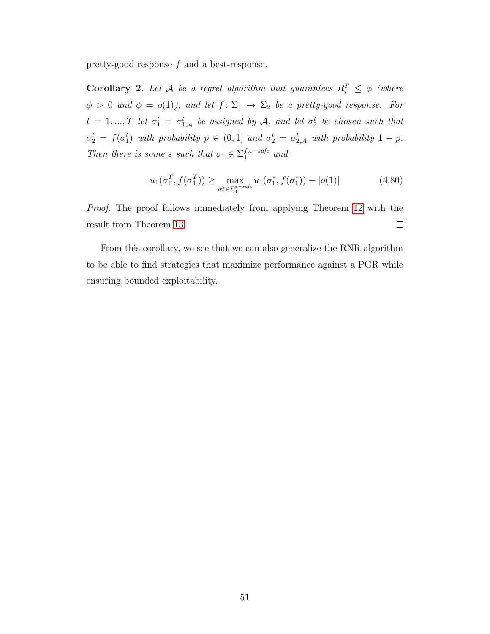pretty-good response f and a best-response.

**Corollary 2.** Let A be a regret algorithm that guarantees  $R_i^T \leq \phi$  (where  $\phi > 0$  and  $\phi = o(1)$ , and let  $f: \Sigma_1 \rightarrow \Sigma_2$  be a pretty-good response. For  $t = 1, ..., T$  let  $\sigma_1^t = \sigma_{1,\mathcal{A}}^t$  be assigned by  $\mathcal{A}$ , and let  $\sigma_2^t$  be chosen such that  $\sigma_2^t = f(\sigma_1^t)$  with probability  $p \in (0,1]$  and  $\sigma_2^t = \sigma_{2,\mathcal{A}}^t$  with probability  $1-p$ . Then there is some  $\varepsilon$  such that  $\sigma_1 \in \sum_1^{f,\varepsilon-safe}$  and

$$
u_1(\overline{\sigma}_1^T, f(\overline{\sigma}_1^T)) \ge \max_{\sigma_1^* \in \Sigma_1^{\varepsilon - s a f e}} u_1(\sigma_1^*, f(\sigma_1^*)) - |o(1)| \tag{4.80}
$$

Proof. The proof follows immediately from applying Theorem [12](#page-51-4) with the result from Theorem [13](#page-55-2)  $\Box$ 

From this corollary, we see that we can also generalize the RNR algorithm to be able to find strategies that maximize performance against a PGR while ensuring bounded exploitability.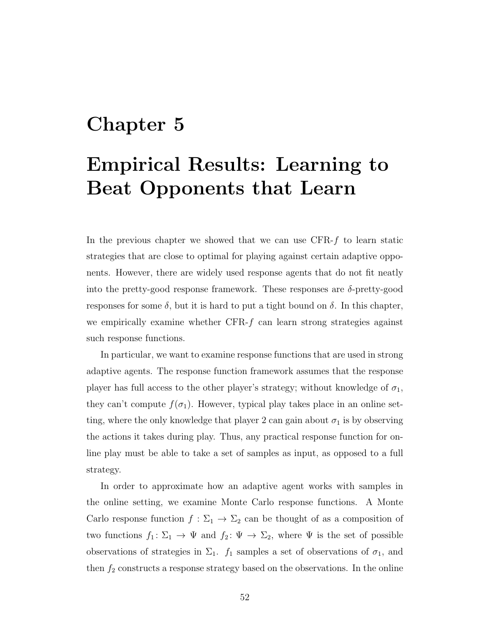## <span id="page-59-0"></span>Chapter 5

## Empirical Results: Learning to Beat Opponents that Learn

In the previous chapter we showed that we can use CFR-f to learn static strategies that are close to optimal for playing against certain adaptive opponents. However, there are widely used response agents that do not fit neatly into the pretty-good response framework. These responses are  $\delta$ -pretty-good responses for some  $\delta$ , but it is hard to put a tight bound on  $\delta$ . In this chapter, we empirically examine whether CFR-f can learn strong strategies against such response functions.

In particular, we want to examine response functions that are used in strong adaptive agents. The response function framework assumes that the response player has full access to the other player's strategy; without knowledge of  $\sigma_1$ , they can't compute  $f(\sigma_1)$ . However, typical play takes place in an online setting, where the only knowledge that player 2 can gain about  $\sigma_1$  is by observing the actions it takes during play. Thus, any practical response function for online play must be able to take a set of samples as input, as opposed to a full strategy.

In order to approximate how an adaptive agent works with samples in the online setting, we examine Monte Carlo response functions. A Monte Carlo response function  $f : \Sigma_1 \to \Sigma_2$  can be thought of as a composition of two functions  $f_1: \Sigma_1 \to \Psi$  and  $f_2: \Psi \to \Sigma_2$ , where  $\Psi$  is the set of possible observations of strategies in  $\Sigma_1$ .  $f_1$  samples a set of observations of  $\sigma_1$ , and then  $f_2$  constructs a response strategy based on the observations. In the online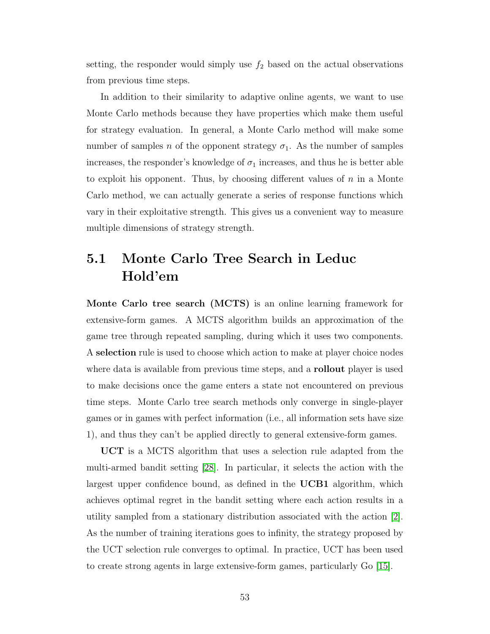setting, the responder would simply use  $f_2$  based on the actual observations from previous time steps.

In addition to their similarity to adaptive online agents, we want to use Monte Carlo methods because they have properties which make them useful for strategy evaluation. In general, a Monte Carlo method will make some number of samples *n* of the opponent strategy  $\sigma_1$ . As the number of samples increases, the responder's knowledge of  $\sigma_1$  increases, and thus he is better able to exploit his opponent. Thus, by choosing different values of  $n$  in a Monte Carlo method, we can actually generate a series of response functions which vary in their exploitative strength. This gives us a convenient way to measure multiple dimensions of strategy strength.

## 5.1 Monte Carlo Tree Search in Leduc Hold'em

Monte Carlo tree search (MCTS) is an online learning framework for extensive-form games. A MCTS algorithm builds an approximation of the game tree through repeated sampling, during which it uses two components. A selection rule is used to choose which action to make at player choice nodes where data is available from previous time steps, and a **rollout** player is used to make decisions once the game enters a state not encountered on previous time steps. Monte Carlo tree search methods only converge in single-player games or in games with perfect information (i.e., all information sets have size 1), and thus they can't be applied directly to general extensive-form games.

UCT is a MCTS algorithm that uses a selection rule adapted from the multi-armed bandit setting [\[28\]](#page-75-1). In particular, it selects the action with the largest upper confidence bound, as defined in the **UCB1** algorithm, which achieves optimal regret in the bandit setting where each action results in a utility sampled from a stationary distribution associated with the action [\[2\]](#page-73-0). As the number of training iterations goes to infinity, the strategy proposed by the UCT selection rule converges to optimal. In practice, UCT has been used to create strong agents in large extensive-form games, particularly Go [\[15\]](#page-74-1).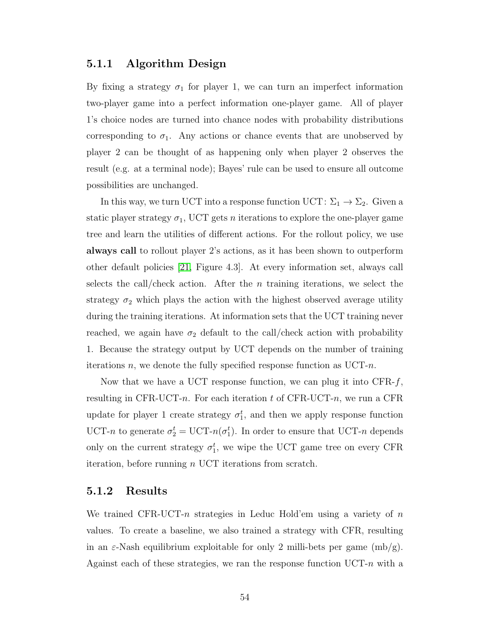### 5.1.1 Algorithm Design

By fixing a strategy  $\sigma_1$  for player 1, we can turn an imperfect information two-player game into a perfect information one-player game. All of player 1's choice nodes are turned into chance nodes with probability distributions corresponding to  $\sigma_1$ . Any actions or chance events that are unobserved by player 2 can be thought of as happening only when player 2 observes the result (e.g. at a terminal node); Bayes' rule can be used to ensure all outcome possibilities are unchanged.

In this way, we turn UCT into a response function UCT:  $\Sigma_1 \rightarrow \Sigma_2$ . Given a static player strategy  $\sigma_1$ , UCT gets *n* iterations to explore the one-player game tree and learn the utilities of different actions. For the rollout policy, we use always call to rollout player 2's actions, as it has been shown to outperform other default policies [\[21,](#page-74-2) Figure 4.3]. At every information set, always call selects the call/check action. After the *n* training iterations, we select the strategy  $\sigma_2$  which plays the action with the highest observed average utility during the training iterations. At information sets that the UCT training never reached, we again have  $\sigma_2$  default to the call/check action with probability 1. Because the strategy output by UCT depends on the number of training iterations n, we denote the fully specified response function as  $\text{UCT-}n$ .

Now that we have a UCT response function, we can plug it into  $CFR-f$ , resulting in CFR-UCT-n. For each iteration t of CFR-UCT-n, we run a CFR update for player 1 create strategy  $\sigma_1^t$ , and then we apply response function UCT-n to generate  $\sigma_2^t = \text{UCT-}n(\sigma_1^t)$ . In order to ensure that UCT-n depends only on the current strategy  $\sigma_1^t$ , we wipe the UCT game tree on every CFR iteration, before running  $n$  UCT iterations from scratch.

#### 5.1.2 Results

We trained CFR-UCT-n strategies in Leduc Hold'em using a variety of  $n$ values. To create a baseline, we also trained a strategy with CFR, resulting in an  $\varepsilon$ -Nash equilibrium exploitable for only 2 milli-bets per game (mb/g). Against each of these strategies, we ran the response function  $\text{UCT-}n$  with a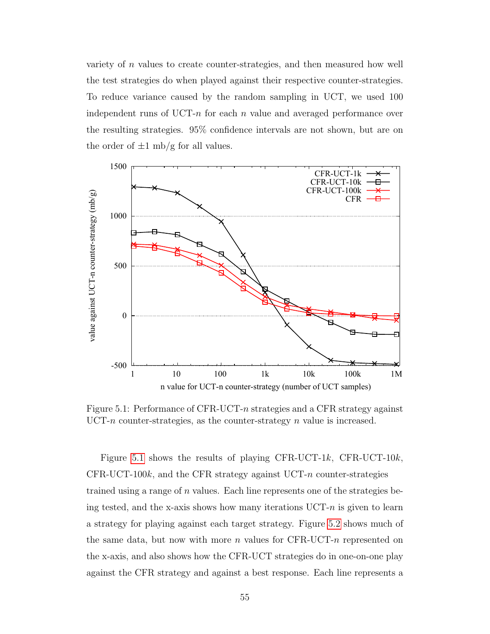variety of  $n$  values to create counter-strategies, and then measured how well the test strategies do when played against their respective counter-strategies. To reduce variance caused by the random sampling in UCT, we used 100 independent runs of UCT-n for each n value and averaged performance over the resulting strategies. 95% confidence intervals are not shown, but are on the order of  $\pm 1$  mb/g for all values.



<span id="page-62-0"></span>Figure 5.1: Performance of CFR-UCT-n strategies and a CFR strategy against  $\text{UCT-}n$  counter-strategies, as the counter-strategy n value is increased.

Figure [5.1](#page-62-0) shows the results of playing CFR-UCT-1k, CFR-UCT-10k, CFR-UCT-100 $k$ , and the CFR strategy against UCT-n counter-strategies trained using a range of  $n$  values. Each line represents one of the strategies being tested, and the x-axis shows how many iterations  $\text{UCT-}n$  is given to learn a strategy for playing against each target strategy. Figure [5.2](#page-63-0) shows much of the same data, but now with more  $n$  values for CFR-UCT- $n$  represented on the x-axis, and also shows how the CFR-UCT strategies do in one-on-one play against the CFR strategy and against a best response. Each line represents a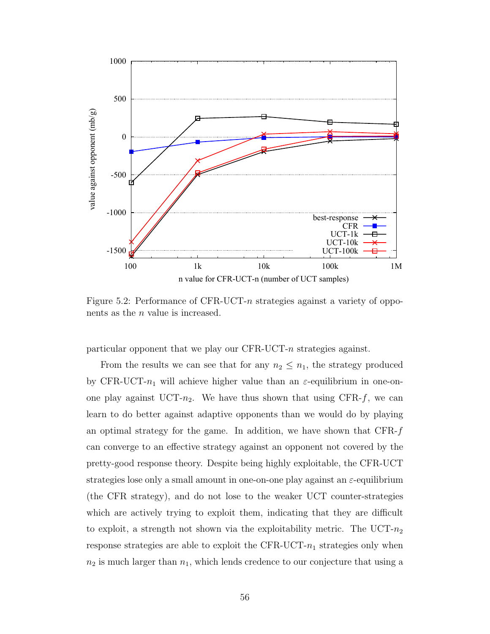

<span id="page-63-0"></span>Figure 5.2: Performance of CFR-UCT-n strategies against a variety of opponents as the n value is increased.

particular opponent that we play our CFR-UCT-n strategies against.

From the results we can see that for any  $n_2 \leq n_1$ , the strategy produced by CFR-UCT- $n_1$  will achieve higher value than an  $\varepsilon$ -equilibrium in one-onone play against UCT- $n_2$ . We have thus shown that using CFR-f, we can learn to do better against adaptive opponents than we would do by playing an optimal strategy for the game. In addition, we have shown that CFR-f can converge to an effective strategy against an opponent not covered by the pretty-good response theory. Despite being highly exploitable, the CFR-UCT strategies lose only a small amount in one-on-one play against an  $\varepsilon$ -equilibrium (the CFR strategy), and do not lose to the weaker UCT counter-strategies which are actively trying to exploit them, indicating that they are difficult to exploit, a strength not shown via the exploitability metric. The UCT- $n_2$ response strategies are able to exploit the CFR-UCT- $n_1$  strategies only when  $n_2$  is much larger than  $n_1$ , which lends credence to our conjecture that using a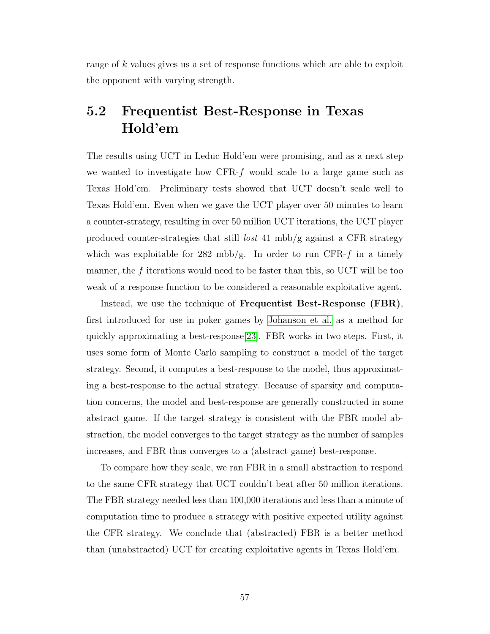range of k values gives us a set of response functions which are able to exploit the opponent with varying strength.

## 5.2 Frequentist Best-Response in Texas Hold'em

The results using UCT in Leduc Hold'em were promising, and as a next step we wanted to investigate how  $CFR-f$  would scale to a large game such as Texas Hold'em. Preliminary tests showed that UCT doesn't scale well to Texas Hold'em. Even when we gave the UCT player over 50 minutes to learn a counter-strategy, resulting in over 50 million UCT iterations, the UCT player produced counter-strategies that still lost 41 mbb/g against a CFR strategy which was exploitable for 282 mbb/g. In order to run CFR-f in a timely manner, the  $f$  iterations would need to be faster than this, so UCT will be too weak of a response function to be considered a reasonable exploitative agent.

Instead, we use the technique of Frequentist Best-Response (FBR), first introduced for use in poker games by [Johanson et al.](#page-74-0) as a method for quickly approximating a best-response[\[23\]](#page-74-0). FBR works in two steps. First, it uses some form of Monte Carlo sampling to construct a model of the target strategy. Second, it computes a best-response to the model, thus approximating a best-response to the actual strategy. Because of sparsity and computation concerns, the model and best-response are generally constructed in some abstract game. If the target strategy is consistent with the FBR model abstraction, the model converges to the target strategy as the number of samples increases, and FBR thus converges to a (abstract game) best-response.

To compare how they scale, we ran FBR in a small abstraction to respond to the same CFR strategy that UCT couldn't beat after 50 million iterations. The FBR strategy needed less than 100,000 iterations and less than a minute of computation time to produce a strategy with positive expected utility against the CFR strategy. We conclude that (abstracted) FBR is a better method than (unabstracted) UCT for creating exploitative agents in Texas Hold'em.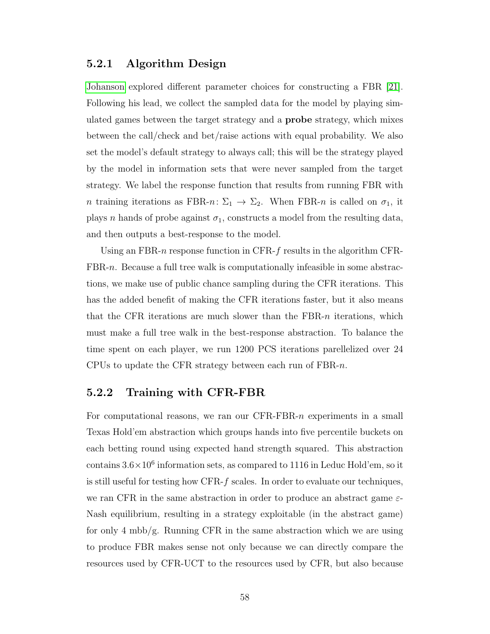### 5.2.1 Algorithm Design

[Johanson](#page-74-2) explored different parameter choices for constructing a FBR [\[21\]](#page-74-2). Following his lead, we collect the sampled data for the model by playing simulated games between the target strategy and a probe strategy, which mixes between the call/check and bet/raise actions with equal probability. We also set the model's default strategy to always call; this will be the strategy played by the model in information sets that were never sampled from the target strategy. We label the response function that results from running FBR with *n* training iterations as FBR-*n*:  $\Sigma_1 \rightarrow \Sigma_2$ . When FBR-*n* is called on  $\sigma_1$ , it plays n hands of probe against  $\sigma_1$ , constructs a model from the resulting data, and then outputs a best-response to the model.

Using an FBR-n response function in CFR- $f$  results in the algorithm CFR-FBR-n. Because a full tree walk is computationally infeasible in some abstractions, we make use of public chance sampling during the CFR iterations. This has the added benefit of making the CFR iterations faster, but it also means that the CFR iterations are much slower than the FBR-n iterations, which must make a full tree walk in the best-response abstraction. To balance the time spent on each player, we run 1200 PCS iterations parellelized over 24 CPUs to update the CFR strategy between each run of FBR-n.

### 5.2.2 Training with CFR-FBR

For computational reasons, we ran our  $CFR-FBR-n$  experiments in a small Texas Hold'em abstraction which groups hands into five percentile buckets on each betting round using expected hand strength squared. This abstraction contains  $3.6 \times 10^6$  information sets, as compared to 1116 in Leduc Hold'em, so it is still useful for testing how CFR-f scales. In order to evaluate our techniques, we ran CFR in the same abstraction in order to produce an abstract game  $\varepsilon$ -Nash equilibrium, resulting in a strategy exploitable (in the abstract game) for only 4 mbb/g. Running CFR in the same abstraction which we are using to produce FBR makes sense not only because we can directly compare the resources used by CFR-UCT to the resources used by CFR, but also because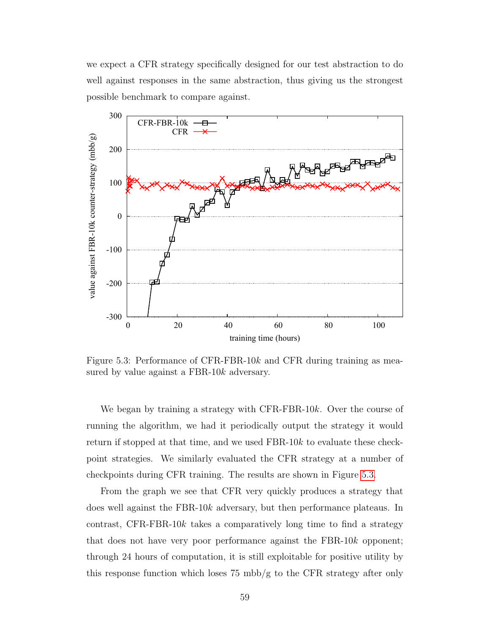we expect a CFR strategy specifically designed for our test abstraction to do well against responses in the same abstraction, thus giving us the strongest possible benchmark to compare against.



<span id="page-66-0"></span>Figure 5.3: Performance of CFR-FBR-10k and CFR during training as measured by value against a FBR-10k adversary.

We began by training a strategy with CFR-FBR-10 $k$ . Over the course of running the algorithm, we had it periodically output the strategy it would return if stopped at that time, and we used FBR-10k to evaluate these checkpoint strategies. We similarly evaluated the CFR strategy at a number of checkpoints during CFR training. The results are shown in Figure [5.3.](#page-66-0)

From the graph we see that CFR very quickly produces a strategy that does well against the FBR-10k adversary, but then performance plateaus. In contrast, CFR-FBR-10k takes a comparatively long time to find a strategy that does not have very poor performance against the FBR-10k opponent; through 24 hours of computation, it is still exploitable for positive utility by this response function which loses 75 mbb/g to the CFR strategy after only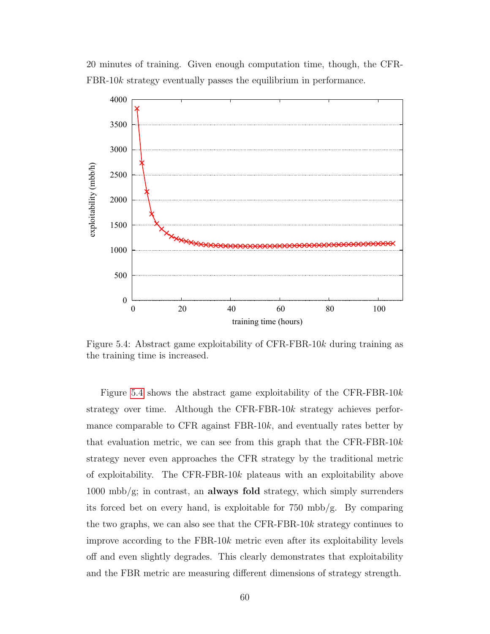

20 minutes of training. Given enough computation time, though, the CFR-FBR-10k strategy eventually passes the equilibrium in performance.

<span id="page-67-0"></span>Figure 5.4: Abstract game exploitability of CFR-FBR-10k during training as the training time is increased.

Figure [5.4](#page-67-0) shows the abstract game exploitability of the CFR-FBR-10k strategy over time. Although the CFR-FBR-10k strategy achieves performance comparable to CFR against FBR-10k, and eventually rates better by that evaluation metric, we can see from this graph that the CFR-FBR-10 $k$ strategy never even approaches the CFR strategy by the traditional metric of exploitability. The CFR-FBR-10k plateaus with an exploitability above  $1000 \text{ mbb/g}$ ; in contrast, an **always fold** strategy, which simply surrenders its forced bet on every hand, is exploitable for 750 mbb/g. By comparing the two graphs, we can also see that the CFR-FBR-10k strategy continues to improve according to the FBR-10k metric even after its exploitability levels off and even slightly degrades. This clearly demonstrates that exploitability and the FBR metric are measuring different dimensions of strategy strength.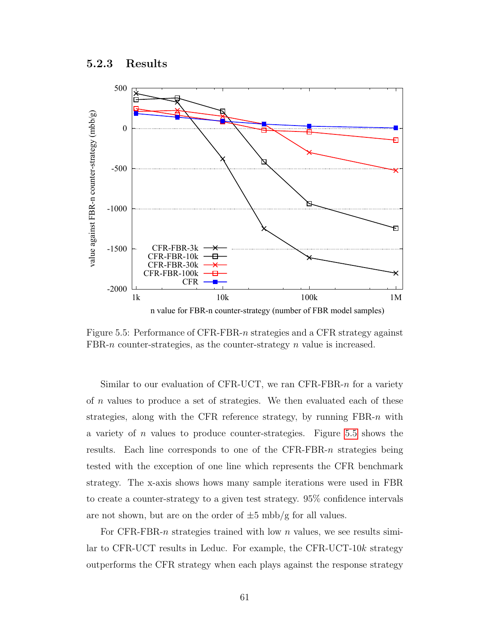### 5.2.3 Results



<span id="page-68-0"></span>Figure 5.5: Performance of CFR-FBR-n strategies and a CFR strategy against FBR-n counter-strategies, as the counter-strategy n value is increased.

Similar to our evaluation of CFR-UCT, we ran CFR-FBR-n for a variety of  $n$  values to produce a set of strategies. We then evaluated each of these strategies, along with the CFR reference strategy, by running FBR-n with a variety of n values to produce counter-strategies. Figure [5.5](#page-68-0) shows the results. Each line corresponds to one of the  $CFR-FBR-n$  strategies being tested with the exception of one line which represents the CFR benchmark strategy. The x-axis shows hows many sample iterations were used in FBR to create a counter-strategy to a given test strategy. 95% confidence intervals are not shown, but are on the order of  $\pm 5$  mbb/g for all values.

For CFR-FBR-n strategies trained with low n values, we see results similar to CFR-UCT results in Leduc. For example, the CFR-UCT-10k strategy outperforms the CFR strategy when each plays against the response strategy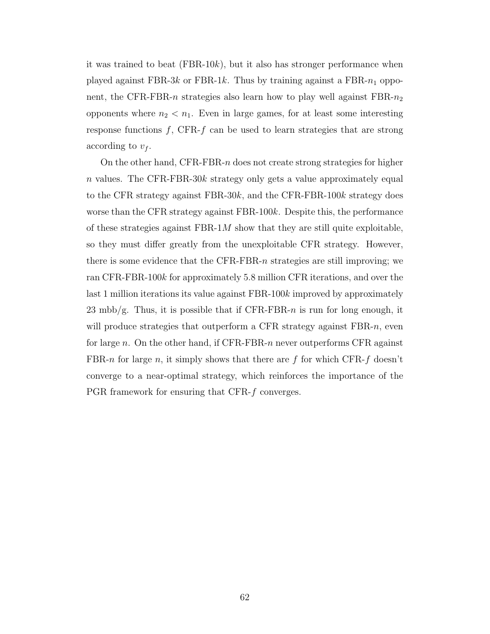it was trained to beat  $(FBR-10k)$ , but it also has stronger performance when played against FBR-3k or FBR-1k. Thus by training against a FBR- $n_1$  opponent, the CFR-FBR-n strategies also learn how to play well against  $FBR-n_2$ opponents where  $n_2 < n_1$ . Even in large games, for at least some interesting response functions  $f$ , CFR- $f$  can be used to learn strategies that are strong according to  $v_f$ .

On the other hand, CFR-FBR-n does not create strong strategies for higher n values. The CFR-FBR-30k strategy only gets a value approximately equal to the CFR strategy against  $FBR-30k$ , and the CFR-FBR-100k strategy does worse than the CFR strategy against FBR-100k. Despite this, the performance of these strategies against  $FBR-1M$  show that they are still quite exploitable, so they must differ greatly from the unexploitable CFR strategy. However, there is some evidence that the CFR-FBR- $n$  strategies are still improving; we ran CFR-FBR-100k for approximately 5.8 million CFR iterations, and over the last 1 million iterations its value against FBR-100k improved by approximately 23 mbb/g. Thus, it is possible that if  $CFR-FBR-n$  is run for long enough, it will produce strategies that outperform a CFR strategy against  $FBR-n$ , even for large n. On the other hand, if CFR-FBR-n never outperforms CFR against FBR-n for large n, it simply shows that there are f for which CFR-f doesn't converge to a near-optimal strategy, which reinforces the importance of the PGR framework for ensuring that CFR-f converges.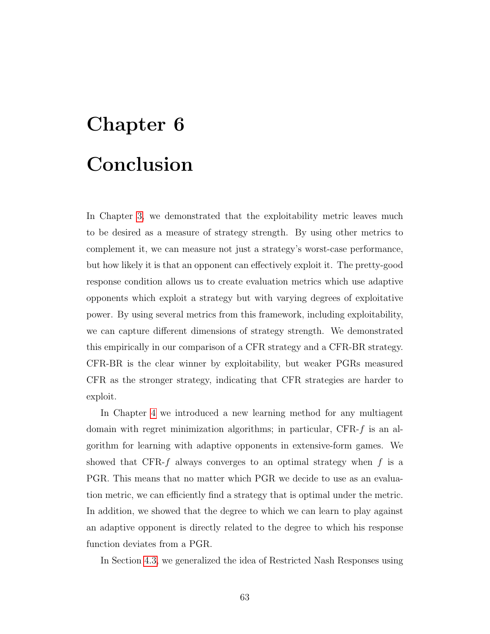# Chapter 6 Conclusion

In Chapter [3,](#page-30-0) we demonstrated that the exploitability metric leaves much to be desired as a measure of strategy strength. By using other metrics to complement it, we can measure not just a strategy's worst-case performance, but how likely it is that an opponent can effectively exploit it. The pretty-good response condition allows us to create evaluation metrics which use adaptive opponents which exploit a strategy but with varying degrees of exploitative power. By using several metrics from this framework, including exploitability, we can capture different dimensions of strategy strength. We demonstrated this empirically in our comparison of a CFR strategy and a CFR-BR strategy. CFR-BR is the clear winner by exploitability, but weaker PGRs measured CFR as the stronger strategy, indicating that CFR strategies are harder to exploit.

In Chapter [4](#page-41-1) we introduced a new learning method for any multiagent domain with regret minimization algorithms; in particular,  $CFR-f$  is an algorithm for learning with adaptive opponents in extensive-form games. We showed that CFR- $f$  always converges to an optimal strategy when  $f$  is a PGR. This means that no matter which PGR we decide to use as an evaluation metric, we can efficiently find a strategy that is optimal under the metric. In addition, we showed that the degree to which we can learn to play against an adaptive opponent is directly related to the degree to which his response function deviates from a PGR.

In Section [4.3,](#page-50-0) we generalized the idea of Restricted Nash Responses using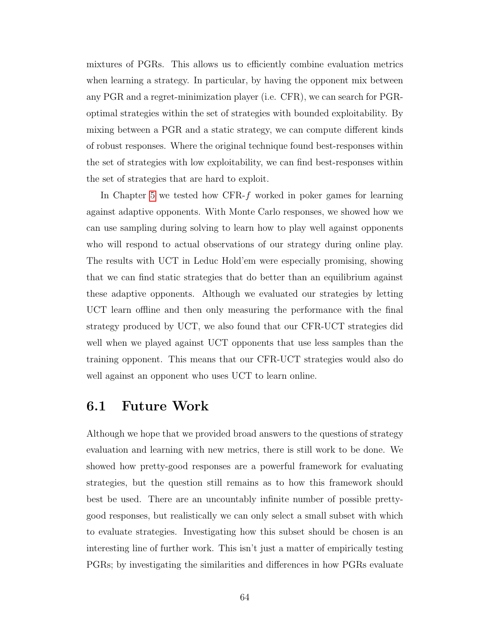mixtures of PGRs. This allows us to efficiently combine evaluation metrics when learning a strategy. In particular, by having the opponent mix between any PGR and a regret-minimization player (i.e. CFR), we can search for PGRoptimal strategies within the set of strategies with bounded exploitability. By mixing between a PGR and a static strategy, we can compute different kinds of robust responses. Where the original technique found best-responses within the set of strategies with low exploitability, we can find best-responses within the set of strategies that are hard to exploit.

In Chapter [5](#page-59-0) we tested how CFR- $f$  worked in poker games for learning against adaptive opponents. With Monte Carlo responses, we showed how we can use sampling during solving to learn how to play well against opponents who will respond to actual observations of our strategy during online play. The results with UCT in Leduc Hold'em were especially promising, showing that we can find static strategies that do better than an equilibrium against these adaptive opponents. Although we evaluated our strategies by letting UCT learn offline and then only measuring the performance with the final strategy produced by UCT, we also found that our CFR-UCT strategies did well when we played against UCT opponents that use less samples than the training opponent. This means that our CFR-UCT strategies would also do well against an opponent who uses UCT to learn online.

### 6.1 Future Work

Although we hope that we provided broad answers to the questions of strategy evaluation and learning with new metrics, there is still work to be done. We showed how pretty-good responses are a powerful framework for evaluating strategies, but the question still remains as to how this framework should best be used. There are an uncountably infinite number of possible prettygood responses, but realistically we can only select a small subset with which to evaluate strategies. Investigating how this subset should be chosen is an interesting line of further work. This isn't just a matter of empirically testing PGRs; by investigating the similarities and differences in how PGRs evaluate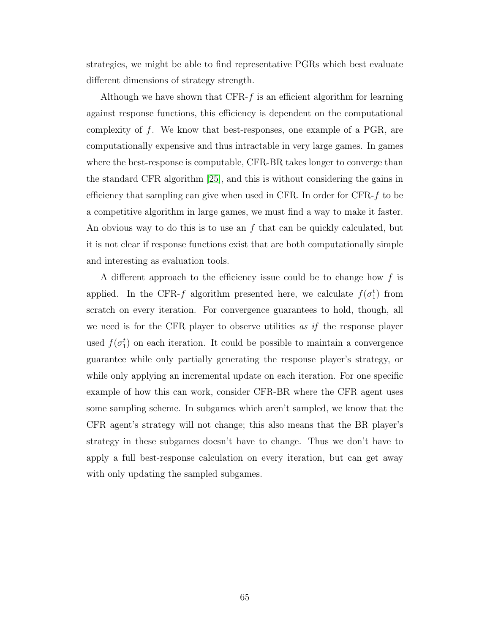strategies, we might be able to find representative PGRs which best evaluate different dimensions of strategy strength.

Although we have shown that  $CFR-f$  is an efficient algorithm for learning against response functions, this efficiency is dependent on the computational complexity of  $f$ . We know that best-responses, one example of a PGR, are computationally expensive and thus intractable in very large games. In games where the best-response is computable, CFR-BR takes longer to converge than the standard CFR algorithm [\[25\]](#page-75-0), and this is without considering the gains in efficiency that sampling can give when used in CFR. In order for CFR-f to be a competitive algorithm in large games, we must find a way to make it faster. An obvious way to do this is to use an  $f$  that can be quickly calculated, but it is not clear if response functions exist that are both computationally simple and interesting as evaluation tools.

A different approach to the efficiency issue could be to change how  $f$  is applied. In the CFR-f algorithm presented here, we calculate  $f(\sigma_1^t)$  from scratch on every iteration. For convergence guarantees to hold, though, all we need is for the CFR player to observe utilities as if the response player used  $f(\sigma_1^t)$  on each iteration. It could be possible to maintain a convergence guarantee while only partially generating the response player's strategy, or while only applying an incremental update on each iteration. For one specific example of how this can work, consider CFR-BR where the CFR agent uses some sampling scheme. In subgames which aren't sampled, we know that the CFR agent's strategy will not change; this also means that the BR player's strategy in these subgames doesn't have to change. Thus we don't have to apply a full best-response calculation on every iteration, but can get away with only updating the sampled subgames.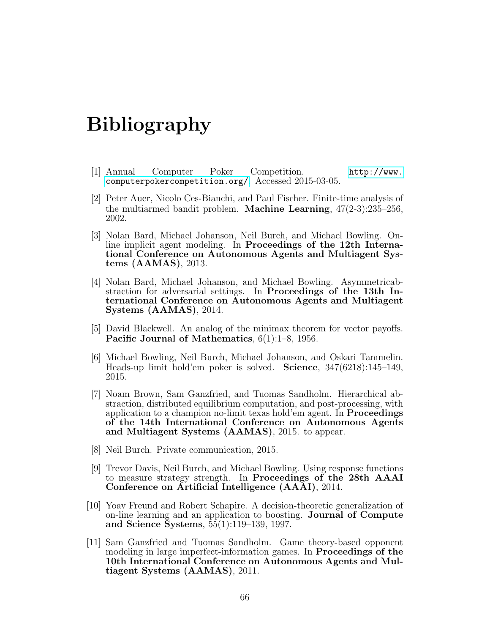## Bibliography

- [1] Annual Computer Poker Competition. [http://www.](http://www.computerpokercompetition.org/) [computerpokercompetition.org/](http://www.computerpokercompetition.org/). Accessed 2015-03-05.
- [2] Peter Auer, Nicolo Ces-Bianchi, and Paul Fischer. Finite-time analysis of the multiarmed bandit problem. Machine Learning, 47(2-3):235–256, 2002.
- [3] Nolan Bard, Michael Johanson, Neil Burch, and Michael Bowling. Online implicit agent modeling. In Proceedings of the 12th International Conference on Autonomous Agents and Multiagent Systems (AAMAS), 2013.
- [4] Nolan Bard, Michael Johanson, and Michael Bowling. Asymmetricabstraction for adversarial settings. In Proceedings of the 13th International Conference on Autonomous Agents and Multiagent Systems (AAMAS), 2014.
- [5] David Blackwell. An analog of the minimax theorem for vector payoffs. Pacific Journal of Mathematics, 6(1):1–8, 1956.
- [6] Michael Bowling, Neil Burch, Michael Johanson, and Oskari Tammelin. Heads-up limit hold'em poker is solved. Science, 347(6218):145–149, 2015.
- [7] Noam Brown, Sam Ganzfried, and Tuomas Sandholm. Hierarchical abstraction, distributed equilibrium computation, and post-processing, with application to a champion no-limit texas hold'em agent. In Proceedings of the 14th International Conference on Autonomous Agents and Multiagent Systems (AAMAS), 2015. to appear.
- [8] Neil Burch. Private communication, 2015.
- [9] Trevor Davis, Neil Burch, and Michael Bowling. Using response functions to measure strategy strength. In Proceedings of the 28th AAAI Conference on Artificial Intelligence (AAAI), 2014.
- [10] Yoav Freund and Robert Schapire. A decision-theoretic generalization of on-line learning and an application to boosting. Journal of Compute and Science Systems, 55(1):119–139, 1997.
- [11] Sam Ganzfried and Tuomas Sandholm. Game theory-based opponent modeling in large imperfect-information games. In Proceedings of the 10th International Conference on Autonomous Agents and Multiagent Systems (AAMAS), 2011.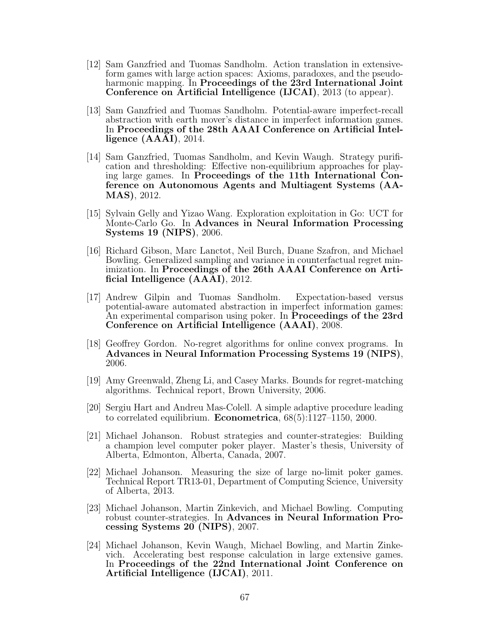- [12] Sam Ganzfried and Tuomas Sandholm. Action translation in extensiveform games with large action spaces: Axioms, paradoxes, and the pseudoharmonic mapping. In Proceedings of the 23rd International Joint Conference on Artificial Intelligence (IJCAI), 2013 (to appear).
- [13] Sam Ganzfried and Tuomas Sandholm. Potential-aware imperfect-recall abstraction with earth mover's distance in imperfect information games. In Proceedings of the 28th AAAI Conference on Artificial Intelligence (AAAI), 2014.
- [14] Sam Ganzfried, Tuomas Sandholm, and Kevin Waugh. Strategy purification and thresholding: Effective non-equilibrium approaches for playing large games. In Proceedings of the 11th International Conference on Autonomous Agents and Multiagent Systems (AA-MAS), 2012.
- [15] Sylvain Gelly and Yizao Wang. Exploration exploitation in Go: UCT for Monte-Carlo Go. In Advances in Neural Information Processing Systems 19 (NIPS), 2006.
- [16] Richard Gibson, Marc Lanctot, Neil Burch, Duane Szafron, and Michael Bowling. Generalized sampling and variance in counterfactual regret minimization. In Proceedings of the 26th AAAI Conference on Artificial Intelligence (AAAI), 2012.
- [17] Andrew Gilpin and Tuomas Sandholm. Expectation-based versus potential-aware automated abstraction in imperfect information games: An experimental comparison using poker. In **Proceedings of the 23rd** Conference on Artificial Intelligence (AAAI), 2008.
- [18] Geoffrey Gordon. No-regret algorithms for online convex programs. In Advances in Neural Information Processing Systems 19 (NIPS), 2006.
- [19] Amy Greenwald, Zheng Li, and Casey Marks. Bounds for regret-matching algorithms. Technical report, Brown University, 2006.
- [20] Sergiu Hart and Andreu Mas-Colell. A simple adaptive procedure leading to correlated equilibrium. **Econometrica**,  $68(5):1127-1150$ ,  $2000$ .
- [21] Michael Johanson. Robust strategies and counter-strategies: Building a champion level computer poker player. Master's thesis, University of Alberta, Edmonton, Alberta, Canada, 2007.
- [22] Michael Johanson. Measuring the size of large no-limit poker games. Technical Report TR13-01, Department of Computing Science, University of Alberta, 2013.
- [23] Michael Johanson, Martin Zinkevich, and Michael Bowling. Computing robust counter-strategies. In Advances in Neural Information Processing Systems 20 (NIPS), 2007.
- [24] Michael Johanson, Kevin Waugh, Michael Bowling, and Martin Zinkevich. Accelerating best response calculation in large extensive games. In Proceedings of the 22nd International Joint Conference on Artificial Intelligence (IJCAI), 2011.